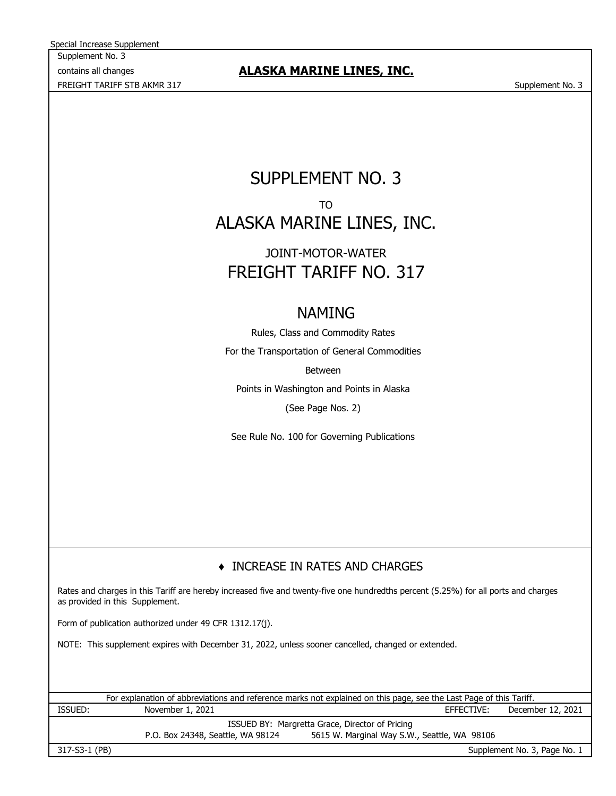Supplement No. 3 contains all changes FREIGHT TARIFF STB AKMR 317 Supplement No. 3 Special Increase Supplement

## **ALASKA MARINE LINES, INC.**

## SUPPLEMENT NO. 3 TO ALASKA MARINE LINES, INC.

## FREIGHT TARIFF NO. 317 JOINT-MOTOR-WATER

## NAMING

Rules, Class and Commodity Rates For the Transportation of General Commodities Between

Points in Washington and Points in Alaska (See Page Nos. 2)

See Rule No. 100 for Governing Publications

## ♦ INCREASE IN RATES AND CHARGES

Rates and charges in this Tariff are hereby increased five and twenty-five one hundredths percent (5.25%) for all ports and charges as provided in this Supplement.

Form of publication authorized under 49 CFR 1312.17(j).

NOTE: This supplement expires with December 31, 2022, unless sooner cancelled, changed or extended.

EFFECTIVE: ISSUED BY: Margretta Grace, Director of Pricing For explanation of abbreviations and reference marks not explained on this page, see the Last Page of this Tariff. ISSUED: November 1, 2021 November 1, 2021 CHEECTIVE: December 12, 2021

P.O. Box 24348, Seattle, WA 98124 5615 W. Marginal Way S.W., Seattle, WA 98106

317-S3-1 (PB)

Supplement No. 3, Page No. 1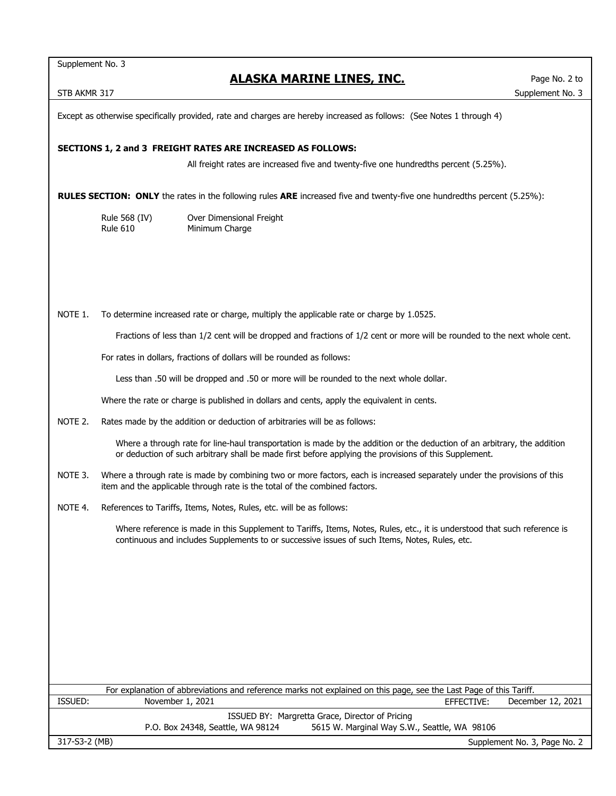Supplement No. 3

## **ALASKA MARINE LINES, INC.**

Except as otherwise specifically provided, rate and charges are hereby increased as follows: (See Notes 1 through 4)

#### **SECTIONS 1, 2 and 3 FREIGHT RATES ARE INCREASED AS FOLLOWS:**

All freight rates are increased five and twenty-five one hundredths percent (5.25%).

**RULES SECTION: ONLY** the rates in the following rules **ARE** increased five and twenty-five one hundredths percent (5.25%):

Rule 568 (IV) Over Dimensional Freight Rule 610 Minimum Charge

NOTE 1. To determine increased rate or charge, multiply the applicable rate or charge by 1.0525.

Fractions of less than 1/2 cent will be dropped and fractions of 1/2 cent or more will be rounded to the next whole cent.

For rates in dollars, fractions of dollars will be rounded as follows:

Less than .50 will be dropped and .50 or more will be rounded to the next whole dollar.

Where the rate or charge is published in dollars and cents, apply the equivalent in cents.

NOTE 2. Rates made by the addition or deduction of arbitraries will be as follows:

Where a through rate for line-haul transportation is made by the addition or the deduction of an arbitrary, the addition or deduction of such arbitrary shall be made first before applying the provisions of this Supplement.

- NOTE 3. Where a through rate is made by combining two or more factors, each is increased separately under the provisions of this item and the applicable through rate is the total of the combined factors.
- NOTE 4. References to Tariffs, Items, Notes, Rules, etc. will be as follows:

Where reference is made in this Supplement to Tariffs, Items, Notes, Rules, etc., it is understood that such reference is continuous and includes Supplements to or successive issues of such Items, Notes, Rules, etc.

|                                                 |                                   | For explanation of abbreviations and reference marks not explained on this page, see the Last Page of this Tariff. |                   |  |  |
|-------------------------------------------------|-----------------------------------|--------------------------------------------------------------------------------------------------------------------|-------------------|--|--|
| ISSUED:                                         | November 1, 2021                  | EFFECTIVE:                                                                                                         | December 12, 2021 |  |  |
| ISSUED BY: Margretta Grace, Director of Pricing |                                   |                                                                                                                    |                   |  |  |
|                                                 | P.O. Box 24348, Seattle, WA 98124 | 5615 W. Marginal Way S.W., Seattle, WA 98106                                                                       |                   |  |  |
| 317-S3-2 (MB)                                   |                                   | Supplement No. 3, Page No. 2                                                                                       |                   |  |  |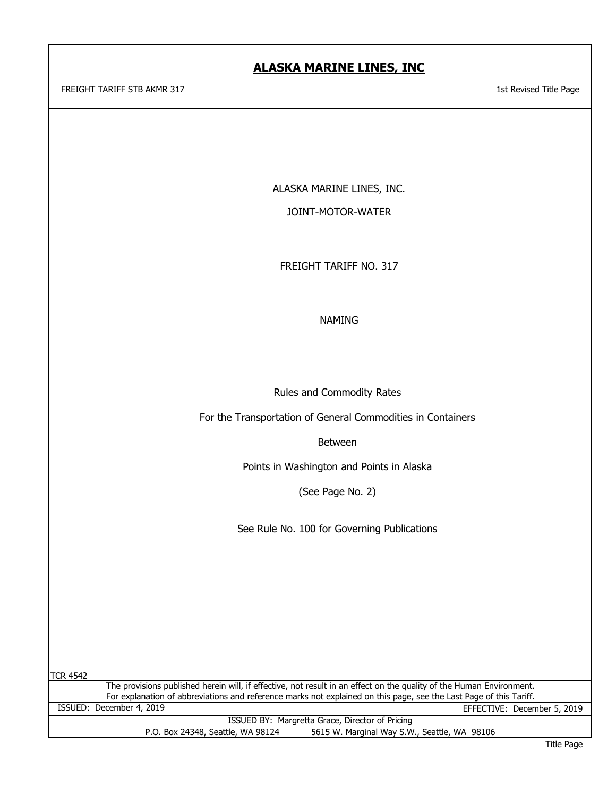FREIGHT TARIFF STB AKMR 317 1st Revised Title Page

ALASKA MARINE LINES, INC.

JOINT-MOTOR-WATER

FREIGHT TARIFF NO. 317

NAMING

Rules and Commodity Rates

For the Transportation of General Commodities in Containers

Between

Points in Washington and Points in Alaska

(See Page No. 2)

See Rule No. 100 for Governing Publications

TCR 4542

For explanation of abbreviations and reference marks not explained on this page, see the Last Page of this Tariff.<br>ISSUED: December 4, 2019 EFFECTIVE: December 5, 2019 ISSUED BY: Margretta Grace, Director of Pricing P.O. Box 24348, Seattle, WA 98124 5615 W. Marginal Way S.W., Seattle, WA 98106 The provisions published herein will, if effective, not result in an effect on the quality of the Human Environment.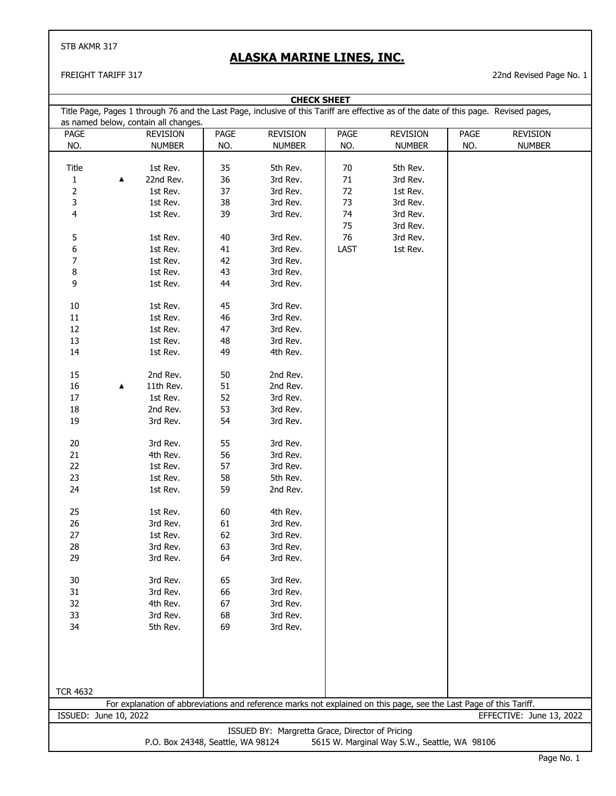## **ALASKA MARINE LINES, INC.**

| <b>CHECK SHEET</b>                                                                |   |                                      |      |                                                 |        |                                                                                                                                      |      |                          |
|-----------------------------------------------------------------------------------|---|--------------------------------------|------|-------------------------------------------------|--------|--------------------------------------------------------------------------------------------------------------------------------------|------|--------------------------|
|                                                                                   |   | as named below, contain all changes. |      |                                                 |        | Title Page, Pages 1 through 76 and the Last Page, inclusive of this Tariff are effective as of the date of this page. Revised pages, |      |                          |
| PAGE                                                                              |   | <b>REVISION</b>                      | PAGE | <b>REVISION</b>                                 | PAGE   | <b>REVISION</b>                                                                                                                      | PAGE | REVISION                 |
| NO.                                                                               |   | <b>NUMBER</b>                        | NO.  | <b>NUMBER</b>                                   | NO.    | <b>NUMBER</b>                                                                                                                        | NO.  | <b>NUMBER</b>            |
|                                                                                   |   |                                      |      |                                                 |        |                                                                                                                                      |      |                          |
| Title                                                                             |   | 1st Rev.                             | 35   | 5th Rev.                                        | 70     | 5th Rev.                                                                                                                             |      |                          |
| $\mathbf{1}$                                                                      | ▲ | 22nd Rev.                            | 36   | 3rd Rev.                                        | $71\,$ | 3rd Rev.                                                                                                                             |      |                          |
| $\overline{2}$                                                                    |   | 1st Rev.                             | 37   | 3rd Rev.                                        | 72     | 1st Rev.                                                                                                                             |      |                          |
|                                                                                   |   |                                      |      |                                                 |        |                                                                                                                                      |      |                          |
| 3                                                                                 |   | 1st Rev.                             | 38   | 3rd Rev.                                        | 73     | 3rd Rev.                                                                                                                             |      |                          |
| 4                                                                                 |   | 1st Rev.                             | 39   | 3rd Rev.                                        | 74     | 3rd Rev.                                                                                                                             |      |                          |
|                                                                                   |   |                                      |      |                                                 | 75     | 3rd Rev.                                                                                                                             |      |                          |
| 5                                                                                 |   | 1st Rev.                             | 40   | 3rd Rev.                                        | 76     | 3rd Rev.                                                                                                                             |      |                          |
| 6                                                                                 |   | 1st Rev.                             | 41   | 3rd Rev.                                        | LAST   | 1st Rev.                                                                                                                             |      |                          |
| 7                                                                                 |   | 1st Rev.                             | 42   | 3rd Rev.                                        |        |                                                                                                                                      |      |                          |
| 8                                                                                 |   | 1st Rev.                             | 43   | 3rd Rev.                                        |        |                                                                                                                                      |      |                          |
| 9                                                                                 |   | 1st Rev.                             | 44   | 3rd Rev.                                        |        |                                                                                                                                      |      |                          |
|                                                                                   |   |                                      |      |                                                 |        |                                                                                                                                      |      |                          |
| 10                                                                                |   | 1st Rev.                             | 45   | 3rd Rev.                                        |        |                                                                                                                                      |      |                          |
| $11\,$                                                                            |   | 1st Rev.                             | 46   | 3rd Rev.                                        |        |                                                                                                                                      |      |                          |
| 12                                                                                |   | 1st Rev.                             | 47   | 3rd Rev.                                        |        |                                                                                                                                      |      |                          |
|                                                                                   |   |                                      |      |                                                 |        |                                                                                                                                      |      |                          |
| 13                                                                                |   | 1st Rev.                             | 48   | 3rd Rev.                                        |        |                                                                                                                                      |      |                          |
| 14                                                                                |   | 1st Rev.                             | 49   | 4th Rev.                                        |        |                                                                                                                                      |      |                          |
| 15                                                                                |   | 2nd Rev.                             | 50   | 2nd Rev.                                        |        |                                                                                                                                      |      |                          |
| $16\,$                                                                            |   | 11th Rev.                            | 51   | 2nd Rev.                                        |        |                                                                                                                                      |      |                          |
|                                                                                   | ▲ |                                      |      |                                                 |        |                                                                                                                                      |      |                          |
| $17\,$                                                                            |   | 1st Rev.                             | 52   | 3rd Rev.                                        |        |                                                                                                                                      |      |                          |
| $18\,$                                                                            |   | 2nd Rev.                             | 53   | 3rd Rev.                                        |        |                                                                                                                                      |      |                          |
| 19                                                                                |   | 3rd Rev.                             | 54   | 3rd Rev.                                        |        |                                                                                                                                      |      |                          |
| 20                                                                                |   | 3rd Rev.                             | 55   | 3rd Rev.                                        |        |                                                                                                                                      |      |                          |
| 21                                                                                |   | 4th Rev.                             | 56   | 3rd Rev.                                        |        |                                                                                                                                      |      |                          |
| 22                                                                                |   | 1st Rev.                             | 57   | 3rd Rev.                                        |        |                                                                                                                                      |      |                          |
| 23                                                                                |   | 1st Rev.                             | 58   | 5th Rev.                                        |        |                                                                                                                                      |      |                          |
| 24                                                                                |   | 1st Rev.                             | 59   | 2nd Rev.                                        |        |                                                                                                                                      |      |                          |
|                                                                                   |   |                                      |      |                                                 |        |                                                                                                                                      |      |                          |
| 25                                                                                |   | 1st Rev.                             | 60   | 4th Rev.                                        |        |                                                                                                                                      |      |                          |
| 26                                                                                |   | 3rd Rev.                             | 61   | 3rd Rev.                                        |        |                                                                                                                                      |      |                          |
| 27                                                                                |   | 1st Rev.                             | 62   | 3rd Rev.                                        |        |                                                                                                                                      |      |                          |
| 28                                                                                |   | 3rd Rev.                             | 63   | 3rd Rev.                                        |        |                                                                                                                                      |      |                          |
| 29                                                                                |   | 3rd Rev.                             | 64   | 3rd Rev.                                        |        |                                                                                                                                      |      |                          |
|                                                                                   |   |                                      |      |                                                 |        |                                                                                                                                      |      |                          |
| 30                                                                                |   | 3rd Rev.                             | 65   | 3rd Rev.                                        |        |                                                                                                                                      |      |                          |
| 31                                                                                |   | 3rd Rev.                             | 66   | 3rd Rev.                                        |        |                                                                                                                                      |      |                          |
| 32                                                                                |   | 4th Rev.                             | 67   | 3rd Rev.                                        |        |                                                                                                                                      |      |                          |
| 33                                                                                |   | 3rd Rev.                             | 68   | 3rd Rev.                                        |        |                                                                                                                                      |      |                          |
| 34                                                                                |   | 5th Rev.                             | 69   | 3rd Rev.                                        |        |                                                                                                                                      |      |                          |
|                                                                                   |   |                                      |      |                                                 |        |                                                                                                                                      |      |                          |
|                                                                                   |   |                                      |      |                                                 |        |                                                                                                                                      |      |                          |
|                                                                                   |   |                                      |      |                                                 |        |                                                                                                                                      |      |                          |
|                                                                                   |   |                                      |      |                                                 |        |                                                                                                                                      |      |                          |
|                                                                                   |   |                                      |      |                                                 |        |                                                                                                                                      |      |                          |
| <b>TCR 4632</b>                                                                   |   |                                      |      |                                                 |        |                                                                                                                                      |      |                          |
| ISSUED: June 10, 2022                                                             |   |                                      |      |                                                 |        | For explanation of abbreviations and reference marks not explained on this page, see the Last Page of this Tariff.                   |      | EFFECTIVE: June 13, 2022 |
|                                                                                   |   |                                      |      |                                                 |        |                                                                                                                                      |      |                          |
|                                                                                   |   |                                      |      | ISSUED BY: Margretta Grace, Director of Pricing |        |                                                                                                                                      |      |                          |
| P.O. Box 24348, Seattle, WA 98124<br>5615 W. Marginal Way S.W., Seattle, WA 98106 |   |                                      |      |                                                 |        |                                                                                                                                      |      |                          |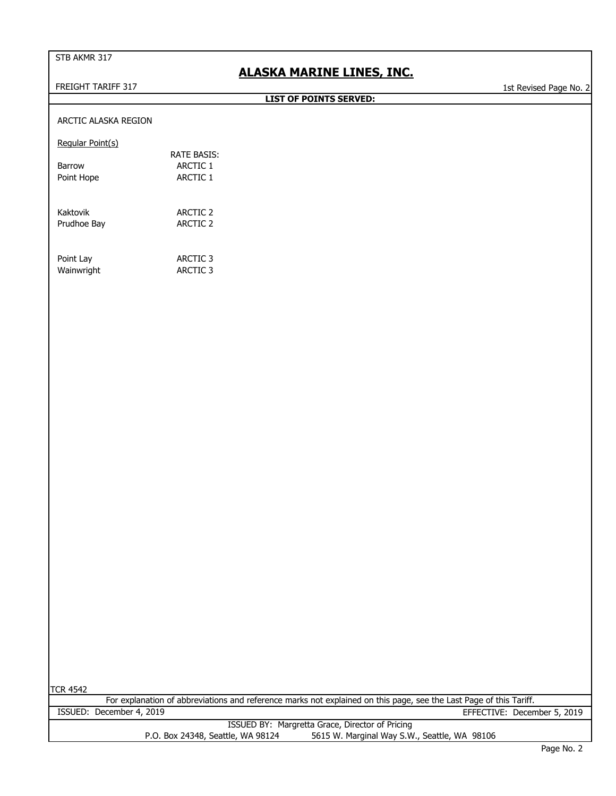## **ALASKA MARINE LINES, INC.**

FREIGHT TARIFF 317 1st Revised Page No. 2

**LIST OF POINTS SERVED:**

#### ARCTIC ALASKA REGION

Regular Point(s)

|            | <b>RATE BASIS:</b> |
|------------|--------------------|
| Barrow     | ARCTIC 1           |
| Point Hope | ARCTIC 1           |
|            |                    |
|            |                    |
| Kaktovik   | ARCTIC 2           |

| Point Lay | ARCTIC 3 |
|-----------|----------|

Wainwright **ARCTIC 3** 

Prudhoe Bay **ARCTIC 2** 

TCR 4542

| TCK 4542 |                                   |                                                                                                                    |
|----------|-----------------------------------|--------------------------------------------------------------------------------------------------------------------|
|          |                                   | For explanation of abbreviations and reference marks not explained on this page, see the Last Page of this Tariff. |
|          | ISSUED: December 4, 2019          | EFFECTIVE: December 5, 2019                                                                                        |
|          |                                   | ISSUED BY: Margretta Grace, Director of Pricing                                                                    |
|          | P.O. Box 24348, Seattle, WA 98124 | 5615 W. Marginal Way S.W., Seattle, WA 98106                                                                       |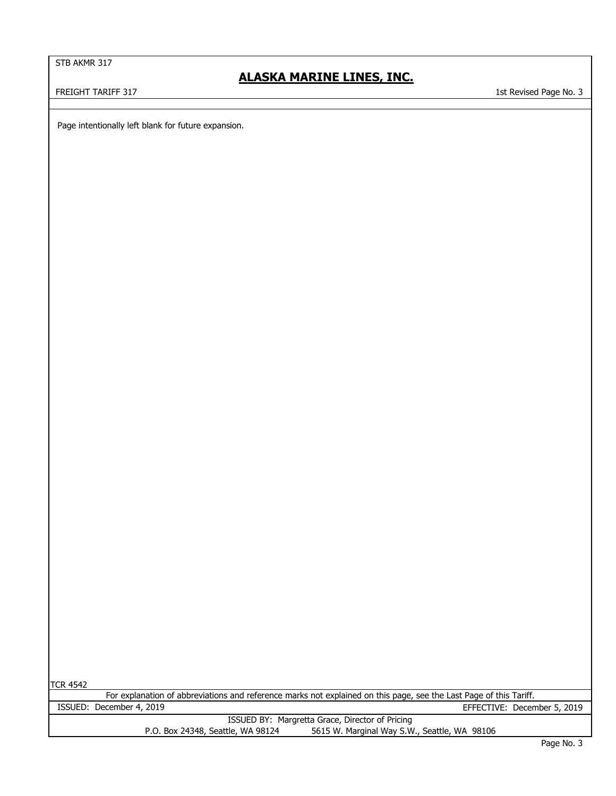## **ALASKA MARINE LINES, INC.**

FREIGHT TARIFF 317 1st Revised Page No. 3

Page intentionally left blank for future expansion.

TCR 4542

| For explanation of abbreviations and reference marks not explained on this page, see the Last Page of this Tariff. |                                                 |  |  |  |
|--------------------------------------------------------------------------------------------------------------------|-------------------------------------------------|--|--|--|
| ISSUED: December 4, 2019                                                                                           | EFFECTIVE: December 5, 2019                     |  |  |  |
|                                                                                                                    | ISSUED BY: Margretta Grace, Director of Pricing |  |  |  |
| P.O. Box 24348, Seattle, WA 98124                                                                                  | 5615 W. Marginal Way S.W., Seattle, WA 98106    |  |  |  |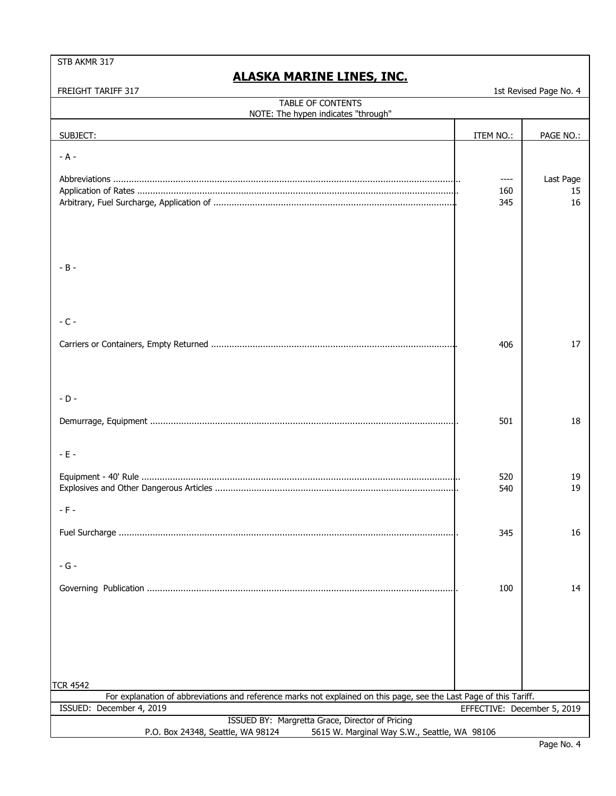## **ALASKA MARINE LINES, INC.**

| <b>TABLE OF CONTENTS</b><br>NOTE: The hypen indicates "through"                                                    |                             |           |
|--------------------------------------------------------------------------------------------------------------------|-----------------------------|-----------|
|                                                                                                                    |                             |           |
| SUBJECT:                                                                                                           | ITEM NO.:                   | PAGE NO.: |
| $- A -$                                                                                                            |                             |           |
|                                                                                                                    | $--- -$                     | Last Page |
|                                                                                                                    | 160                         | 15        |
|                                                                                                                    | 345                         | 16        |
|                                                                                                                    |                             |           |
|                                                                                                                    |                             |           |
|                                                                                                                    |                             |           |
| $-B -$                                                                                                             |                             |           |
|                                                                                                                    |                             |           |
|                                                                                                                    |                             |           |
|                                                                                                                    |                             |           |
| $-C -$                                                                                                             |                             |           |
|                                                                                                                    | 406                         | 17        |
|                                                                                                                    |                             |           |
|                                                                                                                    |                             |           |
|                                                                                                                    |                             |           |
| $-D -$                                                                                                             |                             |           |
|                                                                                                                    | 501                         | 18        |
|                                                                                                                    |                             |           |
| $-E -$                                                                                                             |                             |           |
|                                                                                                                    |                             |           |
|                                                                                                                    | 520<br>540                  | 19<br>19  |
|                                                                                                                    |                             |           |
| $-$ F $-$                                                                                                          |                             |           |
|                                                                                                                    | 345                         | 16        |
|                                                                                                                    |                             |           |
| - G -                                                                                                              |                             |           |
|                                                                                                                    |                             |           |
|                                                                                                                    | 100                         | 14        |
|                                                                                                                    |                             |           |
|                                                                                                                    |                             |           |
|                                                                                                                    |                             |           |
|                                                                                                                    |                             |           |
|                                                                                                                    |                             |           |
| TCR 4542                                                                                                           |                             |           |
| For explanation of abbreviations and reference marks not explained on this page, see the Last Page of this Tariff. |                             |           |
| ISSUED: December 4, 2019<br>ISSUED BY: Margretta Grace, Director of Pricing                                        | EFFECTIVE: December 5, 2019 |           |
| P.O. Box 24348, Seattle, WA 98124<br>5615 W. Marginal Way S.W., Seattle, WA 98106                                  |                             |           |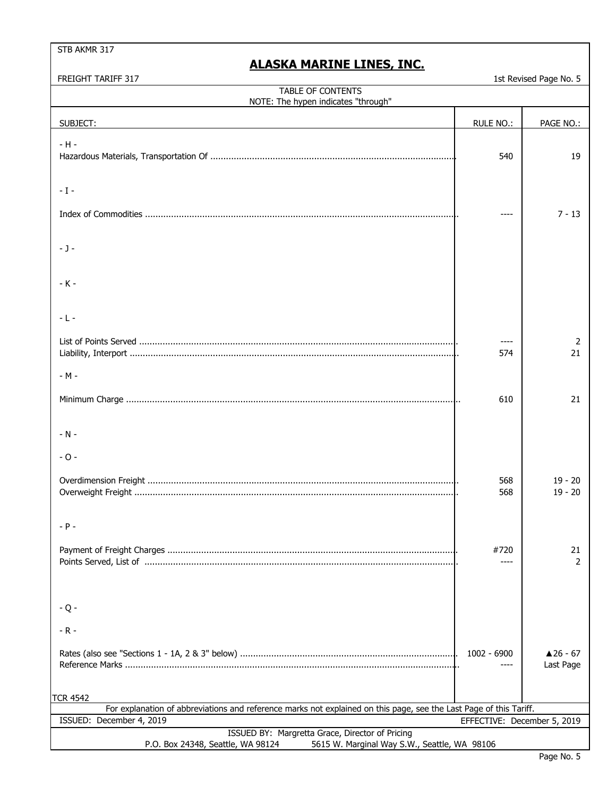| FREIGHT TARIFF 317                                                                                                 |                             | 1st Revised Page No. 5 |
|--------------------------------------------------------------------------------------------------------------------|-----------------------------|------------------------|
| <b>TABLE OF CONTENTS</b>                                                                                           |                             |                        |
| NOTE: The hypen indicates "through"                                                                                |                             |                        |
|                                                                                                                    |                             |                        |
| SUBJECT:                                                                                                           | <b>RULE NO.:</b>            | PAGE NO.:              |
| $-H -$                                                                                                             |                             |                        |
|                                                                                                                    |                             |                        |
|                                                                                                                    | 540                         | 19                     |
|                                                                                                                    |                             |                        |
|                                                                                                                    |                             |                        |
| $-1-$                                                                                                              |                             |                        |
|                                                                                                                    |                             |                        |
|                                                                                                                    |                             | $7 - 13$               |
|                                                                                                                    |                             |                        |
|                                                                                                                    |                             |                        |
| $ J -$                                                                                                             |                             |                        |
|                                                                                                                    |                             |                        |
|                                                                                                                    |                             |                        |
| $-K -$                                                                                                             |                             |                        |
|                                                                                                                    |                             |                        |
|                                                                                                                    |                             |                        |
|                                                                                                                    |                             |                        |
| $-L -$                                                                                                             |                             |                        |
|                                                                                                                    |                             |                        |
|                                                                                                                    |                             | 2                      |
|                                                                                                                    | 574                         | 21                     |
|                                                                                                                    |                             |                        |
| - M -                                                                                                              |                             |                        |
|                                                                                                                    |                             |                        |
|                                                                                                                    | 610                         | 21                     |
|                                                                                                                    |                             |                        |
|                                                                                                                    |                             |                        |
|                                                                                                                    |                             |                        |
| $-N -$                                                                                                             |                             |                        |
|                                                                                                                    |                             |                        |
| $-0-$                                                                                                              |                             |                        |
|                                                                                                                    |                             |                        |
|                                                                                                                    | 568                         | $19 - 20$              |
|                                                                                                                    | 568                         | $19 - 20$              |
|                                                                                                                    |                             |                        |
|                                                                                                                    |                             |                        |
|                                                                                                                    |                             |                        |
|                                                                                                                    |                             |                        |
|                                                                                                                    |                             |                        |
|                                                                                                                    | #720                        | 21                     |
|                                                                                                                    | ----                        | 2                      |
|                                                                                                                    |                             |                        |
|                                                                                                                    |                             |                        |
|                                                                                                                    |                             |                        |
| $-Q -$                                                                                                             |                             |                        |
|                                                                                                                    |                             |                        |
| $-R -$                                                                                                             |                             |                        |
|                                                                                                                    |                             |                        |
|                                                                                                                    |                             |                        |
|                                                                                                                    | 1002 - 6900                 | $\triangle$ 26 - 67    |
|                                                                                                                    |                             | Last Page              |
|                                                                                                                    |                             |                        |
|                                                                                                                    |                             |                        |
| TCR 4542                                                                                                           |                             |                        |
| For explanation of abbreviations and reference marks not explained on this page, see the Last Page of this Tariff. |                             |                        |
| ISSUED: December 4, 2019                                                                                           | EFFECTIVE: December 5, 2019 |                        |
| ISSUED BY: Margretta Grace, Director of Pricing                                                                    |                             |                        |
| P.O. Box 24348, Seattle, WA 98124<br>5615 W. Marginal Way S.W., Seattle, WA 98106                                  |                             |                        |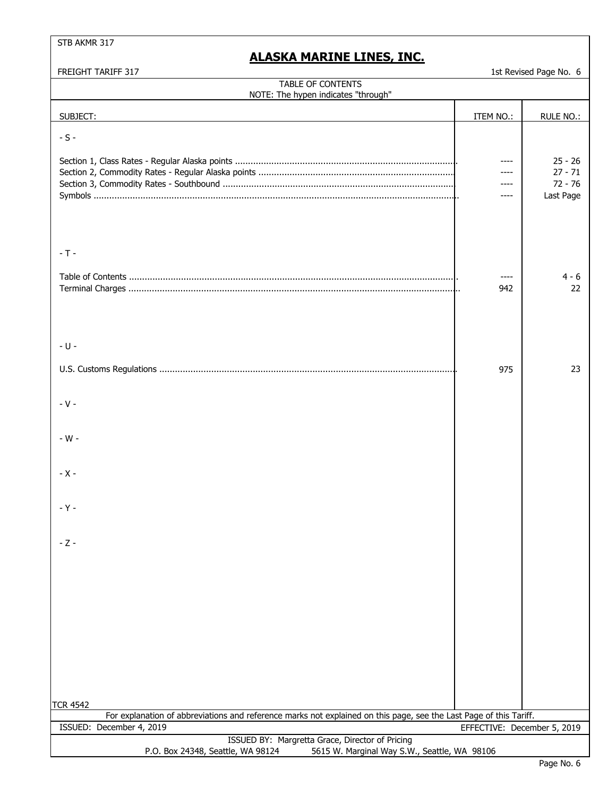## **ALASKA MARINE LINES, INC.**

| <b>TABLE OF CONTENTS</b><br>NOTE: The hypen indicates "through"                                                                                |                             |                                                  |
|------------------------------------------------------------------------------------------------------------------------------------------------|-----------------------------|--------------------------------------------------|
| SUBJECT:                                                                                                                                       | ITEM NO.:                   | RULE NO.:                                        |
| $-S -$                                                                                                                                         |                             |                                                  |
|                                                                                                                                                | ----<br>----<br>----        | $25 - 26$<br>$27 - 71$<br>$72 - 76$<br>Last Page |
| $-T -$                                                                                                                                         | $---$                       | 4 - 6                                            |
|                                                                                                                                                | 942                         | 22                                               |
| $-U -$                                                                                                                                         |                             |                                                  |
|                                                                                                                                                | 975                         | 23                                               |
| $-V -$                                                                                                                                         |                             |                                                  |
| - $W -$                                                                                                                                        |                             |                                                  |
| $- X -$                                                                                                                                        |                             |                                                  |
| $-Y -$                                                                                                                                         |                             |                                                  |
| - Z -                                                                                                                                          |                             |                                                  |
|                                                                                                                                                |                             |                                                  |
|                                                                                                                                                |                             |                                                  |
|                                                                                                                                                |                             |                                                  |
| <b>TCR 4542</b>                                                                                                                                |                             |                                                  |
| For explanation of abbreviations and reference marks not explained on this page, see the Last Page of this Tariff.<br>ISSUED: December 4, 2019 | EFFECTIVE: December 5, 2019 |                                                  |
| ISSUED BY: Margretta Grace, Director of Pricing<br>P.O. Box 24348, Seattle, WA 98124<br>5615 W. Marginal Way S.W., Seattle, WA 98106           |                             |                                                  |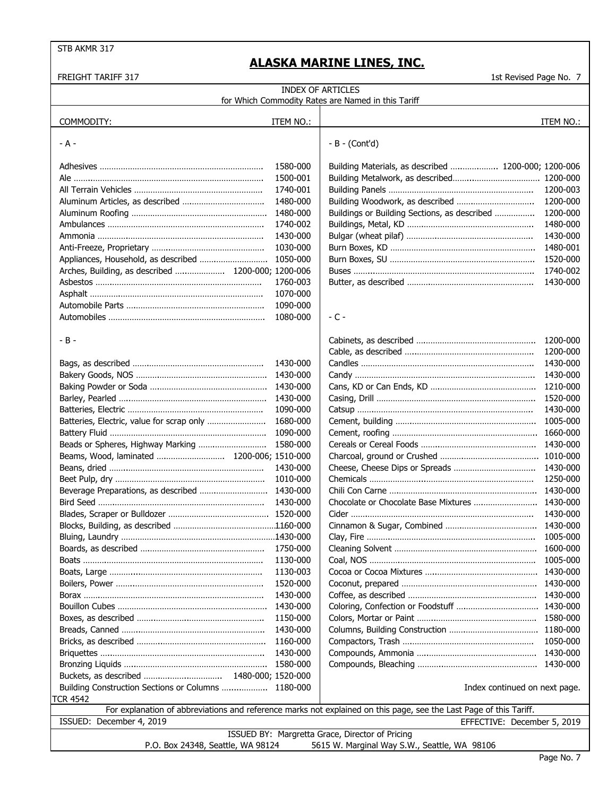| <b>INDEX OF ARTICLES</b><br>for Which Commodity Rates are Named in this Tariff |           |                                                                                                                    |           |  |
|--------------------------------------------------------------------------------|-----------|--------------------------------------------------------------------------------------------------------------------|-----------|--|
|                                                                                |           |                                                                                                                    |           |  |
| COMMODITY:                                                                     | ITEM NO.: |                                                                                                                    | ITEM NO.: |  |
| - A -                                                                          |           | $-B - (Cont'd)$                                                                                                    |           |  |
|                                                                                | 1580-000  | Building Materials, as described  1200-000; 1200-006                                                               |           |  |
| Ale ……………………………………………………………………                                                 | 1500-001  |                                                                                                                    |           |  |
|                                                                                | 1740-001  |                                                                                                                    | 1200-003  |  |
|                                                                                | 1480-000  | Building Woodwork, as described                                                                                    | 1200-000  |  |
|                                                                                | 1480-000  | Buildings or Building Sections, as described                                                                       | 1200-000  |  |
|                                                                                | 1740-002  |                                                                                                                    | 1480-000  |  |
|                                                                                | 1430-000  |                                                                                                                    | 1430-000  |  |
|                                                                                | 1030-000  |                                                                                                                    | 1480-001  |  |
| Appliances, Household, as described                                            | 1050-000  |                                                                                                                    | 1520-000  |  |
| Arches, Building, as described  1200-000; 1200-006                             |           |                                                                                                                    | 1740-002  |  |
|                                                                                | 1760-003  |                                                                                                                    | 1430-000  |  |
|                                                                                | 1070-000  |                                                                                                                    |           |  |
|                                                                                | 1090-000  |                                                                                                                    |           |  |
|                                                                                | 1080-000  | $-$ C $-$                                                                                                          |           |  |
| - B -                                                                          |           |                                                                                                                    | 1200-000  |  |
|                                                                                |           |                                                                                                                    | 1200-000  |  |
|                                                                                | 1430-000  |                                                                                                                    | 1430-000  |  |
|                                                                                |           |                                                                                                                    | 1430-000  |  |
|                                                                                |           |                                                                                                                    | 1210-000  |  |
|                                                                                | 1430-000  |                                                                                                                    | 1520-000  |  |
|                                                                                | 1090-000  |                                                                                                                    | 1430-000  |  |
| Batteries, Electric, value for scrap only                                      | 1680-000  |                                                                                                                    | 1005-000  |  |
|                                                                                | 1090-000  |                                                                                                                    | 1660-000  |  |
| Beads or Spheres, Highway Marking                                              | 1580-000  |                                                                                                                    | 1430-000  |  |
|                                                                                |           |                                                                                                                    |           |  |
|                                                                                | 1430-000  |                                                                                                                    | 1430-000  |  |
|                                                                                | 1010-000  |                                                                                                                    | 1250-000  |  |
| Beverage Preparations, as described                                            | 1430-000  |                                                                                                                    | 1430-000  |  |
|                                                                                | 1430-000  |                                                                                                                    |           |  |
|                                                                                |           |                                                                                                                    | 1430-000  |  |
|                                                                                |           |                                                                                                                    | 1430-000  |  |
|                                                                                |           |                                                                                                                    | 1005-000  |  |
|                                                                                | 1750-000  |                                                                                                                    | 1600-000  |  |
|                                                                                | 1130-000  |                                                                                                                    | 1005-000  |  |
|                                                                                | 1130-003  |                                                                                                                    |           |  |
|                                                                                | 1520-000  |                                                                                                                    |           |  |
|                                                                                | 1430-000  |                                                                                                                    |           |  |
|                                                                                | 1430-000  |                                                                                                                    |           |  |
|                                                                                | 1150-000  |                                                                                                                    | 1580-000  |  |
|                                                                                | 1430-000  |                                                                                                                    | 1180-000  |  |
|                                                                                | 1160-000  |                                                                                                                    | 1050-000  |  |
|                                                                                | 1430-000  |                                                                                                                    | 1430-000  |  |
|                                                                                |           |                                                                                                                    |           |  |
|                                                                                |           |                                                                                                                    |           |  |
| Building Construction Sections or Columns  1180-000                            |           | Index continued on next page.                                                                                      |           |  |
| TCR 4542                                                                       |           |                                                                                                                    |           |  |
|                                                                                |           | For explanation of abbreviations and reference marks not explained on this page, see the Last Page of this Tariff. |           |  |
| ISSUED: December 4, 2019                                                       |           | EFFECTIVE: December 5, 2019                                                                                        |           |  |
| P.O. Box 24348, Seattle, WA 98124                                              |           | ISSUED BY: Margretta Grace, Director of Pricing<br>5615 W. Marginal Way S.W., Seattle, WA 98106                    |           |  |
|                                                                                |           |                                                                                                                    |           |  |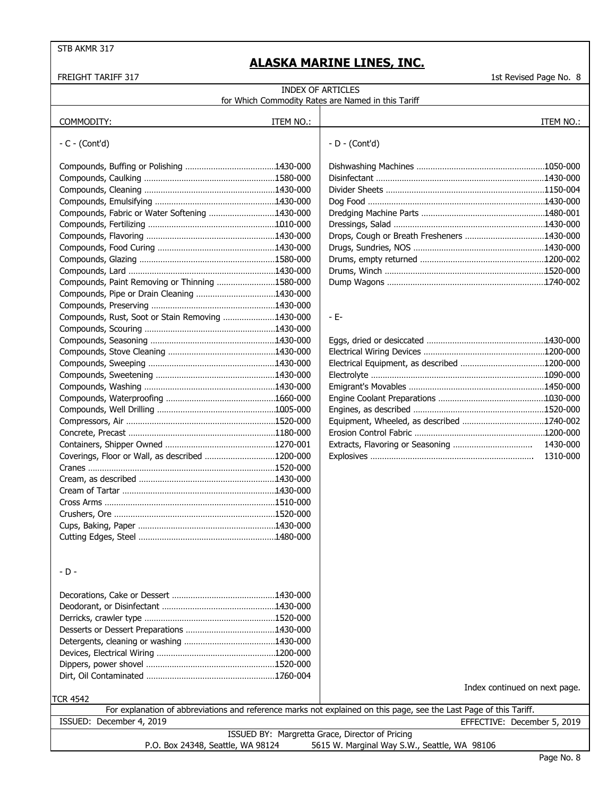## **ALASKA MARINE LINES, INC.**

| <b>INDEX OF ARTICLES</b>                         |           |                                                                                                                    |           |  |
|--------------------------------------------------|-----------|--------------------------------------------------------------------------------------------------------------------|-----------|--|
|                                                  |           | for Which Commodity Rates are Named in this Tariff                                                                 |           |  |
| COMMODITY:                                       | ITEM NO.: |                                                                                                                    | ITEM NO.: |  |
|                                                  |           |                                                                                                                    |           |  |
| $-C - (Cont'd)$                                  |           | - D - (Cont'd)                                                                                                     |           |  |
|                                                  |           |                                                                                                                    |           |  |
|                                                  |           |                                                                                                                    |           |  |
|                                                  |           |                                                                                                                    |           |  |
|                                                  |           |                                                                                                                    |           |  |
|                                                  |           |                                                                                                                    |           |  |
| Compounds, Fabric or Water Softening 1430-000    |           |                                                                                                                    |           |  |
|                                                  |           |                                                                                                                    |           |  |
|                                                  |           |                                                                                                                    |           |  |
|                                                  |           |                                                                                                                    |           |  |
|                                                  |           |                                                                                                                    |           |  |
|                                                  |           |                                                                                                                    |           |  |
| Compounds, Paint Removing or Thinning 1580-000   |           |                                                                                                                    |           |  |
|                                                  |           |                                                                                                                    |           |  |
|                                                  |           |                                                                                                                    |           |  |
| Compounds, Rust, Soot or Stain Removing 1430-000 |           | - E-                                                                                                               |           |  |
|                                                  |           |                                                                                                                    |           |  |
|                                                  |           |                                                                                                                    |           |  |
|                                                  |           |                                                                                                                    |           |  |
|                                                  |           |                                                                                                                    |           |  |
|                                                  |           |                                                                                                                    |           |  |
|                                                  |           |                                                                                                                    |           |  |
|                                                  |           |                                                                                                                    |           |  |
|                                                  |           |                                                                                                                    |           |  |
|                                                  |           |                                                                                                                    |           |  |
|                                                  |           |                                                                                                                    |           |  |
|                                                  |           |                                                                                                                    |           |  |
|                                                  |           |                                                                                                                    | 1430-000  |  |
| Coverings, Floor or Wall, as described 1200-000  |           |                                                                                                                    | 1310-000  |  |
|                                                  |           |                                                                                                                    |           |  |
|                                                  |           |                                                                                                                    |           |  |
|                                                  |           |                                                                                                                    |           |  |
|                                                  |           |                                                                                                                    |           |  |
|                                                  |           |                                                                                                                    |           |  |
|                                                  |           |                                                                                                                    |           |  |
|                                                  |           |                                                                                                                    |           |  |
|                                                  |           |                                                                                                                    |           |  |
|                                                  |           |                                                                                                                    |           |  |
| - D -                                            |           |                                                                                                                    |           |  |
|                                                  |           |                                                                                                                    |           |  |
|                                                  |           |                                                                                                                    |           |  |
|                                                  |           |                                                                                                                    |           |  |
|                                                  |           |                                                                                                                    |           |  |
|                                                  |           |                                                                                                                    |           |  |
|                                                  |           |                                                                                                                    |           |  |
|                                                  |           |                                                                                                                    |           |  |
|                                                  |           |                                                                                                                    |           |  |
|                                                  |           |                                                                                                                    |           |  |
|                                                  |           |                                                                                                                    |           |  |
|                                                  |           | Index continued on next page.                                                                                      |           |  |
| <b>TCR 4542</b>                                  |           |                                                                                                                    |           |  |
|                                                  |           | For explanation of abbreviations and reference marks not explained on this page, see the Last Page of this Tariff. |           |  |
| ISSUED: December 4, 2019                         |           | EFFECTIVE: December 5, 2019                                                                                        |           |  |
|                                                  |           | ISSUED BY: Margretta Grace, Director of Pricing                                                                    |           |  |
| P.O. Box 24348, Seattle, WA 98124                |           | 5615 W. Marginal Way S.W., Seattle, WA 98106                                                                       |           |  |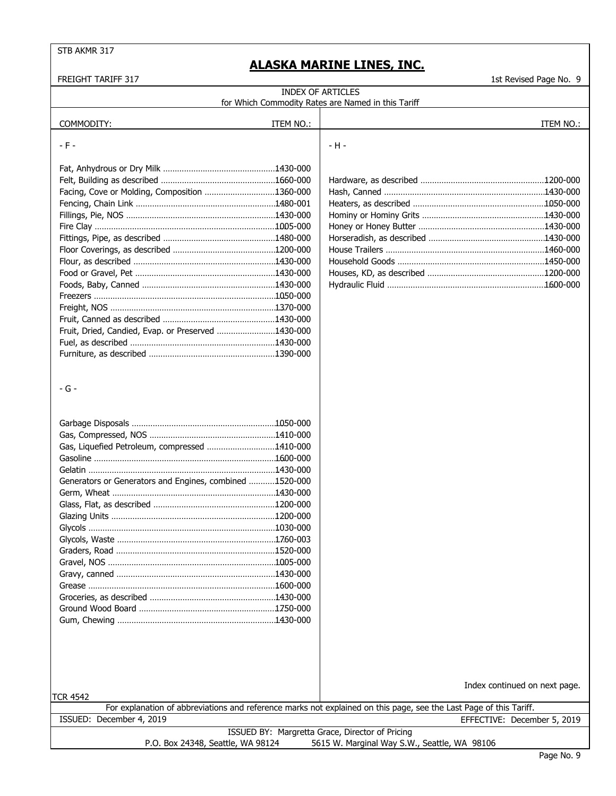| <b>FREIGHT TARIFF 317</b>                               |           | 1st Revised Page No. 9                                                                                             |
|---------------------------------------------------------|-----------|--------------------------------------------------------------------------------------------------------------------|
|                                                         |           | <b>INDEX OF ARTICLES</b>                                                                                           |
|                                                         |           | for Which Commodity Rates are Named in this Tariff                                                                 |
|                                                         |           |                                                                                                                    |
| COMMODITY:                                              | ITEM NO.: | ITEM NO.:                                                                                                          |
| $-F -$                                                  |           | - H -                                                                                                              |
|                                                         |           |                                                                                                                    |
|                                                         |           |                                                                                                                    |
|                                                         |           |                                                                                                                    |
| Facing, Cove or Molding, Composition 1360-000           |           |                                                                                                                    |
|                                                         |           |                                                                                                                    |
|                                                         |           |                                                                                                                    |
|                                                         |           |                                                                                                                    |
|                                                         |           |                                                                                                                    |
|                                                         |           |                                                                                                                    |
|                                                         |           |                                                                                                                    |
|                                                         |           |                                                                                                                    |
|                                                         |           |                                                                                                                    |
|                                                         |           |                                                                                                                    |
|                                                         |           |                                                                                                                    |
|                                                         |           |                                                                                                                    |
| Fruit, Dried, Candied, Evap. or Preserved 1430-000      |           |                                                                                                                    |
|                                                         |           |                                                                                                                    |
|                                                         |           |                                                                                                                    |
|                                                         |           |                                                                                                                    |
|                                                         |           |                                                                                                                    |
| - G -                                                   |           |                                                                                                                    |
|                                                         |           |                                                                                                                    |
|                                                         |           |                                                                                                                    |
|                                                         |           |                                                                                                                    |
|                                                         |           |                                                                                                                    |
| Gas, Liquefied Petroleum, compressed 1410-000           |           |                                                                                                                    |
|                                                         |           |                                                                                                                    |
|                                                         |           |                                                                                                                    |
| Generators or Generators and Engines, combined 1520-000 |           |                                                                                                                    |
|                                                         |           |                                                                                                                    |
|                                                         |           |                                                                                                                    |
|                                                         |           |                                                                                                                    |
|                                                         |           |                                                                                                                    |
|                                                         |           |                                                                                                                    |
|                                                         |           |                                                                                                                    |
|                                                         |           |                                                                                                                    |
|                                                         |           |                                                                                                                    |
|                                                         |           |                                                                                                                    |
|                                                         |           |                                                                                                                    |
|                                                         |           |                                                                                                                    |
|                                                         |           |                                                                                                                    |
|                                                         |           |                                                                                                                    |
|                                                         |           |                                                                                                                    |
|                                                         |           |                                                                                                                    |
|                                                         |           |                                                                                                                    |
|                                                         |           | Index continued on next page.                                                                                      |
| <b>TCR 4542</b>                                         |           |                                                                                                                    |
|                                                         |           | For explanation of abbreviations and reference marks not explained on this page, see the Last Page of this Tariff. |
| ISSUED: December 4, 2019                                |           | EFFECTIVE: December 5, 2019                                                                                        |
|                                                         |           | ISSUED BY: Margretta Grace, Director of Pricing                                                                    |
| P.O. Box 24348, Seattle, WA 98124                       |           | 5615 W. Marginal Way S.W., Seattle, WA 98106                                                                       |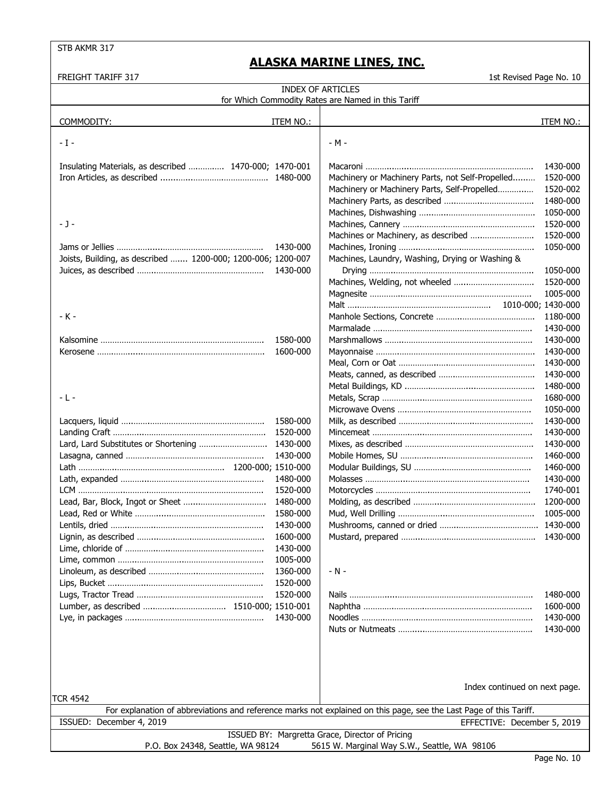| <b>INDEX OF ARTICLES</b><br>for Which Commodity Rates are Named in this Tariff    |                      |                                                                                                                                                   |           |
|-----------------------------------------------------------------------------------|----------------------|---------------------------------------------------------------------------------------------------------------------------------------------------|-----------|
|                                                                                   |                      |                                                                                                                                                   |           |
| COMMODITY:                                                                        | ITEM NO.:            |                                                                                                                                                   | ITEM NO.: |
| - I -                                                                             |                      | $-M -$                                                                                                                                            |           |
|                                                                                   |                      |                                                                                                                                                   |           |
| Insulating Materials, as described  1470-000; 1470-001                            |                      |                                                                                                                                                   | 1430-000  |
|                                                                                   |                      | Machinery or Machinery Parts, not Self-Propelled                                                                                                  | 1520-000  |
|                                                                                   |                      | Machinery or Machinery Parts, Self-Propelled                                                                                                      | 1520-002  |
|                                                                                   |                      |                                                                                                                                                   | 1480-000  |
|                                                                                   |                      |                                                                                                                                                   | 1050-000  |
| - J -                                                                             |                      |                                                                                                                                                   | 1520-000  |
|                                                                                   |                      | Machines or Machinery, as described                                                                                                               | 1520-000  |
|                                                                                   | 1430-000             |                                                                                                                                                   | 1050-000  |
| Joists, Building, as described  1200-000; 1200-006; 1200-007                      | 1430-000             | Machines, Laundry, Washing, Drying or Washing &                                                                                                   | 1050-000  |
|                                                                                   |                      |                                                                                                                                                   | 1520-000  |
|                                                                                   |                      |                                                                                                                                                   | 1005-000  |
|                                                                                   |                      |                                                                                                                                                   |           |
| - K -                                                                             |                      |                                                                                                                                                   | 1180-000  |
|                                                                                   |                      |                                                                                                                                                   | 1430-000  |
|                                                                                   | 1580-000             |                                                                                                                                                   | 1430-000  |
|                                                                                   | 1600-000             |                                                                                                                                                   | 1430-000  |
|                                                                                   |                      |                                                                                                                                                   | 1430-000  |
|                                                                                   |                      |                                                                                                                                                   | 1430-000  |
|                                                                                   |                      |                                                                                                                                                   | 1480-000  |
| - L -                                                                             |                      |                                                                                                                                                   | 1680-000  |
|                                                                                   |                      |                                                                                                                                                   | 1050-000  |
|                                                                                   | 1580-000             |                                                                                                                                                   | 1430-000  |
|                                                                                   | 1520-000             |                                                                                                                                                   | 1430-000  |
|                                                                                   |                      |                                                                                                                                                   | 1430-000  |
|                                                                                   | 1430-000             |                                                                                                                                                   | 1460-000  |
|                                                                                   |                      |                                                                                                                                                   | 1460-000  |
|                                                                                   | 1480-000             |                                                                                                                                                   | 1430-000  |
|                                                                                   | 1520-000             |                                                                                                                                                   | 1740-001  |
|                                                                                   | 1480-000             |                                                                                                                                                   | 1200-000  |
|                                                                                   | 1580-000             |                                                                                                                                                   | 1005-000  |
|                                                                                   | 1430-000             |                                                                                                                                                   | 1430-000  |
|                                                                                   | 1600-000<br>1430-000 |                                                                                                                                                   |           |
|                                                                                   | 1005-000             |                                                                                                                                                   |           |
|                                                                                   | 1360-000             | - N -                                                                                                                                             |           |
|                                                                                   | 1520-000             |                                                                                                                                                   |           |
|                                                                                   | 1520-000             |                                                                                                                                                   | 1480-000  |
|                                                                                   |                      |                                                                                                                                                   | 1600-000  |
|                                                                                   | 1430-000             |                                                                                                                                                   | 1430-000  |
|                                                                                   |                      |                                                                                                                                                   | 1430-000  |
|                                                                                   |                      |                                                                                                                                                   |           |
|                                                                                   |                      |                                                                                                                                                   |           |
|                                                                                   |                      |                                                                                                                                                   |           |
|                                                                                   |                      |                                                                                                                                                   |           |
|                                                                                   |                      | Index continued on next page.                                                                                                                     |           |
| TCR 4542                                                                          |                      |                                                                                                                                                   |           |
| ISSUED: December 4, 2019                                                          |                      | For explanation of abbreviations and reference marks not explained on this page, see the Last Page of this Tariff.<br>EFFECTIVE: December 5, 2019 |           |
|                                                                                   |                      | ISSUED BY: Margretta Grace, Director of Pricing                                                                                                   |           |
| P.O. Box 24348, Seattle, WA 98124<br>5615 W. Marginal Way S.W., Seattle, WA 98106 |                      |                                                                                                                                                   |           |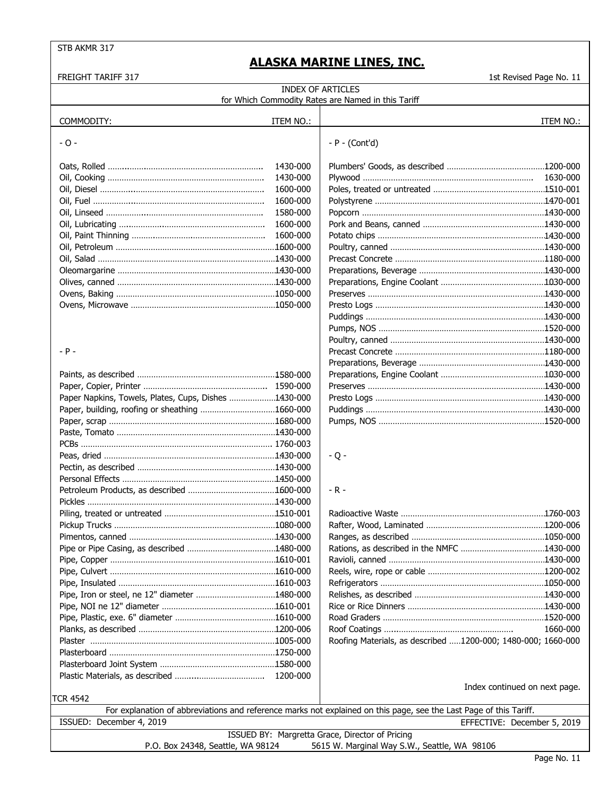| <b>INDEX OF ARTICLES</b><br>for Which Commodity Rates are Named in this Tariff                                                 |           |                                                              |           |
|--------------------------------------------------------------------------------------------------------------------------------|-----------|--------------------------------------------------------------|-----------|
| COMMODITY:                                                                                                                     | ITEM NO.: |                                                              | ITEM NO.: |
| $-0-$                                                                                                                          |           | $-P - (Conttd)$                                              |           |
|                                                                                                                                | 1430-000  |                                                              |           |
|                                                                                                                                | 1430-000  |                                                              |           |
|                                                                                                                                | 1600-000  |                                                              |           |
|                                                                                                                                | 1600-000  |                                                              |           |
|                                                                                                                                | 1580-000  |                                                              |           |
|                                                                                                                                | 1600-000  |                                                              |           |
|                                                                                                                                | 1600-000  |                                                              |           |
|                                                                                                                                |           |                                                              |           |
|                                                                                                                                |           |                                                              |           |
|                                                                                                                                |           |                                                              |           |
|                                                                                                                                |           |                                                              |           |
|                                                                                                                                |           |                                                              |           |
|                                                                                                                                |           |                                                              |           |
|                                                                                                                                |           |                                                              |           |
|                                                                                                                                |           |                                                              |           |
|                                                                                                                                |           |                                                              |           |
| $- P -$                                                                                                                        |           |                                                              |           |
|                                                                                                                                |           |                                                              |           |
|                                                                                                                                |           |                                                              |           |
|                                                                                                                                |           |                                                              |           |
| Paper Napkins, Towels, Plates, Cups, Dishes 1430-000                                                                           |           |                                                              |           |
| Paper, building, roofing or sheathing 1660-000                                                                                 |           |                                                              |           |
|                                                                                                                                |           |                                                              |           |
|                                                                                                                                |           |                                                              |           |
|                                                                                                                                |           |                                                              |           |
|                                                                                                                                |           | $-Q -$                                                       |           |
|                                                                                                                                |           |                                                              |           |
|                                                                                                                                |           |                                                              |           |
|                                                                                                                                |           | - R -                                                        |           |
|                                                                                                                                |           |                                                              |           |
|                                                                                                                                |           |                                                              |           |
|                                                                                                                                |           |                                                              |           |
|                                                                                                                                |           |                                                              |           |
|                                                                                                                                |           |                                                              |           |
|                                                                                                                                |           |                                                              |           |
|                                                                                                                                |           |                                                              |           |
|                                                                                                                                |           |                                                              |           |
|                                                                                                                                |           |                                                              |           |
|                                                                                                                                |           |                                                              |           |
|                                                                                                                                |           |                                                              |           |
|                                                                                                                                |           |                                                              | 1660-000  |
|                                                                                                                                |           | Roofing Materials, as described 1200-000; 1480-000; 1660-000 |           |
|                                                                                                                                |           |                                                              |           |
|                                                                                                                                |           |                                                              |           |
|                                                                                                                                |           |                                                              |           |
| Index continued on next page.                                                                                                  |           |                                                              |           |
| TCR 4542<br>For explanation of abbreviations and reference marks not explained on this page, see the Last Page of this Tariff. |           |                                                              |           |
| ISSUED: December 4, 2019                                                                                                       |           | EFFECTIVE: December 5, 2019                                  |           |
|                                                                                                                                |           | ISSUED BY: Margretta Grace, Director of Pricing              |           |
| P.O. Box 24348, Seattle, WA 98124<br>5615 W. Marginal Way S.W., Seattle, WA 98106                                              |           |                                                              |           |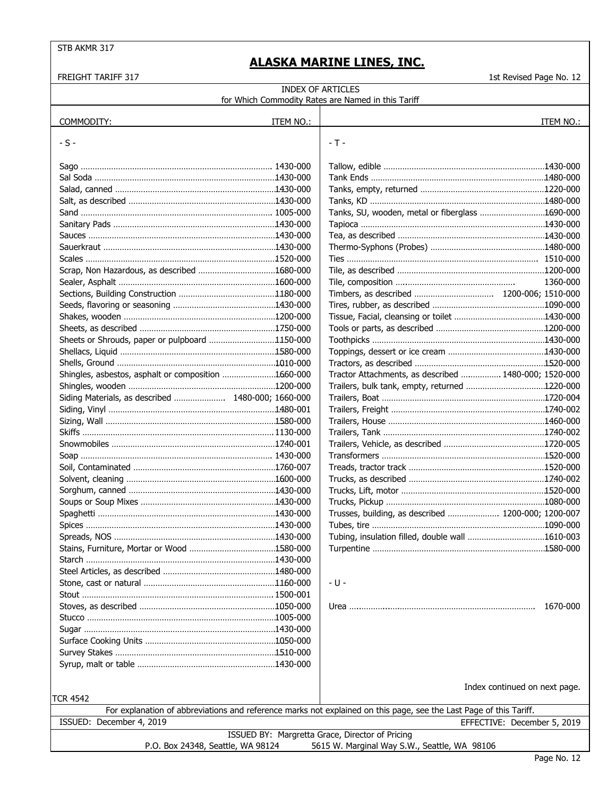| <b>INDEX OF ARTICLES</b><br>for Which Commodity Rates are Named in this Tariff |           |                                                                                                                    |                             |
|--------------------------------------------------------------------------------|-----------|--------------------------------------------------------------------------------------------------------------------|-----------------------------|
|                                                                                |           |                                                                                                                    |                             |
| COMMODITY:                                                                     | ITEM NO.: |                                                                                                                    | ITEM NO.:                   |
| $-S -$                                                                         |           | $-T -$                                                                                                             |                             |
|                                                                                |           |                                                                                                                    |                             |
|                                                                                |           |                                                                                                                    |                             |
|                                                                                |           |                                                                                                                    |                             |
|                                                                                |           |                                                                                                                    |                             |
|                                                                                |           |                                                                                                                    |                             |
|                                                                                |           | Tanks, SU, wooden, metal or fiberglass 1690-000                                                                    |                             |
|                                                                                |           |                                                                                                                    |                             |
|                                                                                |           |                                                                                                                    |                             |
|                                                                                |           |                                                                                                                    |                             |
|                                                                                |           |                                                                                                                    |                             |
|                                                                                |           |                                                                                                                    |                             |
|                                                                                |           |                                                                                                                    | 1360-000                    |
|                                                                                |           |                                                                                                                    |                             |
|                                                                                |           |                                                                                                                    |                             |
|                                                                                |           |                                                                                                                    |                             |
|                                                                                |           |                                                                                                                    |                             |
| Sheets or Shrouds, paper or pulpboard 1150-000                                 |           |                                                                                                                    |                             |
|                                                                                |           |                                                                                                                    |                             |
|                                                                                |           |                                                                                                                    |                             |
| Shingles, asbestos, asphalt or composition 1660-000                            |           | Tractor Attachments, as described  1480-000; 1520-000                                                              |                             |
|                                                                                |           |                                                                                                                    |                             |
|                                                                                |           |                                                                                                                    |                             |
| Siding Materials, as described  1480-000; 1660-000                             |           |                                                                                                                    |                             |
|                                                                                |           |                                                                                                                    |                             |
|                                                                                |           |                                                                                                                    |                             |
|                                                                                |           |                                                                                                                    |                             |
|                                                                                |           |                                                                                                                    |                             |
|                                                                                |           |                                                                                                                    |                             |
|                                                                                |           |                                                                                                                    |                             |
|                                                                                |           |                                                                                                                    |                             |
|                                                                                |           |                                                                                                                    |                             |
|                                                                                |           |                                                                                                                    |                             |
|                                                                                |           | Trusses, building, as described  1200-000; 1200-007                                                                |                             |
|                                                                                |           |                                                                                                                    |                             |
|                                                                                |           |                                                                                                                    |                             |
|                                                                                |           |                                                                                                                    |                             |
|                                                                                |           |                                                                                                                    |                             |
|                                                                                |           |                                                                                                                    |                             |
|                                                                                |           | - U -                                                                                                              |                             |
|                                                                                |           |                                                                                                                    |                             |
|                                                                                |           |                                                                                                                    | 1670-000                    |
|                                                                                |           |                                                                                                                    |                             |
|                                                                                |           |                                                                                                                    |                             |
|                                                                                |           |                                                                                                                    |                             |
|                                                                                |           |                                                                                                                    |                             |
|                                                                                |           |                                                                                                                    |                             |
|                                                                                |           |                                                                                                                    |                             |
| Index continued on next page.                                                  |           |                                                                                                                    |                             |
| <b>TCR 4542</b>                                                                |           |                                                                                                                    |                             |
|                                                                                |           | For explanation of abbreviations and reference marks not explained on this page, see the Last Page of this Tariff. |                             |
| ISSUED: December 4, 2019                                                       |           |                                                                                                                    | EFFECTIVE: December 5, 2019 |
| P.O. Box 24348, Seattle, WA 98124                                              |           | ISSUED BY: Margretta Grace, Director of Pricing<br>5615 W. Marginal Way S.W., Seattle, WA 98106                    |                             |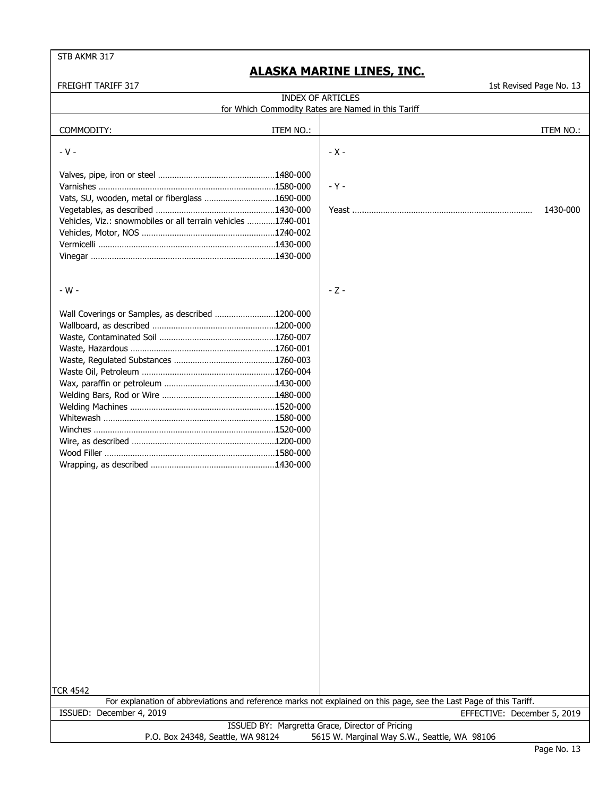FREIGHT TARIFF 317 1st Revised Page No. 13

INDEX OF ARTICLES for Which Commodity Rates are Named in this Tariff

COMMODITY: ITEM NO.: ITEM NO.: - V - 2008 - 2009 - 2009 - 2009 - 2009 - 2009 - 2009 - 2009 - 2009 - 2009 - 2009 - 2009 - 2009 - 2009 - 2009 -Valves, pipe, iron or steel ………………………………………………1480-000 … Varnishes ………………………………………………………………………1580-000 | - Y -Vats, SU, wooden, metal or fiberglass ……………………………1690-000 … Vegetables, as described ………………………………………………1430-000 Yeast .….……………………………………………………………… 1430-000 … Vehicles, Viz.: snowmobiles or all terrain vehicles ……………1740-001 … Vehicles, Motor, NOS ……………………………………………………1740-002 … Vermicelli ……………………………………………………………………1430-000 … Vinegar ………………………………………………………………………. 1430-000 - W -  $\sim$  2 -Wall Coverings or Samples, as described …………………………1200-000 … Wallboard, as described …………………………………………………1200-000 Waste, Contaminated Soil ……………………………………………… 1760-007 Waste, Hazardous …………………………………………………………1760-001 … Waste, Regulated Substances …………………………………………1760-003 Waste Oil, Petroleum ……………………………………………………1760-004 … Wax, paraffin or petroleum ……………………………………………1430-000 … Welding Bars, Rod or Wire ……………………………………………1480-000 … Welding Machines …………………………………………………………1520-000 … Whitewash ……………………………………………………………………1580-000 Winches ………………………………………………………………………. 1520-000 Wire, as described …………………………………………………………1200-000 Wood Filler …………………………………………………………………1580-000 … Wrapping, as described …………………………………………………1430-000 … TCR 4542 For explanation of abbreviations and reference marks not explained on this page, see the Last Page of this Tariff. ISSUED BY: Margretta Grace, Director of Pricing ISSUED: December 4, 2019 EFFECTIVE: December 5, 2019

P.O. Box 24348, Seattle, WA 98124 5615 W. Marginal Way S.W., Seattle, WA 98106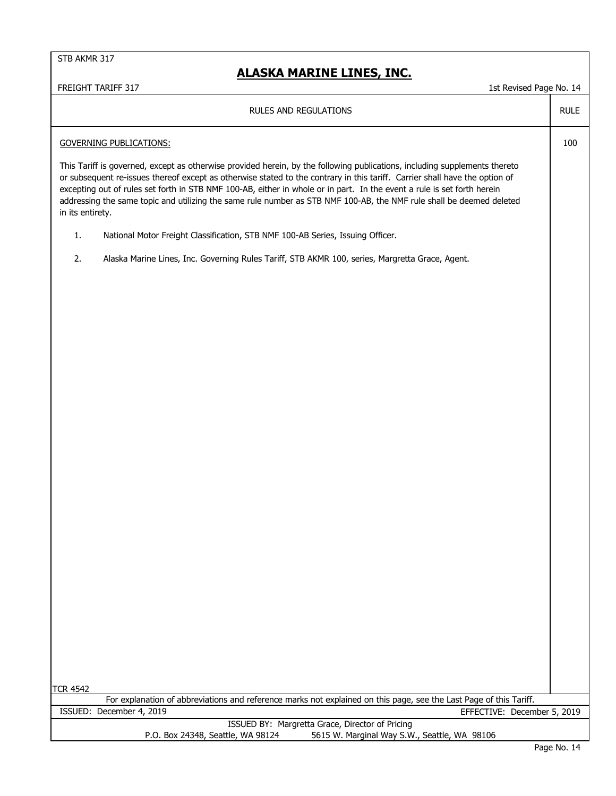## **ALASKA MARINE LINES, INC.**

# FREIGHT TARIFF 317 1st Revised Page No. 14 RULE 100 This Tariff is governed, except as otherwise provided herein, by the following publications, including supplements thereto or subsequent re-issues thereof except as otherwise stated to the contrary in this tariff. Carrier shall have the option of excepting out of rules set forth in STB NMF 100-AB, either in whole or in part. In the event a rule is set forth herein addressing the same topic and utilizing the same rule number as STB NMF 100-AB, the NMF rule shall be deemed deleted in its entirety. 1. National Motor Freight Classification, STB NMF 100-AB Series, Issuing Officer. 2. Alaska Marine Lines, Inc. Governing Rules Tariff, STB AKMR 100, series, Margretta Grace, Agent. TCR 4542 RULES AND REGULATIONS For explanation of abbreviations and reference marks not explained on this page, see the Last Page of this Tariff. GOVERNING PUBLICATIONS: ISSUED BY: Margretta Grace, Director of Pricing P.O. Box 24348, Seattle, WA 98124 5615 W. Marginal Way S.W., Seattle, WA 98106 ISSUED: December 4, 2019 EFFECTIVE: December 5, 2019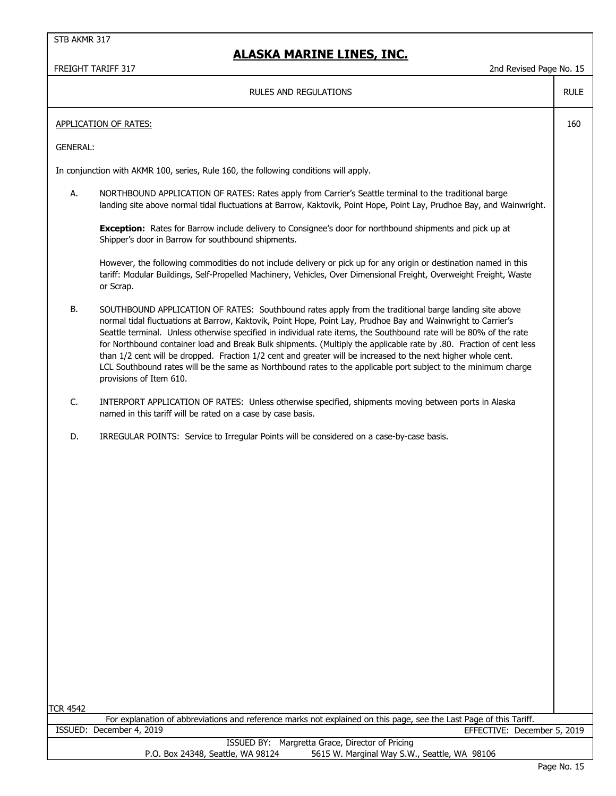## **ALASKA MARINE LINES, INC.**

FREIGHT TARIFF 317 2nd Revised Page No. 15

RULE

160

#### RULES AND REGULATIONS

#### APPLICATION OF RATES:

GENERAL:

In conjunction with AKMR 100, series, Rule 160, the following conditions will apply.

A. NORTHBOUND APPLICATION OF RATES: Rates apply from Carrier's Seattle terminal to the traditional barge landing site above normal tidal fluctuations at Barrow, Kaktovik, Point Hope, Point Lay, Prudhoe Bay, and Wainwright.

**Exception:** Rates for Barrow include delivery to Consignee's door for northbound shipments and pick up at Shipper's door in Barrow for southbound shipments.

However, the following commodities do not include delivery or pick up for any origin or destination named in this tariff: Modular Buildings, Self-Propelled Machinery, Vehicles, Over Dimensional Freight, Overweight Freight, Waste or Scrap.

B. SOUTHBOUND APPLICATION OF RATES: Southbound rates apply from the traditional barge landing site above normal tidal fluctuations at Barrow, Kaktovik, Point Hope, Point Lay, Prudhoe Bay and Wainwright to Carrier's Seattle terminal. Unless otherwise specified in individual rate items, the Southbound rate will be 80% of the rate for Northbound container load and Break Bulk shipments. (Multiply the applicable rate by .80. Fraction of cent less than 1/2 cent will be dropped. Fraction 1/2 cent and greater will be increased to the next higher whole cent. LCL Southbound rates will be the same as Northbound rates to the applicable port subject to the minimum charge provisions of Item 610.

- C. INTERPORT APPLICATION OF RATES: Unless otherwise specified, shipments moving between ports in Alaska named in this tariff will be rated on a case by case basis.
- D. IRREGULAR POINTS: Service to Irregular Points will be considered on a case-by-case basis.

TCR 4542

For explanation of abbreviations and reference marks not explained on this page, see the Last Page of this Tariff. ISSUED: December 4, 2019 EFFECTIVE: December 5, 2019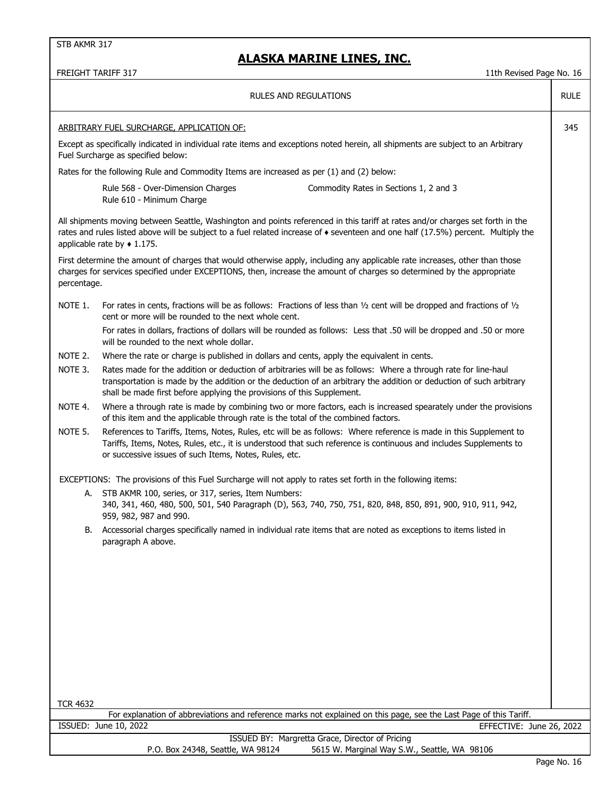|                                                  | <b>FREIGHT TARIFF 317</b><br>11th Revised Page No. 16                                                                                                                                                                                                                                                                |             |  |
|--------------------------------------------------|----------------------------------------------------------------------------------------------------------------------------------------------------------------------------------------------------------------------------------------------------------------------------------------------------------------------|-------------|--|
|                                                  | RULES AND REGULATIONS                                                                                                                                                                                                                                                                                                | <b>RULE</b> |  |
| 345<br>ARBITRARY FUEL SURCHARGE, APPLICATION OF: |                                                                                                                                                                                                                                                                                                                      |             |  |
|                                                  | Except as specifically indicated in individual rate items and exceptions noted herein, all shipments are subject to an Arbitrary<br>Fuel Surcharge as specified below:                                                                                                                                               |             |  |
|                                                  | Rates for the following Rule and Commodity Items are increased as per (1) and (2) below:                                                                                                                                                                                                                             |             |  |
|                                                  | Rule 568 - Over-Dimension Charges<br>Commodity Rates in Sections 1, 2 and 3<br>Rule 610 - Minimum Charge                                                                                                                                                                                                             |             |  |
|                                                  | All shipments moving between Seattle, Washington and points referenced in this tariff at rates and/or charges set forth in the<br>rates and rules listed above will be subject to a fuel related increase of $\bullet$ seventeen and one half (17.5%) percent. Multiply the<br>applicable rate by $\triangle$ 1.175. |             |  |
| percentage.                                      | First determine the amount of charges that would otherwise apply, including any applicable rate increases, other than those<br>charges for services specified under EXCEPTIONS, then, increase the amount of charges so determined by the appropriate                                                                |             |  |
| NOTE 1.                                          | For rates in cents, fractions will be as follows: Fractions of less than $1/2$ cent will be dropped and fractions of $1/2$<br>cent or more will be rounded to the next whole cent.                                                                                                                                   |             |  |
|                                                  | For rates in dollars, fractions of dollars will be rounded as follows: Less that .50 will be dropped and .50 or more<br>will be rounded to the next whole dollar.                                                                                                                                                    |             |  |
| NOTE 2.                                          | Where the rate or charge is published in dollars and cents, apply the equivalent in cents.                                                                                                                                                                                                                           |             |  |
| NOTE 3.                                          | Rates made for the addition or deduction of arbitraries will be as follows: Where a through rate for line-haul<br>transportation is made by the addition or the deduction of an arbitrary the addition or deduction of such arbitrary<br>shall be made first before applying the provisions of this Supplement.      |             |  |
| NOTE 4.                                          | Where a through rate is made by combining two or more factors, each is increased spearately under the provisions<br>of this item and the applicable through rate is the total of the combined factors.                                                                                                               |             |  |
| NOTE 5.                                          | References to Tariffs, Items, Notes, Rules, etc will be as follows: Where reference is made in this Supplement to<br>Tariffs, Items, Notes, Rules, etc., it is understood that such reference is continuous and includes Supplements to<br>or successive issues of such Items, Notes, Rules, etc.                    |             |  |
|                                                  | EXCEPTIONS: The provisions of this Fuel Surcharge will not apply to rates set forth in the following items:                                                                                                                                                                                                          |             |  |
|                                                  | A. STB AKMR 100, series, or 317, series, Item Numbers:<br>340, 341, 460, 480, 500, 501, 540 Paragraph (D), 563, 740, 750, 751, 820, 848, 850, 891, 900, 910, 911, 942,<br>959, 982, 987 and 990.                                                                                                                     |             |  |
| В.                                               | Accessorial charges specifically named in individual rate items that are noted as exceptions to items listed in<br>paragraph A above.                                                                                                                                                                                |             |  |
|                                                  |                                                                                                                                                                                                                                                                                                                      |             |  |
|                                                  |                                                                                                                                                                                                                                                                                                                      |             |  |
|                                                  |                                                                                                                                                                                                                                                                                                                      |             |  |
|                                                  |                                                                                                                                                                                                                                                                                                                      |             |  |
|                                                  |                                                                                                                                                                                                                                                                                                                      |             |  |
| <b>TCR 4632</b>                                  |                                                                                                                                                                                                                                                                                                                      |             |  |
|                                                  | For explanation of abbreviations and reference marks not explained on this page, see the Last Page of this Tariff.<br>ISSUED: June 10, 2022<br>EFFECTIVE: June 26, 2022                                                                                                                                              |             |  |
|                                                  | ISSUED BY: Margretta Grace, Director of Pricing                                                                                                                                                                                                                                                                      |             |  |
|                                                  | 5615 W. Marginal Way S.W., Seattle, WA 98106<br>P.O. Box 24348, Seattle, WA 98124                                                                                                                                                                                                                                    |             |  |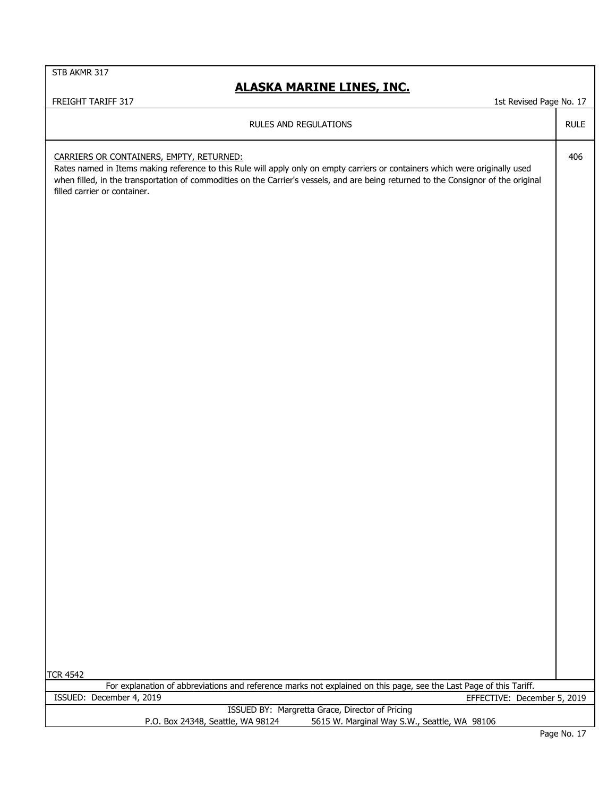| FREIGHT TARIFF 317<br>1st Revised Page No. 17                                                                                                                                                                                                                                                                                                    |             |
|--------------------------------------------------------------------------------------------------------------------------------------------------------------------------------------------------------------------------------------------------------------------------------------------------------------------------------------------------|-------------|
| RULES AND REGULATIONS                                                                                                                                                                                                                                                                                                                            | <b>RULE</b> |
| CARRIERS OR CONTAINERS, EMPTY, RETURNED:<br>Rates named in Items making reference to this Rule will apply only on empty carriers or containers which were originally used<br>when filled, in the transportation of commodities on the Carrier's vessels, and are being returned to the Consignor of the original<br>filled carrier or container. | 406         |
|                                                                                                                                                                                                                                                                                                                                                  |             |
| <b>TCR 4542</b>                                                                                                                                                                                                                                                                                                                                  |             |
| For explanation of abbreviations and reference marks not explained on this page, see the Last Page of this Tariff.                                                                                                                                                                                                                               |             |
| ISSUED: December 4, 2019<br>EFFECTIVE: December 5, 2019                                                                                                                                                                                                                                                                                          |             |
| ISSUED BY: Margretta Grace, Director of Pricing                                                                                                                                                                                                                                                                                                  |             |
| P.O. Box 24348, Seattle, WA 98124<br>5615 W. Marginal Way S.W., Seattle, WA 98106                                                                                                                                                                                                                                                                |             |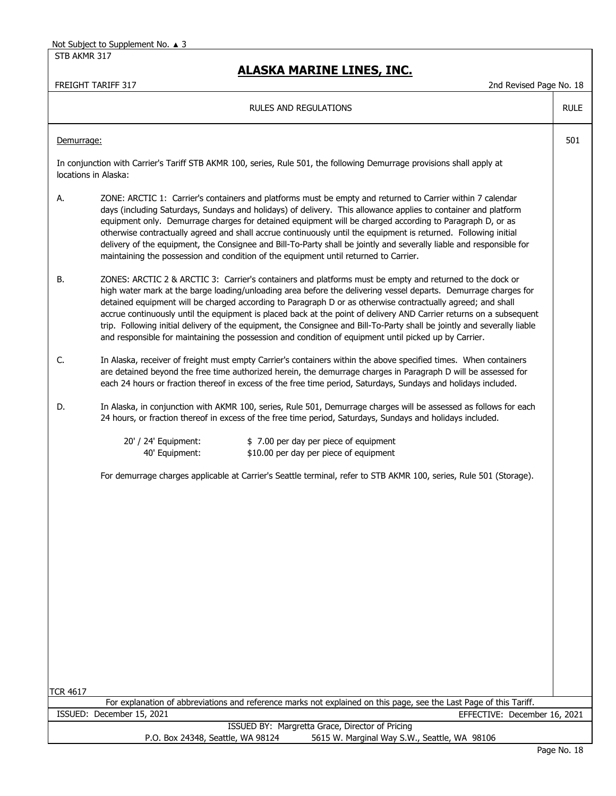STB AKMR 317

## **ALASKA MARINE LINES, INC.**

| <b>RULES AND REGULATIONS</b>                                                                                                                                                                                                                                                                                                                                                                                                                                                                                                                                                                                                                                                                                 | <b>RULE</b> |
|--------------------------------------------------------------------------------------------------------------------------------------------------------------------------------------------------------------------------------------------------------------------------------------------------------------------------------------------------------------------------------------------------------------------------------------------------------------------------------------------------------------------------------------------------------------------------------------------------------------------------------------------------------------------------------------------------------------|-------------|
| Demurrage:                                                                                                                                                                                                                                                                                                                                                                                                                                                                                                                                                                                                                                                                                                   | 501         |
| In conjunction with Carrier's Tariff STB AKMR 100, series, Rule 501, the following Demurrage provisions shall apply at<br>locations in Alaska:                                                                                                                                                                                                                                                                                                                                                                                                                                                                                                                                                               |             |
| ZONE: ARCTIC 1: Carrier's containers and platforms must be empty and returned to Carrier within 7 calendar<br>А.<br>days (including Saturdays, Sundays and holidays) of delivery. This allowance applies to container and platform<br>equipment only. Demurrage charges for detained equipment will be charged according to Paragraph D, or as<br>otherwise contractually agreed and shall accrue continuously until the equipment is returned. Following initial<br>delivery of the equipment, the Consignee and Bill-To-Party shall be jointly and severally liable and responsible for<br>maintaining the possession and condition of the equipment until returned to Carrier.                            |             |
| ZONES: ARCTIC 2 & ARCTIC 3: Carrier's containers and platforms must be empty and returned to the dock or<br>В.<br>high water mark at the barge loading/unloading area before the delivering vessel departs. Demurrage charges for<br>detained equipment will be charged according to Paragraph D or as otherwise contractually agreed; and shall<br>accrue continuously until the equipment is placed back at the point of delivery AND Carrier returns on a subsequent<br>trip. Following initial delivery of the equipment, the Consignee and Bill-To-Party shall be jointly and severally liable<br>and responsible for maintaining the possession and condition of equipment until picked up by Carrier. |             |
| C.<br>In Alaska, receiver of freight must empty Carrier's containers within the above specified times. When containers<br>are detained beyond the free time authorized herein, the demurrage charges in Paragraph D will be assessed for<br>each 24 hours or fraction thereof in excess of the free time period, Saturdays, Sundays and holidays included.                                                                                                                                                                                                                                                                                                                                                   |             |
| In Alaska, in conjunction with AKMR 100, series, Rule 501, Demurrage charges will be assessed as follows for each<br>D.<br>24 hours, or fraction thereof in excess of the free time period, Saturdays, Sundays and holidays included.                                                                                                                                                                                                                                                                                                                                                                                                                                                                        |             |
| 20' / 24' Equipment:<br>\$7.00 per day per piece of equipment<br>40' Equipment:<br>\$10.00 per day per piece of equipment                                                                                                                                                                                                                                                                                                                                                                                                                                                                                                                                                                                    |             |
| For demurrage charges applicable at Carrier's Seattle terminal, refer to STB AKMR 100, series, Rule 501 (Storage).                                                                                                                                                                                                                                                                                                                                                                                                                                                                                                                                                                                           |             |
|                                                                                                                                                                                                                                                                                                                                                                                                                                                                                                                                                                                                                                                                                                              |             |
|                                                                                                                                                                                                                                                                                                                                                                                                                                                                                                                                                                                                                                                                                                              |             |
| <b>TCR 4617</b>                                                                                                                                                                                                                                                                                                                                                                                                                                                                                                                                                                                                                                                                                              |             |
| For explanation of abbreviations and reference marks not explained on this page, see the Last Page of this Tariff.                                                                                                                                                                                                                                                                                                                                                                                                                                                                                                                                                                                           |             |
| ISSUED: December 15, 2021<br>EFFECTIVE: December 16, 2021                                                                                                                                                                                                                                                                                                                                                                                                                                                                                                                                                                                                                                                    |             |
| ISSUED BY: Margretta Grace, Director of Pricing                                                                                                                                                                                                                                                                                                                                                                                                                                                                                                                                                                                                                                                              |             |
| 5615 W. Marginal Way S.W., Seattle, WA 98106<br>P.O. Box 24348, Seattle, WA 98124                                                                                                                                                                                                                                                                                                                                                                                                                                                                                                                                                                                                                            | Page No. 18 |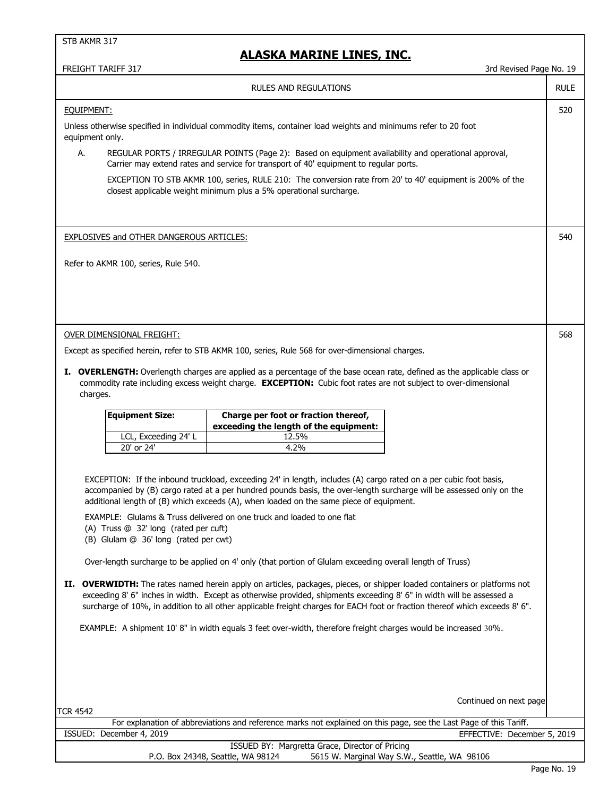| 3rd Revised Page No. 19<br>FREIGHT TARIFF 317                                                                                                                                                                                                                                                                                                                                                                                                                                                                                                                                                                                                                                                                                                                                                                                                                                                                                                                                                                                                                                                                                                                                                                                                                                           |             |  |
|-----------------------------------------------------------------------------------------------------------------------------------------------------------------------------------------------------------------------------------------------------------------------------------------------------------------------------------------------------------------------------------------------------------------------------------------------------------------------------------------------------------------------------------------------------------------------------------------------------------------------------------------------------------------------------------------------------------------------------------------------------------------------------------------------------------------------------------------------------------------------------------------------------------------------------------------------------------------------------------------------------------------------------------------------------------------------------------------------------------------------------------------------------------------------------------------------------------------------------------------------------------------------------------------|-------------|--|
| RULES AND REGULATIONS                                                                                                                                                                                                                                                                                                                                                                                                                                                                                                                                                                                                                                                                                                                                                                                                                                                                                                                                                                                                                                                                                                                                                                                                                                                                   | <b>RULE</b> |  |
| EQUIPMENT:<br>Unless otherwise specified in individual commodity items, container load weights and minimums refer to 20 foot<br>equipment only.<br>REGULAR PORTS / IRREGULAR POINTS (Page 2): Based on equipment availability and operational approval,<br>А.<br>Carrier may extend rates and service for transport of 40' equipment to regular ports.<br>EXCEPTION TO STB AKMR 100, series, RULE 210: The conversion rate from 20' to 40' equipment is 200% of the<br>closest applicable weight minimum plus a 5% operational surcharge.<br><b>EXPLOSIVES and OTHER DANGEROUS ARTICLES:</b><br>Refer to AKMR 100, series, Rule 540.                                                                                                                                                                                                                                                                                                                                                                                                                                                                                                                                                                                                                                                    | 520<br>540  |  |
| OVER DIMENSIONAL FREIGHT:<br>Except as specified herein, refer to STB AKMR 100, series, Rule 568 for over-dimensional charges.<br>I. OVERLENGTH: Overlength charges are applied as a percentage of the base ocean rate, defined as the applicable class or<br>commodity rate including excess weight charge. EXCEPTION: Cubic foot rates are not subject to over-dimensional<br>charges.                                                                                                                                                                                                                                                                                                                                                                                                                                                                                                                                                                                                                                                                                                                                                                                                                                                                                                | 568         |  |
| Charge per foot or fraction thereof,<br><b>Equipment Size:</b><br>exceeding the length of the equipment:<br>LCL, Exceeding 24' L<br>12.5%<br>20' or 24'<br>4.2%<br>EXCEPTION: If the inbound truckload, exceeding 24' in length, includes (A) cargo rated on a per cubic foot basis,<br>accompanied by (B) cargo rated at a per hundred pounds basis, the over-length surcharge will be assessed only on the<br>additional length of (B) which exceeds (A), when loaded on the same piece of equipment.<br>EXAMPLE: Glulams & Truss delivered on one truck and loaded to one flat<br>(A) Truss @ 32' long (rated per cuft)<br>(B) Glulam @ 36' long (rated per cwt)<br>Over-length surcharge to be applied on 4' only (that portion of Glulam exceeding overall length of Truss)<br>II. OVERWIDTH: The rates named herein apply on articles, packages, pieces, or shipper loaded containers or platforms not<br>exceeding 8' 6" inches in width. Except as otherwise provided, shipments exceeding 8' 6" in width will be assessed a<br>surcharge of 10%, in addition to all other applicable freight charges for EACH foot or fraction thereof which exceeds 8' 6".<br>EXAMPLE: A shipment 10' 8" in width equals 3 feet over-width, therefore freight charges would be increased 30%. |             |  |
| Continued on next page<br><b>TCR 4542</b><br>For explanation of abbreviations and reference marks not explained on this page, see the Last Page of this Tariff.<br>ISSUED: December 4, 2019<br>EFFECTIVE: December 5, 2019<br>ISSUED BY: Margretta Grace, Director of Pricing                                                                                                                                                                                                                                                                                                                                                                                                                                                                                                                                                                                                                                                                                                                                                                                                                                                                                                                                                                                                           |             |  |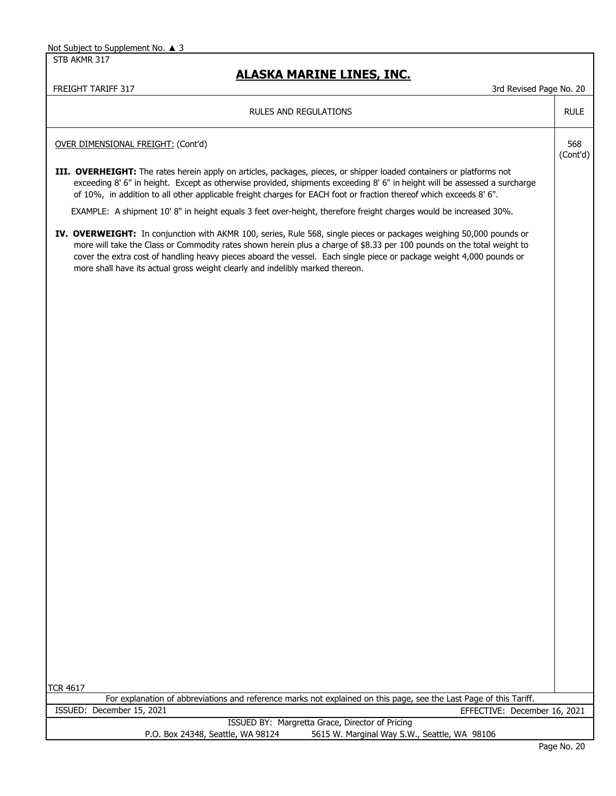STB AKMR 317

| FREIGHT TARIFF 317<br>3rd Revised Page No. 20                                                                                                                                                                                                                                                                                                                                                                                                          |                 |
|--------------------------------------------------------------------------------------------------------------------------------------------------------------------------------------------------------------------------------------------------------------------------------------------------------------------------------------------------------------------------------------------------------------------------------------------------------|-----------------|
| RULES AND REGULATIONS                                                                                                                                                                                                                                                                                                                                                                                                                                  | <b>RULE</b>     |
| OVER DIMENSIONAL FREIGHT: (Cont'd)                                                                                                                                                                                                                                                                                                                                                                                                                     | 568<br>(Cont'd) |
| III. OVERHEIGHT: The rates herein apply on articles, packages, pieces, or shipper loaded containers or platforms not<br>exceeding 8' 6" in height. Except as otherwise provided, shipments exceeding 8' 6" in height will be assessed a surcharge<br>of 10%, in addition to all other applicable freight charges for EACH foot or fraction thereof which exceeds 8' 6".                                                                                |                 |
| EXAMPLE: A shipment 10'8" in height equals 3 feet over-height, therefore freight charges would be increased 30%.                                                                                                                                                                                                                                                                                                                                       |                 |
| IV. OVERWEIGHT: In conjunction with AKMR 100, series, Rule 568, single pieces or packages weighing 50,000 pounds or<br>more will take the Class or Commodity rates shown herein plus a charge of \$8.33 per 100 pounds on the total weight to<br>cover the extra cost of handling heavy pieces aboard the vessel. Each single piece or package weight 4,000 pounds or<br>more shall have its actual gross weight clearly and indelibly marked thereon. |                 |
|                                                                                                                                                                                                                                                                                                                                                                                                                                                        |                 |
|                                                                                                                                                                                                                                                                                                                                                                                                                                                        |                 |
|                                                                                                                                                                                                                                                                                                                                                                                                                                                        |                 |
|                                                                                                                                                                                                                                                                                                                                                                                                                                                        |                 |
|                                                                                                                                                                                                                                                                                                                                                                                                                                                        |                 |
|                                                                                                                                                                                                                                                                                                                                                                                                                                                        |                 |
|                                                                                                                                                                                                                                                                                                                                                                                                                                                        |                 |
|                                                                                                                                                                                                                                                                                                                                                                                                                                                        |                 |
|                                                                                                                                                                                                                                                                                                                                                                                                                                                        |                 |
|                                                                                                                                                                                                                                                                                                                                                                                                                                                        |                 |
| <b>TCR 4617</b>                                                                                                                                                                                                                                                                                                                                                                                                                                        |                 |
| For explanation of abbreviations and reference marks not explained on this page, see the Last Page of this Tariff.                                                                                                                                                                                                                                                                                                                                     |                 |
| ISSUED: December 15, 2021<br>EFFECTIVE: December 16, 2021                                                                                                                                                                                                                                                                                                                                                                                              |                 |
| ISSUED BY: Margretta Grace, Director of Pricing<br>P.O. Box 24348, Seattle, WA 98124<br>5615 W. Marginal Way S.W., Seattle, WA 98106                                                                                                                                                                                                                                                                                                                   |                 |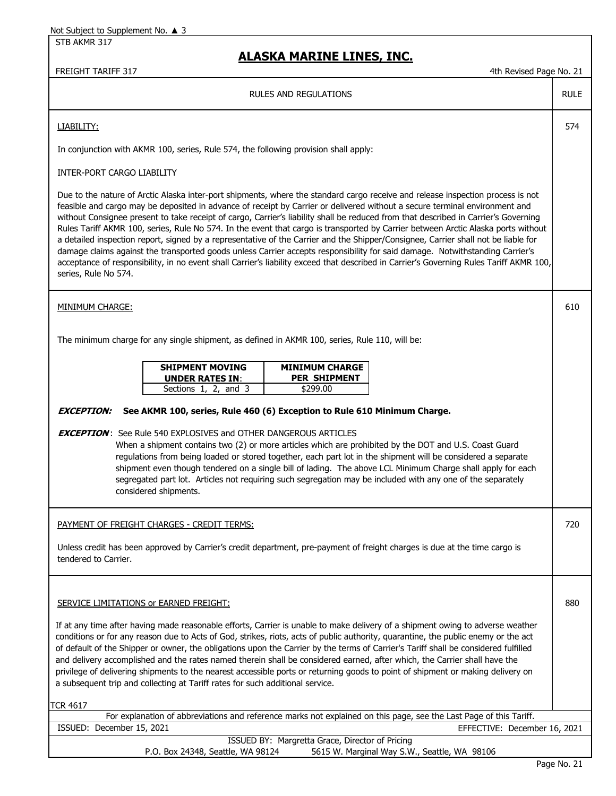STB AKMR 317

| FREIGHT TARIFF 317<br>4th Revised Page No. 21                                                                                                                                                                                                                                                                                                                                                                                                                                                                                                                                                                                                                                                                                                                                                                                                                                                                                                                                       |             |  |
|-------------------------------------------------------------------------------------------------------------------------------------------------------------------------------------------------------------------------------------------------------------------------------------------------------------------------------------------------------------------------------------------------------------------------------------------------------------------------------------------------------------------------------------------------------------------------------------------------------------------------------------------------------------------------------------------------------------------------------------------------------------------------------------------------------------------------------------------------------------------------------------------------------------------------------------------------------------------------------------|-------------|--|
| <b>RULES AND REGULATIONS</b>                                                                                                                                                                                                                                                                                                                                                                                                                                                                                                                                                                                                                                                                                                                                                                                                                                                                                                                                                        | <b>RULE</b> |  |
| LIABILITY:                                                                                                                                                                                                                                                                                                                                                                                                                                                                                                                                                                                                                                                                                                                                                                                                                                                                                                                                                                          | 574         |  |
| In conjunction with AKMR 100, series, Rule 574, the following provision shall apply:                                                                                                                                                                                                                                                                                                                                                                                                                                                                                                                                                                                                                                                                                                                                                                                                                                                                                                |             |  |
| INTER-PORT CARGO LIABILITY                                                                                                                                                                                                                                                                                                                                                                                                                                                                                                                                                                                                                                                                                                                                                                                                                                                                                                                                                          |             |  |
| Due to the nature of Arctic Alaska inter-port shipments, where the standard cargo receive and release inspection process is not<br>feasible and cargo may be deposited in advance of receipt by Carrier or delivered without a secure terminal environment and<br>without Consignee present to take receipt of cargo, Carrier's liability shall be reduced from that described in Carrier's Governing<br>Rules Tariff AKMR 100, series, Rule No 574. In the event that cargo is transported by Carrier between Arctic Alaska ports without<br>a detailed inspection report, signed by a representative of the Carrier and the Shipper/Consignee, Carrier shall not be liable for<br>damage claims against the transported goods unless Carrier accepts responsibility for said damage. Notwithstanding Carrier's<br>acceptance of responsibility, in no event shall Carrier's liability exceed that described in Carrier's Governing Rules Tariff AKMR 100,<br>series, Rule No 574. |             |  |
| <b>MINIMUM CHARGE:</b>                                                                                                                                                                                                                                                                                                                                                                                                                                                                                                                                                                                                                                                                                                                                                                                                                                                                                                                                                              | 610         |  |
| The minimum charge for any single shipment, as defined in AKMR 100, series, Rule 110, will be:                                                                                                                                                                                                                                                                                                                                                                                                                                                                                                                                                                                                                                                                                                                                                                                                                                                                                      |             |  |
| <b>SHIPMENT MOVING</b><br><b>MINIMUM CHARGE</b><br><b>PER SHIPMENT</b><br><b>UNDER RATES IN:</b><br>Sections 1, 2, and 3<br>\$299.00                                                                                                                                                                                                                                                                                                                                                                                                                                                                                                                                                                                                                                                                                                                                                                                                                                                |             |  |
| See AKMR 100, series, Rule 460 (6) Exception to Rule 610 Minimum Charge.<br><b>EXCEPTION:</b>                                                                                                                                                                                                                                                                                                                                                                                                                                                                                                                                                                                                                                                                                                                                                                                                                                                                                       |             |  |
| <b>EXCEPTION:</b> See Rule 540 EXPLOSIVES and OTHER DANGEROUS ARTICLES<br>When a shipment contains two (2) or more articles which are prohibited by the DOT and U.S. Coast Guard<br>regulations from being loaded or stored together, each part lot in the shipment will be considered a separate<br>shipment even though tendered on a single bill of lading. The above LCL Minimum Charge shall apply for each<br>segregated part lot. Articles not requiring such segregation may be included with any one of the separately<br>considered shipments.                                                                                                                                                                                                                                                                                                                                                                                                                            |             |  |
| <b>PAYMENT OF FREIGHT CHARGES - CREDIT TERMS:</b>                                                                                                                                                                                                                                                                                                                                                                                                                                                                                                                                                                                                                                                                                                                                                                                                                                                                                                                                   | 720         |  |
| Unless credit has been approved by Carrier's credit department, pre-payment of freight charges is due at the time cargo is<br>tendered to Carrier.                                                                                                                                                                                                                                                                                                                                                                                                                                                                                                                                                                                                                                                                                                                                                                                                                                  |             |  |
| <b>SERVICE LIMITATIONS or EARNED FREIGHT:</b>                                                                                                                                                                                                                                                                                                                                                                                                                                                                                                                                                                                                                                                                                                                                                                                                                                                                                                                                       | 880         |  |
| If at any time after having made reasonable efforts, Carrier is unable to make delivery of a shipment owing to adverse weather<br>conditions or for any reason due to Acts of God, strikes, riots, acts of public authority, quarantine, the public enemy or the act<br>of default of the Shipper or owner, the obligations upon the Carrier by the terms of Carrier's Tariff shall be considered fulfilled<br>and delivery accomplished and the rates named therein shall be considered earned, after which, the Carrier shall have the<br>privilege of delivering shipments to the nearest accessible ports or returning goods to point of shipment or making delivery on<br>a subsequent trip and collecting at Tariff rates for such additional service.<br><b>TCR 4617</b>                                                                                                                                                                                                     |             |  |
| For explanation of abbreviations and reference marks not explained on this page, see the Last Page of this Tariff.                                                                                                                                                                                                                                                                                                                                                                                                                                                                                                                                                                                                                                                                                                                                                                                                                                                                  |             |  |
| ISSUED: December 15, 2021<br>EFFECTIVE: December 16, 2021                                                                                                                                                                                                                                                                                                                                                                                                                                                                                                                                                                                                                                                                                                                                                                                                                                                                                                                           |             |  |
| ISSUED BY: Margretta Grace, Director of Pricing<br>5615 W. Marginal Way S.W., Seattle, WA 98106<br>P.O. Box 24348, Seattle, WA 98124                                                                                                                                                                                                                                                                                                                                                                                                                                                                                                                                                                                                                                                                                                                                                                                                                                                |             |  |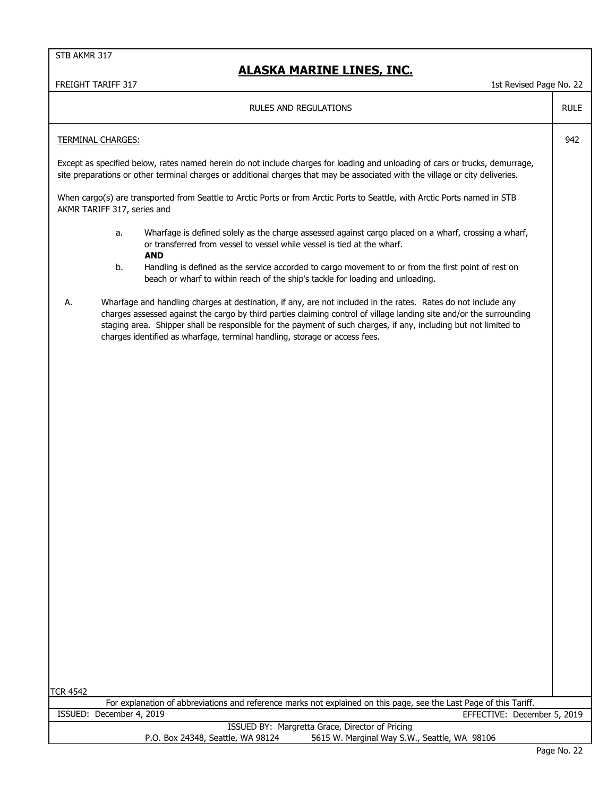## **ALASKA MARINE LINES, INC.**

| <b>RULES AND REGULATIONS</b>                                                                                                                                                                                                                                                                                                                                                                                                                 | <b>RULE</b> |  |
|----------------------------------------------------------------------------------------------------------------------------------------------------------------------------------------------------------------------------------------------------------------------------------------------------------------------------------------------------------------------------------------------------------------------------------------------|-------------|--|
| <b>TERMINAL CHARGES:</b>                                                                                                                                                                                                                                                                                                                                                                                                                     |             |  |
| Except as specified below, rates named herein do not include charges for loading and unloading of cars or trucks, demurrage,<br>site preparations or other terminal charges or additional charges that may be associated with the village or city deliveries.                                                                                                                                                                                |             |  |
| When cargo(s) are transported from Seattle to Arctic Ports or from Arctic Ports to Seattle, with Arctic Ports named in STB<br>AKMR TARIFF 317, series and                                                                                                                                                                                                                                                                                    |             |  |
| Wharfage is defined solely as the charge assessed against cargo placed on a wharf, crossing a wharf,<br>а.<br>or transferred from vessel to vessel while vessel is tied at the wharf.                                                                                                                                                                                                                                                        |             |  |
| <b>AND</b><br>b.<br>Handling is defined as the service accorded to cargo movement to or from the first point of rest on<br>beach or wharf to within reach of the ship's tackle for loading and unloading.                                                                                                                                                                                                                                    |             |  |
| А.<br>Wharfage and handling charges at destination, if any, are not included in the rates. Rates do not include any<br>charges assessed against the cargo by third parties claiming control of village landing site and/or the surrounding<br>staging area. Shipper shall be responsible for the payment of such charges, if any, including but not limited to<br>charges identified as wharfage, terminal handling, storage or access fees. |             |  |
|                                                                                                                                                                                                                                                                                                                                                                                                                                              |             |  |
|                                                                                                                                                                                                                                                                                                                                                                                                                                              |             |  |
|                                                                                                                                                                                                                                                                                                                                                                                                                                              |             |  |
|                                                                                                                                                                                                                                                                                                                                                                                                                                              |             |  |
|                                                                                                                                                                                                                                                                                                                                                                                                                                              |             |  |
|                                                                                                                                                                                                                                                                                                                                                                                                                                              |             |  |
|                                                                                                                                                                                                                                                                                                                                                                                                                                              |             |  |
|                                                                                                                                                                                                                                                                                                                                                                                                                                              |             |  |
|                                                                                                                                                                                                                                                                                                                                                                                                                                              |             |  |
|                                                                                                                                                                                                                                                                                                                                                                                                                                              |             |  |
|                                                                                                                                                                                                                                                                                                                                                                                                                                              |             |  |
| <b>TCR 4542</b>                                                                                                                                                                                                                                                                                                                                                                                                                              |             |  |
| For explanation of abbreviations and reference marks not explained on this page, see the Last Page of this Tariff.                                                                                                                                                                                                                                                                                                                           |             |  |
| ISSUED: December 4, 2019<br>EFFECTIVE: December 5, 2019                                                                                                                                                                                                                                                                                                                                                                                      |             |  |
| ISSUED BY: Margretta Grace, Director of Pricing<br>P.O. Box 24348, Seattle, WA 98124<br>5615 W. Marginal Way S.W., Seattle, WA 98106                                                                                                                                                                                                                                                                                                         |             |  |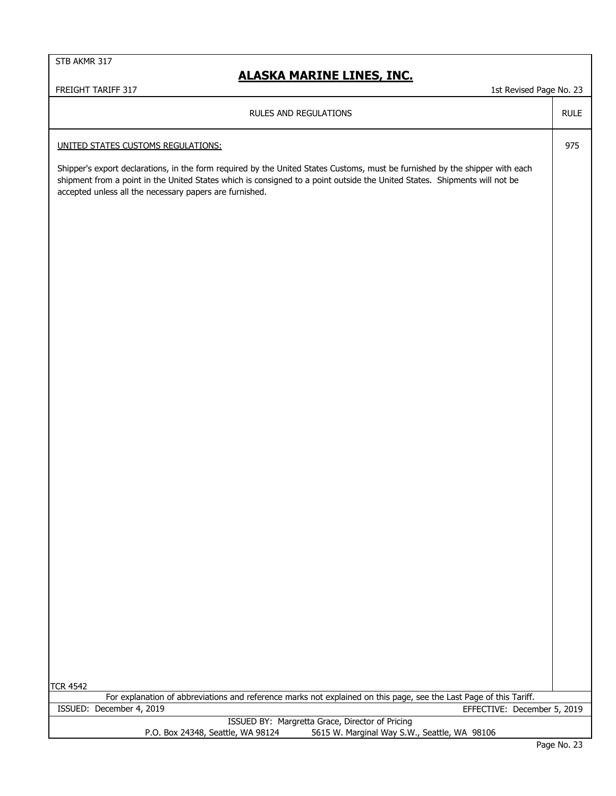#### **ALASKA MARINE LINES, INC.**

FREIGHT TARIFF 317 1st Revised Page No. 23

RULES AND REGULATIONS

UNITED STATES CUSTOMS REGULATIONS:

Shipper's export declarations, in the form required by the United States Customs, must be furnished by the shipper with each shipment from a point in the United States which is consigned to a point outside the United States. Shipments will not be accepted unless all the necessary papers are furnished.

TCR 4542

|                                   | For explanation of abbreviations and reference marks not explained on this page, see the Last Page of this Tariff. |
|-----------------------------------|--------------------------------------------------------------------------------------------------------------------|
| ISSUED: December 4, 2019          | EFFECTIVE: December 5, 2019                                                                                        |
|                                   | ISSUED BY: Margretta Grace, Director of Pricing                                                                    |
| P.O. Box 24348, Seattle, WA 98124 | 5615 W. Marginal Way S.W., Seattle, WA 98106                                                                       |

RULE

975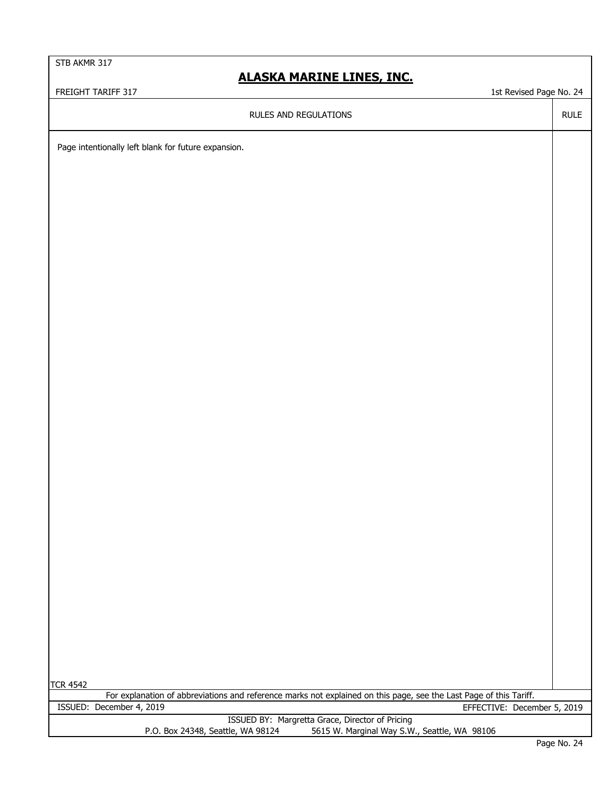## **ALASKA MARINE LINES, INC.**

FREIGHT TARIFF 317 1st Revised Page No. 24

RULE

RULES AND REGULATIONS

Page intentionally left blank for future expansion.

TCR 4542

|                                   | For explanation of abbreviations and reference marks not explained on this page, see the Last Page of this Tariff. |
|-----------------------------------|--------------------------------------------------------------------------------------------------------------------|
| ISSUED: December 4, 2019          | EFFECTIVE: December 5, 2019                                                                                        |
|                                   | ISSUED BY: Margretta Grace, Director of Pricing                                                                    |
| P.O. Box 24348, Seattle, WA 98124 | 5615 W. Marginal Way S.W., Seattle, WA 98106                                                                       |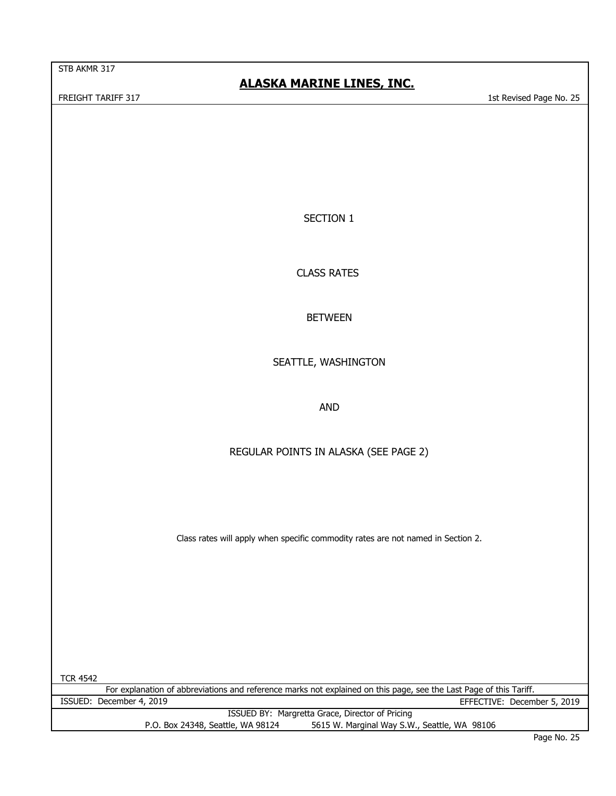## **ALASKA MARINE LINES, INC.**

FREIGHT TARIFF 317 1st Revised Page No. 25

SECTION 1

CLASS RATES

BETWEEN

SEATTLE, WASHINGTON

AND

REGULAR POINTS IN ALASKA (SEE PAGE 2)

Class rates will apply when specific commodity rates are not named in Section 2.

TCR 4542 ISSUED BY: Margretta Grace, Director of Pricing P.O. Box 24348, Seattle, WA 98124 5615 W. Marginal Way S.W., Seattle, WA 98106 ISSUED: December 4, 2019 EFFECTIVE: December 5, 2019 For explanation of abbreviations and reference marks not explained on this page, see the Last Page of this Tariff.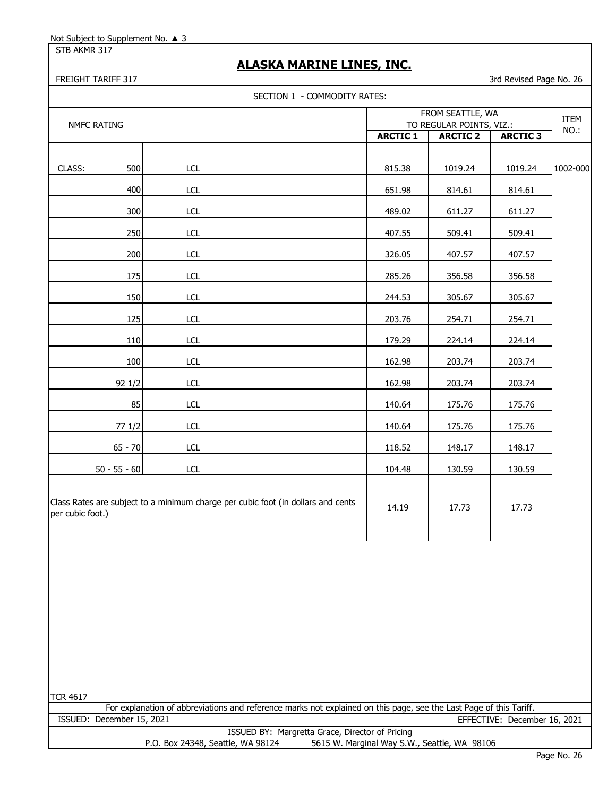STB AKMR 317

## **ALASKA MARINE LINES, INC.**

| SECTION 1 - COMMODITY RATES: |                                                                                                                    |                                              |                 |                              |          |  |
|------------------------------|--------------------------------------------------------------------------------------------------------------------|----------------------------------------------|-----------------|------------------------------|----------|--|
| <b>NMFC RATING</b>           |                                                                                                                    | FROM SEATTLE, WA<br>TO REGULAR POINTS, VIZ.: |                 |                              | ITEM     |  |
|                              |                                                                                                                    | <b>ARCTIC 1</b>                              | <b>ARCTIC 2</b> | <b>ARCTIC 3</b>              | NO.:     |  |
| CLASS:<br>500                | LCL                                                                                                                | 815.38                                       | 1019.24         | 1019.24                      | 1002-000 |  |
| 400                          | LCL                                                                                                                | 651.98                                       | 814.61          | 814.61                       |          |  |
| 300                          | <b>LCL</b>                                                                                                         | 489.02                                       | 611.27          | 611.27                       |          |  |
| 250                          | LCL                                                                                                                | 407.55                                       | 509.41          | 509.41                       |          |  |
| 200                          | <b>LCL</b>                                                                                                         | 326.05                                       | 407.57          | 407.57                       |          |  |
| 175                          | LCL                                                                                                                | 285.26                                       | 356.58          | 356.58                       |          |  |
| 150                          | LCL                                                                                                                | 244.53                                       | 305.67          | 305.67                       |          |  |
| 125                          | LCL                                                                                                                | 203.76                                       | 254.71          | 254.71                       |          |  |
| 110                          | <b>LCL</b>                                                                                                         | 179.29                                       | 224.14          | 224.14                       |          |  |
| 100                          | LCL                                                                                                                | 162.98                                       | 203.74          | 203.74                       |          |  |
| 92 1/2                       | <b>LCL</b>                                                                                                         | 162.98                                       | 203.74          | 203.74                       |          |  |
| 85                           | <b>LCL</b>                                                                                                         | 140.64                                       | 175.76          | 175.76                       |          |  |
| 77 1/2                       | <b>LCL</b>                                                                                                         | 140.64                                       | 175.76          | 175.76                       |          |  |
| $65 - 70$                    | <b>LCL</b>                                                                                                         | 118.52                                       | 148.17          | 148.17                       |          |  |
| $50 - 55 - 60$               | LCL                                                                                                                | 104.48                                       | 130.59          | 130.59                       |          |  |
| per cubic foot.)             | Class Rates are subject to a minimum charge per cubic foot (in dollars and cents                                   | 14.19                                        | 17.73           | 17.73                        |          |  |
|                              |                                                                                                                    |                                              |                 |                              |          |  |
| <b>TCR 4617</b>              | For explanation of abbreviations and reference marks not explained on this page, see the Last Page of this Tariff. |                                              |                 |                              |          |  |
| ISSUED: December 15, 2021    |                                                                                                                    |                                              |                 | EFFECTIVE: December 16, 2021 |          |  |
|                              | ISSUED BY: Margretta Grace, Director of Pricing<br>P.O. Box 24348, Seattle, WA 98124                               | 5615 W. Marginal Way S.W., Seattle, WA 98106 |                 |                              |          |  |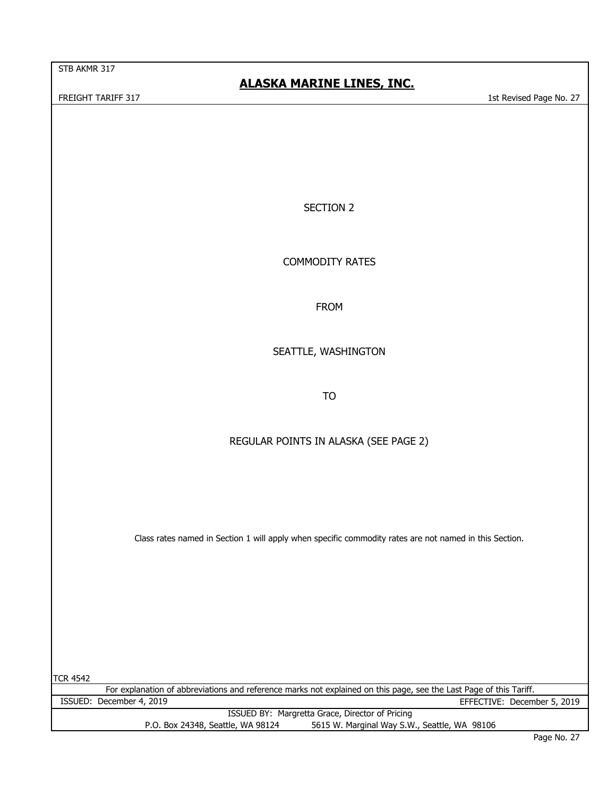## **ALASKA MARINE LINES, INC.**

FREIGHT TARIFF 317 1st Revised Page No. 27

SECTION 2

COMMODITY RATES

FROM

SEATTLE, WASHINGTON

TO

#### REGULAR POINTS IN ALASKA (SEE PAGE 2)

Class rates named in Section 1 will apply when specific commodity rates are not named in this Section.

TCR 4542 ISSUED BY: Margretta Grace, Director of Pricing P.O. Box 24348, Seattle, WA 98124 5615 W. Marginal Way S.W., Seattle, WA 98106 ISSUED: December 4, 2019 EFFECTIVE: December 5, 2019 For explanation of abbreviations and reference marks not explained on this page, see the Last Page of this Tariff.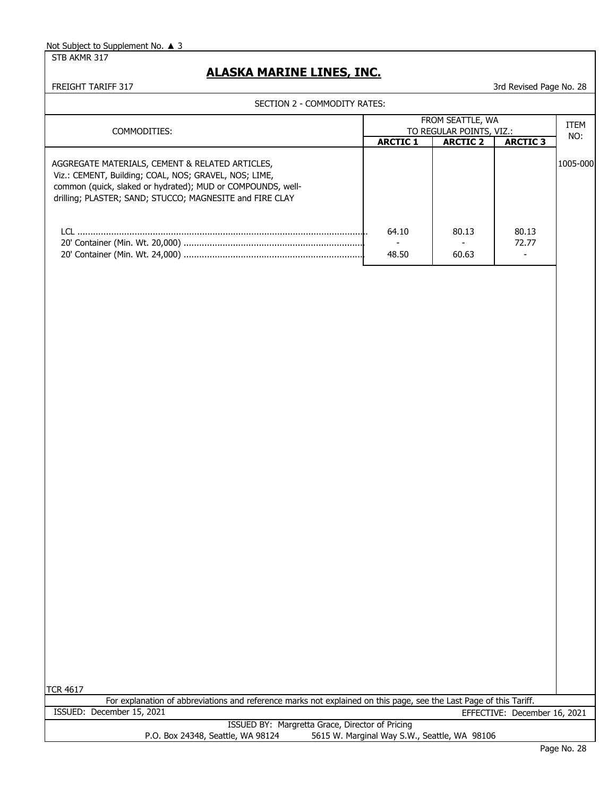STB AKMR 317

## **ALASKA MARINE LINES, INC.**

| SECTION 2 - COMMODITY RATES:                                                                                            |                                              |                 |                              |          |
|-------------------------------------------------------------------------------------------------------------------------|----------------------------------------------|-----------------|------------------------------|----------|
| FROM SEATTLE, WA                                                                                                        |                                              |                 |                              | ITEM     |
| COMMODITIES:                                                                                                            | TO REGULAR POINTS, VIZ.:                     |                 |                              | NO:      |
|                                                                                                                         | <b>ARCTIC 1</b>                              | <b>ARCTIC 2</b> | <b>ARCTIC 3</b>              |          |
| AGGREGATE MATERIALS, CEMENT & RELATED ARTICLES,<br>Viz.: CEMENT, Building; COAL, NOS; GRAVEL, NOS; LIME,                |                                              |                 |                              | 1005-000 |
| common (quick, slaked or hydrated); MUD or COMPOUNDS, well-<br>drilling; PLASTER; SAND; STUCCO; MAGNESITE and FIRE CLAY |                                              |                 |                              |          |
|                                                                                                                         | 64.10<br>$\sim$                              | 80.13           | 80.13<br>72.77               |          |
|                                                                                                                         | 48.50                                        | 60.63           | $\blacksquare$               |          |
|                                                                                                                         |                                              |                 |                              |          |
|                                                                                                                         |                                              |                 |                              |          |
|                                                                                                                         |                                              |                 |                              |          |
|                                                                                                                         |                                              |                 |                              |          |
|                                                                                                                         |                                              |                 |                              |          |
|                                                                                                                         |                                              |                 |                              |          |
|                                                                                                                         |                                              |                 |                              |          |
|                                                                                                                         |                                              |                 |                              |          |
|                                                                                                                         |                                              |                 |                              |          |
|                                                                                                                         |                                              |                 |                              |          |
|                                                                                                                         |                                              |                 |                              |          |
|                                                                                                                         |                                              |                 |                              |          |
|                                                                                                                         |                                              |                 |                              |          |
|                                                                                                                         |                                              |                 |                              |          |
|                                                                                                                         |                                              |                 |                              |          |
|                                                                                                                         |                                              |                 |                              |          |
|                                                                                                                         |                                              |                 |                              |          |
|                                                                                                                         |                                              |                 |                              |          |
| <b>TCR 4617</b>                                                                                                         |                                              |                 |                              |          |
| For explanation of abbreviations and reference marks not explained on this page, see the Last Page of this Tariff.      |                                              |                 |                              |          |
| ISSUED: December 15, 2021                                                                                               |                                              |                 | EFFECTIVE: December 16, 2021 |          |
| ISSUED BY: Margretta Grace, Director of Pricing<br>P.O. Box 24348, Seattle, WA 98124                                    | 5615 W. Marginal Way S.W., Seattle, WA 98106 |                 |                              |          |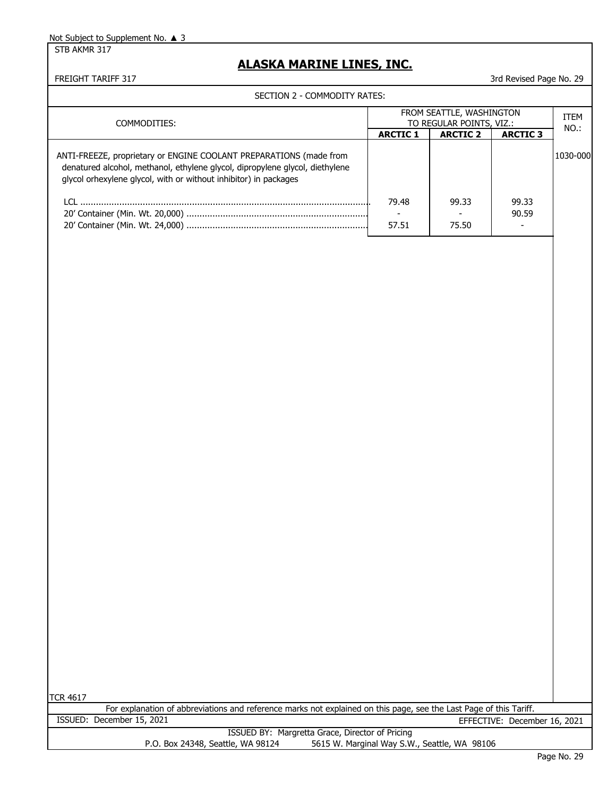STB AKMR 317

#### **ALASKA MARINE LINES, INC.**

FREIGHT TARIFF 317 30 ST 29 ST 20 APP 20 ST 20 APP 317 3rd Revised Page No. 29

| SECTION 2 - COMMODITY RATES:                                                                                                                                                                                           |                                                      |                 |                 |              |
|------------------------------------------------------------------------------------------------------------------------------------------------------------------------------------------------------------------------|------------------------------------------------------|-----------------|-----------------|--------------|
| COMMODITIES:                                                                                                                                                                                                           | FROM SEATTLE, WASHINGTON<br>TO REGULAR POINTS, VIZ.: |                 |                 | ITEM<br>NO.: |
|                                                                                                                                                                                                                        | <b>ARCTIC 1</b>                                      | <b>ARCTIC 2</b> | <b>ARCTIC 3</b> |              |
| ANTI-FREEZE, proprietary or ENGINE COOLANT PREPARATIONS (made from<br>denatured alcohol, methanol, ethylene glycol, dipropylene glycol, diethylene<br>glycol orhexylene glycol, with or without inhibitor) in packages |                                                      |                 |                 | 1030-000     |
|                                                                                                                                                                                                                        | 79.48                                                | 99.33           | 99.33<br>90.59  |              |
|                                                                                                                                                                                                                        | 57.51                                                | 75.50           |                 |              |
|                                                                                                                                                                                                                        |                                                      |                 |                 |              |

TCR 4617

For explanation of abbreviations and reference marks not explained on this page, see the Last Page of this Tariff.

ISSUED: December 15, 2021 EFFECTIVE: December 16, 2021

ISSUED BY: Margretta Grace, Director of Pricing P.O. Box 24348, Seattle, WA 98124 5615 W. Marginal Way S.W., Seattle, WA 98106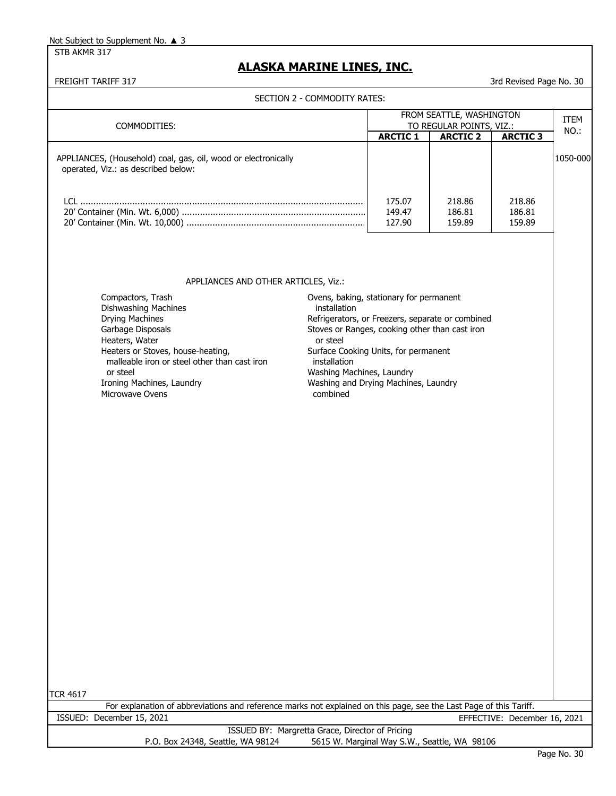STB AKMR 317

## **ALASKA MARINE LINES, INC.**

|                                                                                                                                                                                                                                                                    | SECTION 2 - COMMODITY RATES:                                                                                                                                                                                                                                                                                       |                            |                                              |                              |          |
|--------------------------------------------------------------------------------------------------------------------------------------------------------------------------------------------------------------------------------------------------------------------|--------------------------------------------------------------------------------------------------------------------------------------------------------------------------------------------------------------------------------------------------------------------------------------------------------------------|----------------------------|----------------------------------------------|------------------------------|----------|
| COMMODITIES:                                                                                                                                                                                                                                                       |                                                                                                                                                                                                                                                                                                                    | FROM SEATTLE, WASHINGTON   |                                              |                              | ITEM     |
|                                                                                                                                                                                                                                                                    |                                                                                                                                                                                                                                                                                                                    |                            | TO REGULAR POINTS, VIZ.:                     |                              | NO.:     |
|                                                                                                                                                                                                                                                                    |                                                                                                                                                                                                                                                                                                                    | <b>ARCTIC 1</b>            | <b>ARCTIC 2</b>                              | <b>ARCTIC 3</b>              |          |
| APPLIANCES, (Household) coal, gas, oil, wood or electronically<br>operated, Viz.: as described below:                                                                                                                                                              |                                                                                                                                                                                                                                                                                                                    |                            |                                              |                              | 1050-000 |
|                                                                                                                                                                                                                                                                    |                                                                                                                                                                                                                                                                                                                    | 175.07<br>149.47<br>127.90 | 218.86<br>186.81<br>159.89                   | 218.86<br>186.81<br>159.89   |          |
| APPLIANCES AND OTHER ARTICLES, Viz.:                                                                                                                                                                                                                               |                                                                                                                                                                                                                                                                                                                    |                            |                                              |                              |          |
| Compactors, Trash<br>Dishwashing Machines<br><b>Drying Machines</b><br>Garbage Disposals<br>Heaters, Water<br>Heaters or Stoves, house-heating,<br>malleable iron or steel other than cast iron<br>or steel<br>Ironing Machines, Laundry<br><b>Microwave Ovens</b> | Ovens, baking, stationary for permanent<br>installation<br>Refrigerators, or Freezers, separate or combined<br>Stoves or Ranges, cooking other than cast iron<br>or steel<br>Surface Cooking Units, for permanent<br>installation<br>Washing Machines, Laundry<br>Washing and Drying Machines, Laundry<br>combined |                            |                                              |                              |          |
|                                                                                                                                                                                                                                                                    |                                                                                                                                                                                                                                                                                                                    |                            |                                              |                              |          |
| <b>TCR 4617</b><br>For explanation of abbreviations and reference marks not explained on this page, see the Last Page of this Tariff.                                                                                                                              |                                                                                                                                                                                                                                                                                                                    |                            |                                              |                              |          |
| ISSUED: December 15, 2021                                                                                                                                                                                                                                          |                                                                                                                                                                                                                                                                                                                    |                            |                                              | EFFECTIVE: December 16, 2021 |          |
| ISSUED BY: Margretta Grace, Director of Pricing                                                                                                                                                                                                                    |                                                                                                                                                                                                                                                                                                                    |                            |                                              |                              |          |
| P.O. Box 24348, Seattle, WA 98124                                                                                                                                                                                                                                  |                                                                                                                                                                                                                                                                                                                    |                            | 5615 W. Marginal Way S.W., Seattle, WA 98106 |                              |          |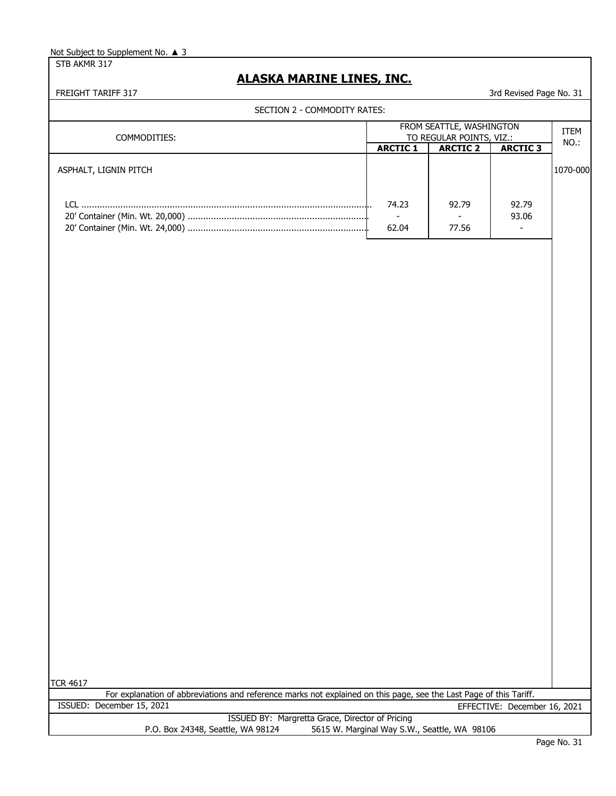STB AKMR 317

## **ALASKA MARINE LINES, INC.**

|                                                                                                                                       | FROM SEATTLE, WASHINGTON |                          |                              |          |
|---------------------------------------------------------------------------------------------------------------------------------------|--------------------------|--------------------------|------------------------------|----------|
| COMMODITIES:                                                                                                                          |                          | TO REGULAR POINTS, VIZ.: |                              | NO.:     |
|                                                                                                                                       | <b>ARCTIC 1</b>          | <b>ARCTIC 2</b>          | <b>ARCTIC 3</b>              |          |
| ASPHALT, LIGNIN PITCH                                                                                                                 |                          |                          |                              | 1070-000 |
|                                                                                                                                       |                          |                          |                              |          |
|                                                                                                                                       |                          |                          | 92.79                        |          |
|                                                                                                                                       | 74.23<br>$\sim$          | 92.79<br>$\sim$          | 93.06                        |          |
|                                                                                                                                       | 62.04                    | 77.56                    | $\blacksquare$               |          |
|                                                                                                                                       |                          |                          |                              |          |
|                                                                                                                                       |                          |                          |                              |          |
|                                                                                                                                       |                          |                          |                              |          |
|                                                                                                                                       |                          |                          |                              |          |
|                                                                                                                                       |                          |                          |                              |          |
|                                                                                                                                       |                          |                          |                              |          |
|                                                                                                                                       |                          |                          |                              |          |
|                                                                                                                                       |                          |                          |                              |          |
|                                                                                                                                       |                          |                          |                              |          |
|                                                                                                                                       |                          |                          |                              |          |
|                                                                                                                                       |                          |                          |                              |          |
|                                                                                                                                       |                          |                          |                              |          |
|                                                                                                                                       |                          |                          |                              |          |
|                                                                                                                                       |                          |                          |                              |          |
|                                                                                                                                       |                          |                          |                              |          |
|                                                                                                                                       |                          |                          |                              |          |
|                                                                                                                                       |                          |                          |                              |          |
|                                                                                                                                       |                          |                          |                              |          |
|                                                                                                                                       |                          |                          |                              |          |
|                                                                                                                                       |                          |                          |                              |          |
|                                                                                                                                       |                          |                          |                              |          |
|                                                                                                                                       |                          |                          |                              |          |
|                                                                                                                                       |                          |                          |                              |          |
|                                                                                                                                       |                          |                          |                              |          |
|                                                                                                                                       |                          |                          |                              |          |
|                                                                                                                                       |                          |                          |                              |          |
|                                                                                                                                       |                          |                          |                              |          |
|                                                                                                                                       |                          |                          |                              |          |
|                                                                                                                                       |                          |                          |                              |          |
|                                                                                                                                       |                          |                          |                              |          |
|                                                                                                                                       |                          |                          |                              |          |
|                                                                                                                                       |                          |                          |                              |          |
|                                                                                                                                       |                          |                          |                              |          |
|                                                                                                                                       |                          |                          |                              |          |
|                                                                                                                                       |                          |                          |                              |          |
|                                                                                                                                       |                          |                          |                              |          |
|                                                                                                                                       |                          |                          |                              |          |
|                                                                                                                                       |                          |                          |                              |          |
|                                                                                                                                       |                          |                          |                              |          |
|                                                                                                                                       |                          |                          |                              |          |
|                                                                                                                                       |                          |                          |                              |          |
|                                                                                                                                       |                          |                          |                              |          |
|                                                                                                                                       |                          |                          |                              |          |
|                                                                                                                                       |                          |                          |                              |          |
|                                                                                                                                       |                          |                          |                              |          |
|                                                                                                                                       |                          |                          |                              |          |
|                                                                                                                                       |                          |                          |                              |          |
|                                                                                                                                       |                          |                          |                              |          |
| <b>TCR 4617</b><br>For explanation of abbreviations and reference marks not explained on this page, see the Last Page of this Tariff. |                          |                          |                              |          |
| ISSUED: December 15, 2021                                                                                                             |                          |                          | EFFECTIVE: December 16, 2021 |          |
| ISSUED BY: Margretta Grace, Director of Pricing                                                                                       |                          |                          |                              |          |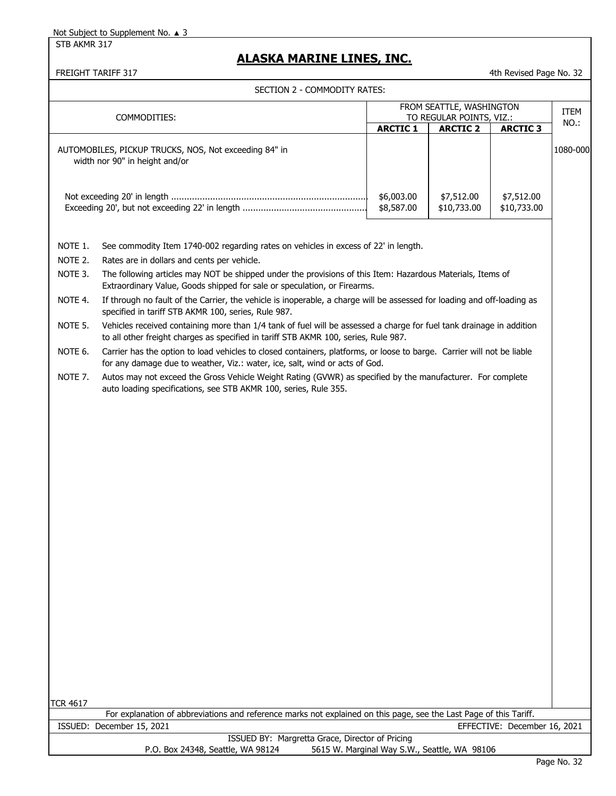STB AKMR 317

## **ALASKA MARINE LINES, INC.**

FREIGHT TARIFF 317 **All and Struck Control Control Control Control Control Control Control Control Control Control Control Control Control Control Control Control Control Control Control Control Control Control Control Con** 

|  | SECTION 2 - COMMODITY RATES: |
|--|------------------------------|
|--|------------------------------|

| SECTION 2 - COMMODITY RATES:                                                                                                                                                                      |                                                                                                                                                                                                             |                          |                           |                           |             |  |
|---------------------------------------------------------------------------------------------------------------------------------------------------------------------------------------------------|-------------------------------------------------------------------------------------------------------------------------------------------------------------------------------------------------------------|--------------------------|---------------------------|---------------------------|-------------|--|
| COMMODITIES:                                                                                                                                                                                      |                                                                                                                                                                                                             | FROM SEATTLE, WASHINGTON |                           |                           | <b>ITEM</b> |  |
|                                                                                                                                                                                                   |                                                                                                                                                                                                             | TO REGULAR POINTS, VIZ.: |                           |                           | $NO.$ :     |  |
|                                                                                                                                                                                                   |                                                                                                                                                                                                             | <b>ARCTIC 1</b>          | <b>ARCTIC 2</b>           | <b>ARCTIC 3</b>           |             |  |
|                                                                                                                                                                                                   | AUTOMOBILES, PICKUP TRUCKS, NOS, Not exceeding 84" in<br>width nor 90" in height and/or                                                                                                                     |                          |                           |                           | 1080-000    |  |
|                                                                                                                                                                                                   |                                                                                                                                                                                                             | \$6,003.00<br>\$8,587.00 | \$7,512.00<br>\$10,733.00 | \$7,512.00<br>\$10,733.00 |             |  |
| NOTE 1.<br>See commodity Item 1740-002 regarding rates on vehicles in excess of 22' in length.                                                                                                    |                                                                                                                                                                                                             |                          |                           |                           |             |  |
| NOTE 2.                                                                                                                                                                                           | Rates are in dollars and cents per vehicle.                                                                                                                                                                 |                          |                           |                           |             |  |
| NOTE 3.<br>The following articles may NOT be shipped under the provisions of this Item: Hazardous Materials, Items of<br>Extraordinary Value, Goods shipped for sale or speculation, or Firearms. |                                                                                                                                                                                                             |                          |                           |                           |             |  |
| NOTE 4.                                                                                                                                                                                           | If through no fault of the Carrier, the vehicle is inoperable, a charge will be assessed for loading and off-loading as<br>specified in tariff STB AKMR 100, series, Rule 987.                              |                          |                           |                           |             |  |
| NOTE 5.                                                                                                                                                                                           | Vehicles received containing more than 1/4 tank of fuel will be assessed a charge for fuel tank drainage in addition<br>to all other freight charges as specified in tariff STB AKMR 100, series, Rule 987. |                          |                           |                           |             |  |
| NOTE 6.                                                                                                                                                                                           | Carrier has the option to load vehicles to closed containers, platforms, or loose to barge. Carrier will not be liable<br>for any damage due to weather, Viz.: water, ice, salt, wind or acts of God.       |                          |                           |                           |             |  |
| NOTE 7.                                                                                                                                                                                           | Autos may not exceed the Gross Vehicle Weight Rating (GVWR) as specified by the manufacturer. For complete<br>auto loading specifications, see STB AKMR 100, series, Rule 355.                              |                          |                           |                           |             |  |
|                                                                                                                                                                                                   |                                                                                                                                                                                                             |                          |                           |                           |             |  |

TCR 4617

For explanation of abbreviations and reference marks not explained on this page, see the Last Page of this Tariff. ISSUED: December 15, 2021 EFFECTIVE: December 16, 2021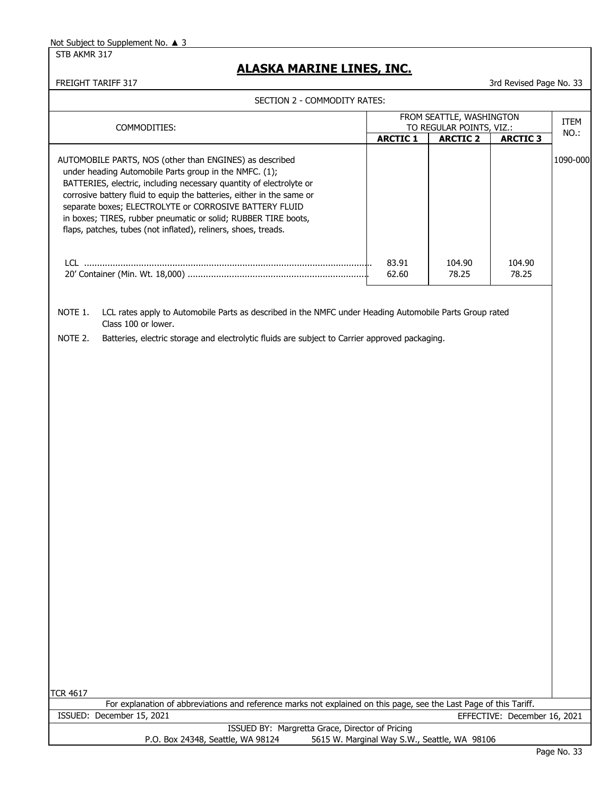STB AKMR 317

## **ALASKA MARINE LINES, INC.**

| SECTION 2 - COMMODITY RATES:                                                                                                                                                                                                                                                                                                                                                                                                                                    |                                                      |                                              |                              |          |  |  |
|-----------------------------------------------------------------------------------------------------------------------------------------------------------------------------------------------------------------------------------------------------------------------------------------------------------------------------------------------------------------------------------------------------------------------------------------------------------------|------------------------------------------------------|----------------------------------------------|------------------------------|----------|--|--|
| COMMODITIES:                                                                                                                                                                                                                                                                                                                                                                                                                                                    | FROM SEATTLE, WASHINGTON<br>TO REGULAR POINTS, VIZ.: |                                              |                              | ITEM     |  |  |
|                                                                                                                                                                                                                                                                                                                                                                                                                                                                 |                                                      | <b>ARCTIC 2</b>                              | <b>ARCTIC 3</b>              | NO.:     |  |  |
| AUTOMOBILE PARTS, NOS (other than ENGINES) as described<br>under heading Automobile Parts group in the NMFC. (1);<br>BATTERIES, electric, including necessary quantity of electrolyte or<br>corrosive battery fluid to equip the batteries, either in the same or<br>separate boxes; ELECTROLYTE or CORROSIVE BATTERY FLUID<br>in boxes; TIRES, rubber pneumatic or solid; RUBBER TIRE boots,<br>flaps, patches, tubes (not inflated), reliners, shoes, treads. |                                                      |                                              |                              | 1090-000 |  |  |
|                                                                                                                                                                                                                                                                                                                                                                                                                                                                 | 83.91<br>62.60                                       | 104.90<br>78.25                              | 104.90<br>78.25              |          |  |  |
| NOTE 1.<br>LCL rates apply to Automobile Parts as described in the NMFC under Heading Automobile Parts Group rated<br>Class 100 or lower.                                                                                                                                                                                                                                                                                                                       |                                                      |                                              |                              |          |  |  |
| NOTE 2.<br>Batteries, electric storage and electrolytic fluids are subject to Carrier approved packaging.                                                                                                                                                                                                                                                                                                                                                       |                                                      |                                              |                              |          |  |  |
|                                                                                                                                                                                                                                                                                                                                                                                                                                                                 |                                                      |                                              |                              |          |  |  |
|                                                                                                                                                                                                                                                                                                                                                                                                                                                                 |                                                      |                                              |                              |          |  |  |
| <b>TCR 4617</b>                                                                                                                                                                                                                                                                                                                                                                                                                                                 |                                                      |                                              |                              |          |  |  |
| For explanation of abbreviations and reference marks not explained on this page, see the Last Page of this Tariff.<br>ISSUED: December 15, 2021                                                                                                                                                                                                                                                                                                                 |                                                      |                                              | EFFECTIVE: December 16, 2021 |          |  |  |
| ISSUED BY: Margretta Grace, Director of Pricing<br>P.O. Box 24348, Seattle, WA 98124                                                                                                                                                                                                                                                                                                                                                                            |                                                      | 5615 W. Marginal Way S.W., Seattle, WA 98106 |                              |          |  |  |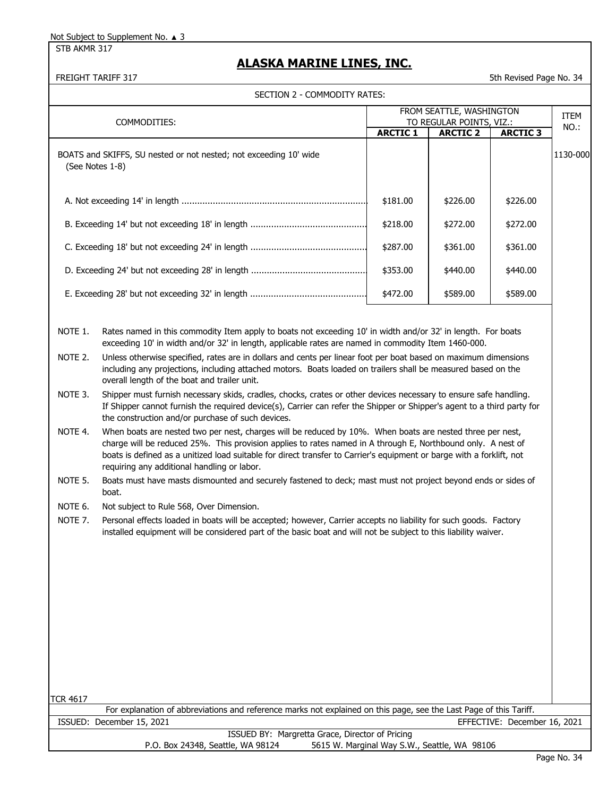STB AKMR 317

# **ALASKA MARINE LINES, INC.**

#### SECTION 2 - COMMODITY RATES:

FREIGHT TARIFF 317 STATES AND THE STATES IN THE STATES STATES AND THE STATES STATES AND THE STATES OF STATES AND THE STATES OF STATES AND THE STATES OF STATES AND THE STATES OF STATES AND THE STATES OF STATES AND THE STATE

|                    | SECTION Z - COMMODITY RATES:                                                                                                                                                                                                                                                                                                                                                                      |                 |                                                      |                              |             |
|--------------------|---------------------------------------------------------------------------------------------------------------------------------------------------------------------------------------------------------------------------------------------------------------------------------------------------------------------------------------------------------------------------------------------------|-----------------|------------------------------------------------------|------------------------------|-------------|
|                    | COMMODITIES:                                                                                                                                                                                                                                                                                                                                                                                      |                 | FROM SEATTLE, WASHINGTON<br>TO REGULAR POINTS, VIZ.: |                              | <b>ITEM</b> |
|                    |                                                                                                                                                                                                                                                                                                                                                                                                   | <b>ARCTIC 1</b> | <b>ARCTIC 2</b>                                      | <b>ARCTIC 3</b>              | NO.:        |
|                    | BOATS and SKIFFS, SU nested or not nested; not exceeding 10' wide<br>(See Notes 1-8)                                                                                                                                                                                                                                                                                                              |                 |                                                      |                              | 1130-000    |
|                    |                                                                                                                                                                                                                                                                                                                                                                                                   | \$181.00        | \$226.00                                             | \$226.00                     |             |
|                    |                                                                                                                                                                                                                                                                                                                                                                                                   | \$218.00        | \$272.00                                             | \$272.00                     |             |
|                    |                                                                                                                                                                                                                                                                                                                                                                                                   | \$287.00        | \$361.00                                             | \$361.00                     |             |
|                    |                                                                                                                                                                                                                                                                                                                                                                                                   | \$353.00        | \$440.00                                             | \$440.00                     |             |
|                    |                                                                                                                                                                                                                                                                                                                                                                                                   | \$472.00        | \$589.00                                             | \$589.00                     |             |
| NOTE 1.<br>NOTE 2. | Rates named in this commodity Item apply to boats not exceeding 10' in width and/or 32' in length. For boats<br>exceeding 10' in width and/or 32' in length, applicable rates are named in commodity Item 1460-000.<br>Unless otherwise specified, rates are in dollars and cents per linear foot per boat based on maximum dimensions                                                            |                 |                                                      |                              |             |
|                    | including any projections, including attached motors. Boats loaded on trailers shall be measured based on the<br>overall length of the boat and trailer unit.                                                                                                                                                                                                                                     |                 |                                                      |                              |             |
| NOTE 3.            | Shipper must furnish necessary skids, cradles, chocks, crates or other devices necessary to ensure safe handling.<br>If Shipper cannot furnish the required device(s), Carrier can refer the Shipper or Shipper's agent to a third party for<br>the construction and/or purchase of such devices.                                                                                                 |                 |                                                      |                              |             |
| NOTE 4.            | When boats are nested two per nest, charges will be reduced by 10%. When boats are nested three per nest,<br>charge will be reduced 25%. This provision applies to rates named in A through E, Northbound only. A nest of<br>boats is defined as a unitized load suitable for direct transfer to Carrier's equipment or barge with a forklift, not<br>requiring any additional handling or labor. |                 |                                                      |                              |             |
| NOTE 5.            | Boats must have masts dismounted and securely fastened to deck; mast must not project beyond ends or sides of<br>boat.                                                                                                                                                                                                                                                                            |                 |                                                      |                              |             |
| NOTE 6.            | Not subject to Rule 568, Over Dimension.                                                                                                                                                                                                                                                                                                                                                          |                 |                                                      |                              |             |
| NOTE 7.            | Personal effects loaded in boats will be accepted; however, Carrier accepts no liability for such goods. Factory<br>installed equipment will be considered part of the basic boat and will not be subject to this liability waiver.                                                                                                                                                               |                 |                                                      |                              |             |
|                    |                                                                                                                                                                                                                                                                                                                                                                                                   |                 |                                                      |                              |             |
|                    |                                                                                                                                                                                                                                                                                                                                                                                                   |                 |                                                      |                              |             |
|                    |                                                                                                                                                                                                                                                                                                                                                                                                   |                 |                                                      |                              |             |
|                    |                                                                                                                                                                                                                                                                                                                                                                                                   |                 |                                                      |                              |             |
|                    |                                                                                                                                                                                                                                                                                                                                                                                                   |                 |                                                      |                              |             |
| TCR 4617           | For explanation of abbreviations and reference marks not explained on this page, see the Last Page of this Tariff.                                                                                                                                                                                                                                                                                |                 |                                                      |                              |             |
|                    | ISSUED: December 15, 2021                                                                                                                                                                                                                                                                                                                                                                         |                 |                                                      | EFFECTIVE: December 16, 2021 |             |
|                    | ISSUED BY: Margretta Grace, Director of Pricing                                                                                                                                                                                                                                                                                                                                                   |                 |                                                      |                              |             |

P.O. Box 24348, Seattle, WA 98124 5615 W. Marginal Way S.W., Seattle, WA 98106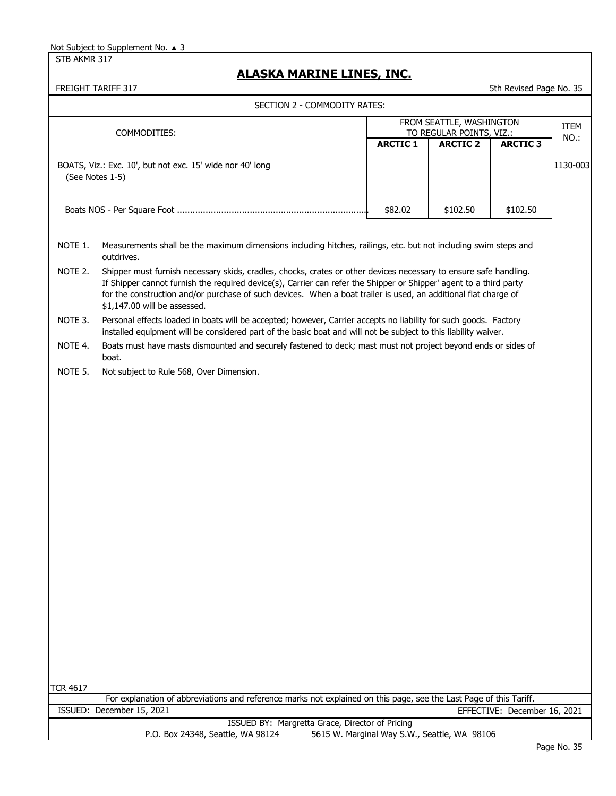STB AKMR 317

# **ALASKA MARINE LINES, INC.**

|                 | FREIGHT TARIFF 317                                                                                                                                                                                                                                                                                                                                                                         |                                              |                                                                         | 5th Revised Page No. 35      |              |
|-----------------|--------------------------------------------------------------------------------------------------------------------------------------------------------------------------------------------------------------------------------------------------------------------------------------------------------------------------------------------------------------------------------------------|----------------------------------------------|-------------------------------------------------------------------------|------------------------------|--------------|
|                 | SECTION 2 - COMMODITY RATES:                                                                                                                                                                                                                                                                                                                                                               |                                              |                                                                         |                              |              |
|                 | COMMODITIES:                                                                                                                                                                                                                                                                                                                                                                               | <b>ARCTIC 1</b>                              | FROM SEATTLE, WASHINGTON<br>TO REGULAR POINTS, VIZ.:<br><b>ARCTIC 2</b> | <b>ARCTIC 3</b>              | ITEM<br>NO.: |
|                 | BOATS, Viz.: Exc. 10', but not exc. 15' wide nor 40' long<br>(See Notes 1-5)                                                                                                                                                                                                                                                                                                               |                                              |                                                                         |                              | 1130-003     |
|                 |                                                                                                                                                                                                                                                                                                                                                                                            | \$82.02                                      | \$102.50                                                                | \$102.50                     |              |
| NOTE 1.         | Measurements shall be the maximum dimensions including hitches, railings, etc. but not including swim steps and<br>outdrives.                                                                                                                                                                                                                                                              |                                              |                                                                         |                              |              |
| NOTE 2.         | Shipper must furnish necessary skids, cradles, chocks, crates or other devices necessary to ensure safe handling.<br>If Shipper cannot furnish the required device(s), Carrier can refer the Shipper or Shipper' agent to a third party<br>for the construction and/or purchase of such devices. When a boat trailer is used, an additional flat charge of<br>\$1,147.00 will be assessed. |                                              |                                                                         |                              |              |
| NOTE 3.         | Personal effects loaded in boats will be accepted; however, Carrier accepts no liability for such goods. Factory<br>installed equipment will be considered part of the basic boat and will not be subject to this liability waiver.                                                                                                                                                        |                                              |                                                                         |                              |              |
| NOTE 4.         | Boats must have masts dismounted and securely fastened to deck; mast must not project beyond ends or sides of<br>boat.                                                                                                                                                                                                                                                                     |                                              |                                                                         |                              |              |
| NOTE 5.         | Not subject to Rule 568, Over Dimension.                                                                                                                                                                                                                                                                                                                                                   |                                              |                                                                         |                              |              |
|                 |                                                                                                                                                                                                                                                                                                                                                                                            |                                              |                                                                         |                              |              |
|                 |                                                                                                                                                                                                                                                                                                                                                                                            |                                              |                                                                         |                              |              |
|                 |                                                                                                                                                                                                                                                                                                                                                                                            |                                              |                                                                         |                              |              |
|                 |                                                                                                                                                                                                                                                                                                                                                                                            |                                              |                                                                         |                              |              |
|                 |                                                                                                                                                                                                                                                                                                                                                                                            |                                              |                                                                         |                              |              |
|                 |                                                                                                                                                                                                                                                                                                                                                                                            |                                              |                                                                         |                              |              |
|                 |                                                                                                                                                                                                                                                                                                                                                                                            |                                              |                                                                         |                              |              |
|                 |                                                                                                                                                                                                                                                                                                                                                                                            |                                              |                                                                         |                              |              |
|                 |                                                                                                                                                                                                                                                                                                                                                                                            |                                              |                                                                         |                              |              |
|                 |                                                                                                                                                                                                                                                                                                                                                                                            |                                              |                                                                         |                              |              |
|                 |                                                                                                                                                                                                                                                                                                                                                                                            |                                              |                                                                         |                              |              |
|                 |                                                                                                                                                                                                                                                                                                                                                                                            |                                              |                                                                         |                              |              |
|                 |                                                                                                                                                                                                                                                                                                                                                                                            |                                              |                                                                         |                              |              |
|                 |                                                                                                                                                                                                                                                                                                                                                                                            |                                              |                                                                         |                              |              |
| <b>TCR 4617</b> | For explanation of abbreviations and reference marks not explained on this page, see the Last Page of this Tariff.                                                                                                                                                                                                                                                                         |                                              |                                                                         |                              |              |
|                 | ISSUED: December 15, 2021                                                                                                                                                                                                                                                                                                                                                                  |                                              |                                                                         | EFFECTIVE: December 16, 2021 |              |
|                 | ISSUED BY: Margretta Grace, Director of Pricing<br>P.O. Box 24348, Seattle, WA 98124                                                                                                                                                                                                                                                                                                       | 5615 W. Marginal Way S.W., Seattle, WA 98106 |                                                                         |                              |              |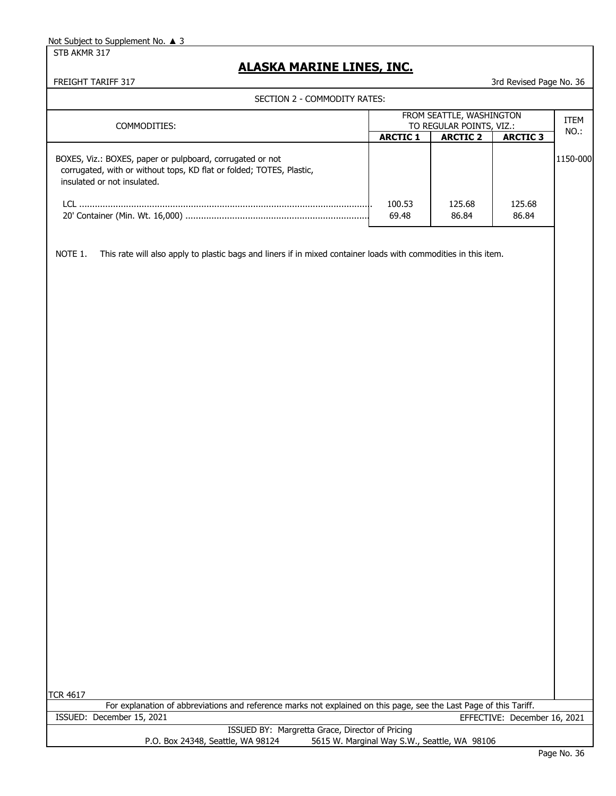STB AKMR 317

### **ALASKA MARINE LINES, INC.**

| SECTION 2 - COMMODITY RATES:                                                                                               |                 |                                              |                              |          |
|----------------------------------------------------------------------------------------------------------------------------|-----------------|----------------------------------------------|------------------------------|----------|
|                                                                                                                            |                 | FROM SEATTLE, WASHINGTON                     |                              | ITEM     |
| COMMODITIES:                                                                                                               |                 | TO REGULAR POINTS, VIZ.:                     |                              | NO.:     |
|                                                                                                                            | <b>ARCTIC 1</b> | <b>ARCTIC 2</b>                              | <b>ARCTIC 3</b>              |          |
| BOXES, Viz.: BOXES, paper or pulpboard, corrugated or not                                                                  |                 |                                              |                              | 1150-000 |
| corrugated, with or without tops, KD flat or folded; TOTES, Plastic,                                                       |                 |                                              |                              |          |
| insulated or not insulated.                                                                                                |                 |                                              |                              |          |
|                                                                                                                            | 100.53          | 125.68                                       | 125.68                       |          |
|                                                                                                                            | 69.48           | 86.84                                        | 86.84                        |          |
|                                                                                                                            |                 |                                              |                              |          |
|                                                                                                                            |                 |                                              |                              |          |
| NOTE 1.<br>This rate will also apply to plastic bags and liners if in mixed container loads with commodities in this item. |                 |                                              |                              |          |
|                                                                                                                            |                 |                                              |                              |          |
|                                                                                                                            |                 |                                              |                              |          |
|                                                                                                                            |                 |                                              |                              |          |
|                                                                                                                            |                 |                                              |                              |          |
|                                                                                                                            |                 |                                              |                              |          |
|                                                                                                                            |                 |                                              |                              |          |
|                                                                                                                            |                 |                                              |                              |          |
|                                                                                                                            |                 |                                              |                              |          |
|                                                                                                                            |                 |                                              |                              |          |
|                                                                                                                            |                 |                                              |                              |          |
|                                                                                                                            |                 |                                              |                              |          |
|                                                                                                                            |                 |                                              |                              |          |
|                                                                                                                            |                 |                                              |                              |          |
|                                                                                                                            |                 |                                              |                              |          |
|                                                                                                                            |                 |                                              |                              |          |
|                                                                                                                            |                 |                                              |                              |          |
|                                                                                                                            |                 |                                              |                              |          |
|                                                                                                                            |                 |                                              |                              |          |
|                                                                                                                            |                 |                                              |                              |          |
|                                                                                                                            |                 |                                              |                              |          |
|                                                                                                                            |                 |                                              |                              |          |
|                                                                                                                            |                 |                                              |                              |          |
|                                                                                                                            |                 |                                              |                              |          |
|                                                                                                                            |                 |                                              |                              |          |
|                                                                                                                            |                 |                                              |                              |          |
|                                                                                                                            |                 |                                              |                              |          |
|                                                                                                                            |                 |                                              |                              |          |
|                                                                                                                            |                 |                                              |                              |          |
|                                                                                                                            |                 |                                              |                              |          |
|                                                                                                                            |                 |                                              |                              |          |
|                                                                                                                            |                 |                                              |                              |          |
|                                                                                                                            |                 |                                              |                              |          |
|                                                                                                                            |                 |                                              |                              |          |
|                                                                                                                            |                 |                                              |                              |          |
|                                                                                                                            |                 |                                              |                              |          |
| <b>TCR 4617</b>                                                                                                            |                 |                                              |                              |          |
| For explanation of abbreviations and reference marks not explained on this page, see the Last Page of this Tariff.         |                 |                                              |                              |          |
| ISSUED: December 15, 2021                                                                                                  |                 |                                              | EFFECTIVE: December 16, 2021 |          |
| ISSUED BY: Margretta Grace, Director of Pricing                                                                            |                 |                                              |                              |          |
| P.O. Box 24348, Seattle, WA 98124                                                                                          |                 | 5615 W. Marginal Way S.W., Seattle, WA 98106 |                              |          |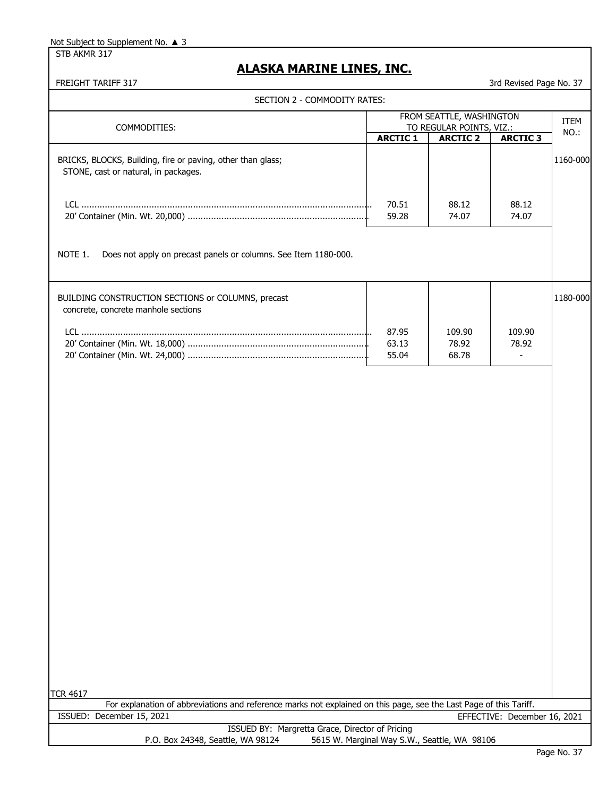STB AKMR 317

# **ALASKA MARINE LINES, INC.**

| SECTION 2 - COMMODITY RATES:                                                                                                          |                                              |                                             |                              |          |
|---------------------------------------------------------------------------------------------------------------------------------------|----------------------------------------------|---------------------------------------------|------------------------------|----------|
|                                                                                                                                       |                                              | FROM SEATTLE, WASHINGTON                    |                              | ITEM     |
| COMMODITIES:                                                                                                                          | <b>ARCTIC 1</b>                              | TO REGULAR POINTS, VIZ.:<br><b>ARCTIC 2</b> | <b>ARCTIC 3</b>              | NO.:     |
| BRICKS, BLOCKS, Building, fire or paving, other than glass;<br>STONE, cast or natural, in packages.                                   |                                              |                                             |                              | 1160-000 |
|                                                                                                                                       | 70.51<br>59.28                               | 88.12<br>74.07                              | 88.12<br>74.07               |          |
| NOTE 1.<br>Does not apply on precast panels or columns. See Item 1180-000.                                                            |                                              |                                             |                              |          |
| BUILDING CONSTRUCTION SECTIONS or COLUMNS, precast<br>concrete, concrete manhole sections                                             |                                              |                                             |                              | 1180-000 |
|                                                                                                                                       | 87.95<br>63.13<br>55.04                      | 109.90<br>78.92<br>68.78                    | 109.90<br>78.92              |          |
|                                                                                                                                       |                                              |                                             |                              |          |
|                                                                                                                                       |                                              |                                             |                              |          |
|                                                                                                                                       |                                              |                                             |                              |          |
|                                                                                                                                       |                                              |                                             |                              |          |
|                                                                                                                                       |                                              |                                             |                              |          |
|                                                                                                                                       |                                              |                                             |                              |          |
| <b>TCR 4617</b><br>For explanation of abbreviations and reference marks not explained on this page, see the Last Page of this Tariff. |                                              |                                             |                              |          |
| ISSUED: December 15, 2021                                                                                                             |                                              |                                             | EFFECTIVE: December 16, 2021 |          |
| ISSUED BY: Margretta Grace, Director of Pricing<br>P.O. Box 24348, Seattle, WA 98124                                                  | 5615 W. Marginal Way S.W., Seattle, WA 98106 |                                             |                              |          |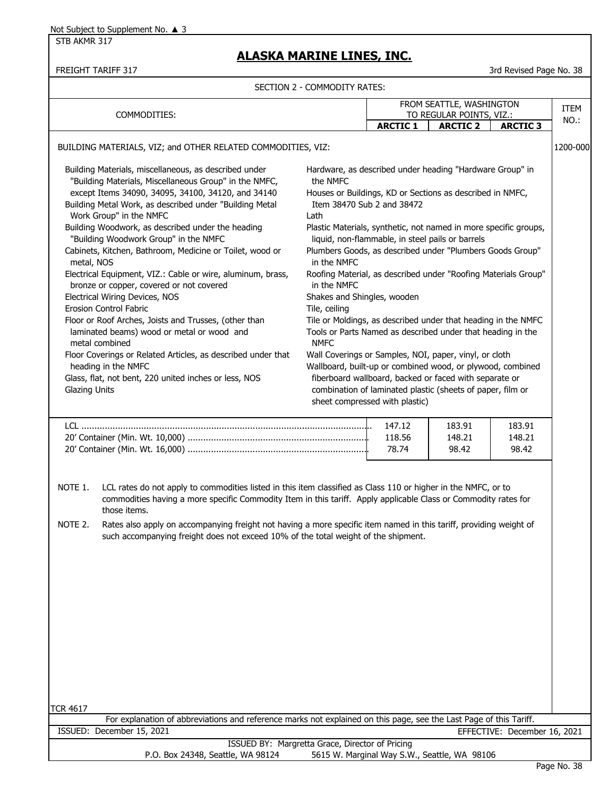STB AKMR 317

# **ALASKA MARINE LINES, INC.**

FREIGHT TARIFF 317 38 STATES AND THE REVISED OF THE REVISED AND THE REVISED OF THE REVISED OF THE REVISED OF THE REVISED OF THE REVISED OF THE REVISED OF THE REVISED OF THE REVISED OF THE REVISED OF THE REVISED OF THE REVI

|                                                                                                                                                                    |                                                                                                                                                                                                                                                                                                                                                                                                                                                                                                                                                                                                                                                                                                                                       | SECTION 2 - COMMODITY RATES:                                                                                  |                                                                                                                                                                                                                                                                                                                                                                                                                                                                                                                                                                                                                                                                                                                                                                                                                              |                                                                         |                              |              |
|--------------------------------------------------------------------------------------------------------------------------------------------------------------------|---------------------------------------------------------------------------------------------------------------------------------------------------------------------------------------------------------------------------------------------------------------------------------------------------------------------------------------------------------------------------------------------------------------------------------------------------------------------------------------------------------------------------------------------------------------------------------------------------------------------------------------------------------------------------------------------------------------------------------------|---------------------------------------------------------------------------------------------------------------|------------------------------------------------------------------------------------------------------------------------------------------------------------------------------------------------------------------------------------------------------------------------------------------------------------------------------------------------------------------------------------------------------------------------------------------------------------------------------------------------------------------------------------------------------------------------------------------------------------------------------------------------------------------------------------------------------------------------------------------------------------------------------------------------------------------------------|-------------------------------------------------------------------------|------------------------------|--------------|
|                                                                                                                                                                    | COMMODITIES:                                                                                                                                                                                                                                                                                                                                                                                                                                                                                                                                                                                                                                                                                                                          |                                                                                                               | <b>ARCTIC 1</b>                                                                                                                                                                                                                                                                                                                                                                                                                                                                                                                                                                                                                                                                                                                                                                                                              | FROM SEATTLE, WASHINGTON<br>TO REGULAR POINTS, VIZ.:<br><b>ARCTIC 2</b> | <b>ARCTIC 3</b>              | ITEM<br>NO.: |
|                                                                                                                                                                    | BUILDING MATERIALS, VIZ; and OTHER RELATED COMMODITIES, VIZ:                                                                                                                                                                                                                                                                                                                                                                                                                                                                                                                                                                                                                                                                          |                                                                                                               |                                                                                                                                                                                                                                                                                                                                                                                                                                                                                                                                                                                                                                                                                                                                                                                                                              |                                                                         |                              | 1200-000     |
| Work Group" in the NMFC<br>metal, NOS<br>Electrical Wiring Devices, NOS<br>Erosion Control Fabric<br>metal combined<br>heading in the NMFC<br><b>Glazing Units</b> | Building Materials, miscellaneous, as described under<br>"Building Materials, Miscellaneous Group" in the NMFC,<br>except Items 34090, 34095, 34100, 34120, and 34140<br>Building Metal Work, as described under "Building Metal<br>Building Woodwork, as described under the heading<br>"Building Woodwork Group" in the NMFC<br>Cabinets, Kitchen, Bathroom, Medicine or Toilet, wood or<br>Electrical Equipment, VIZ.: Cable or wire, aluminum, brass,<br>bronze or copper, covered or not covered<br>Floor or Roof Arches, Joists and Trusses, (other than<br>laminated beams) wood or metal or wood and<br>Floor Coverings or Related Articles, as described under that<br>Glass, flat, not bent, 220 united inches or less, NOS | the NMFC<br>Lath<br>in the NMFC<br>in the NMFC<br>Shakes and Shingles, wooden<br>Tile, ceiling<br><b>NMFC</b> | Hardware, as described under heading "Hardware Group" in<br>Houses or Buildings, KD or Sections as described in NMFC,<br>Item 38470 Sub 2 and 38472<br>Plastic Materials, synthetic, not named in more specific groups,<br>liquid, non-flammable, in steel pails or barrels<br>Plumbers Goods, as described under "Plumbers Goods Group"<br>Roofing Material, as described under "Roofing Materials Group"<br>Tile or Moldings, as described under that heading in the NMFC<br>Tools or Parts Named as described under that heading in the<br>Wall Coverings or Samples, NOI, paper, vinyl, or cloth<br>Wallboard, built-up or combined wood, or plywood, combined<br>fiberboard wallboard, backed or faced with separate or<br>combination of laminated plastic (sheets of paper, film or<br>sheet compressed with plastic) |                                                                         |                              |              |
|                                                                                                                                                                    |                                                                                                                                                                                                                                                                                                                                                                                                                                                                                                                                                                                                                                                                                                                                       |                                                                                                               | 147.12<br>118.56<br>78.74                                                                                                                                                                                                                                                                                                                                                                                                                                                                                                                                                                                                                                                                                                                                                                                                    | 183.91<br>148.21<br>98.42                                               | 183.91<br>148.21<br>98.42    |              |
| NOTE 1.<br>those items.<br>NOTE 2.                                                                                                                                 | LCL rates do not apply to commodities listed in this item classified as Class 110 or higher in the NMFC, or to<br>commodities having a more specific Commodity Item in this tariff. Apply applicable Class or Commodity rates for<br>Rates also apply on accompanying freight not having a more specific item named in this tariff, providing weight of<br>such accompanying freight does not exceed 10% of the total weight of the shipment.                                                                                                                                                                                                                                                                                         |                                                                                                               |                                                                                                                                                                                                                                                                                                                                                                                                                                                                                                                                                                                                                                                                                                                                                                                                                              |                                                                         |                              |              |
| <b>TCR 4617</b>                                                                                                                                                    | For explanation of abbreviations and reference marks not explained on this page, see the Last Page of this Tariff.                                                                                                                                                                                                                                                                                                                                                                                                                                                                                                                                                                                                                    |                                                                                                               |                                                                                                                                                                                                                                                                                                                                                                                                                                                                                                                                                                                                                                                                                                                                                                                                                              |                                                                         |                              |              |
| ISSUED: December 15, 2021                                                                                                                                          |                                                                                                                                                                                                                                                                                                                                                                                                                                                                                                                                                                                                                                                                                                                                       |                                                                                                               |                                                                                                                                                                                                                                                                                                                                                                                                                                                                                                                                                                                                                                                                                                                                                                                                                              |                                                                         | EFFECTIVE: December 16, 2021 |              |
|                                                                                                                                                                    | ISSUED BY: Margretta Grace, Director of Pricing<br>P.O. Box 24348, Seattle, WA 98124                                                                                                                                                                                                                                                                                                                                                                                                                                                                                                                                                                                                                                                  |                                                                                                               | 5615 W. Marginal Way S.W., Seattle, WA 98106                                                                                                                                                                                                                                                                                                                                                                                                                                                                                                                                                                                                                                                                                                                                                                                 |                                                                         |                              |              |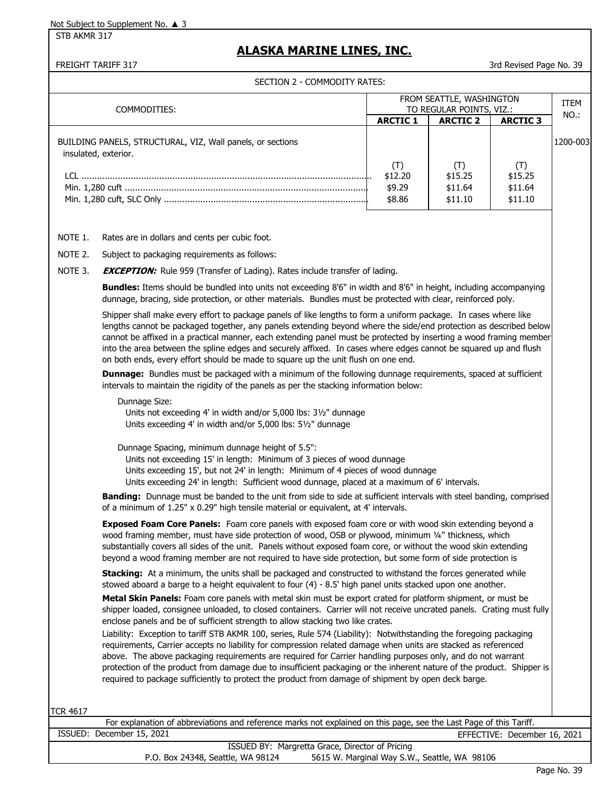STB AKMR 317

## **ALASKA MARINE LINES, INC.**

FREIGHT TARIFF 317 30 ST 200 AU 200 ST 200 AU 30 ST 30 ST 200 AU 30 ST 30 ST 30 AU 30 ST 30 ST 30 AU 30 ST 30 ST 30 ST 30 ST 30 ST 30 ST 30 ST 30 ST 30 ST 30 ST 30 ST 30 ST 30 ST 30 ST 30 ST 30 ST 30 ST 30 ST 30 ST 30 ST 3

SECTION 2 - COMMODITY RATES:

| COMMODITIES:                                                                       |                 | FROM SEATTLE, WASHINGTON<br>TO REGULAR POINTS, VIZ.: |                 | <b>ITEM</b><br>NO.: |
|------------------------------------------------------------------------------------|-----------------|------------------------------------------------------|-----------------|---------------------|
|                                                                                    | <b>ARCTIC 1</b> | <b>ARCTIC 2</b>                                      | <b>ARCTIC 3</b> |                     |
| BUILDING PANELS, STRUCTURAL, VIZ, Wall panels, or sections<br>insulated, exterior. |                 |                                                      |                 | 1200-003            |
|                                                                                    | (T)<br>\$12.20  | \$15.25                                              | \$15.25         |                     |
|                                                                                    | \$9.29          | \$11.64                                              | \$11.64         |                     |
|                                                                                    | \$8.86          | \$11.10                                              | \$11.10         |                     |
| Rates are in dollars and cents per cubic foot.<br>NOTE 1.                          |                 |                                                      |                 |                     |

NOTE 2. Subject to packaging requirements as follows:

NOTE 3. **EXCEPTION:** Rule 959 (Transfer of Lading). Rates include transfer of lading.

**Bundles:** Items should be bundled into units not exceeding 8'6" in width and 8'6" in height, including accompanying dunnage, bracing, side protection, or other materials. Bundles must be protected with clear, reinforced poly.

Shipper shall make every effort to package panels of like lengths to form a uniform package. In cases where like lengths cannot be packaged together, any panels extending beyond where the side/end protection as described below cannot be affixed in a practical manner, each extending panel must be protected by inserting a wood framing member into the area between the spline edges and securely affixed. In cases where edges cannot be squared up and flush on both ends, every effort should be made to square up the unit flush on one end.

**Dunnage:** Bundles must be packaged with a minimum of the following dunnage requirements, spaced at sufficient intervals to maintain the rigidity of the panels as per the stacking information below:

Dunnage Size:

 Units not exceeding 4' in width and/or 5,000 lbs: 3½" dunnage Units exceeding 4' in width and/or 5,000 lbs: 5½" dunnage

Dunnage Spacing, minimum dunnage height of 5.5":

Units not exceeding 15' in length: Minimum of 3 pieces of wood dunnage

Units exceeding 15', but not 24' in length: Minimum of 4 pieces of wood dunnage

Units exceeding 24' in length: Sufficient wood dunnage, placed at a maximum of 6' intervals.

**Banding:** Dunnage must be banded to the unit from side to side at sufficient intervals with steel banding, comprised of a minimum of 1.25" x 0.29" high tensile material or equivalent, at 4' intervals.

**Exposed Foam Core Panels:** Foam core panels with exposed foam core or with wood skin extending beyond a wood framing member, must have side protection of wood, OSB or plywood, minimum 1/4" thickness, which substantially covers all sides of the unit. Panels without exposed foam core, or without the wood skin extending beyond a wood framing member are not required to have side protection, but some form of side protection is

**Stacking:** At a minimum, the units shall be packaged and constructed to withstand the forces generated while stowed aboard a barge to a height equivalent to four (4) - 8.5' high panel units stacked upon one another.

**Metal Skin Panels:** Foam core panels with metal skin must be export crated for platform shipment, or must be shipper loaded, consignee unloaded, to closed containers. Carrier will not receive uncrated panels. Crating must fully enclose panels and be of sufficient strength to allow stacking two like crates.

Liability: Exception to tariff STB AKMR 100, series, Rule 574 (Liability): Notwithstanding the foregoing packaging requirements, Carrier accepts no liability for compression related damage when units are stacked as referenced above. The above packaging requirements are required for Carrier handling purposes only, and do not warrant protection of the product from damage due to insufficient packaging or the inherent nature of the product. Shipper is required to package sufficiently to protect the product from damage of shipment by open deck barge.

TCR 4617

|                                   | For explanation of abbreviations and reference marks not explained on this page, see the Last Page of this Tariff. |
|-----------------------------------|--------------------------------------------------------------------------------------------------------------------|
| ISSUED: December 15, 2021         | EFFECTIVE: December 16, 2021                                                                                       |
|                                   | ISSUED BY: Margretta Grace, Director of Pricing                                                                    |
| P.O. Box 24348, Seattle, WA 98124 | 5615 W. Marginal Way S.W., Seattle, WA 98106                                                                       |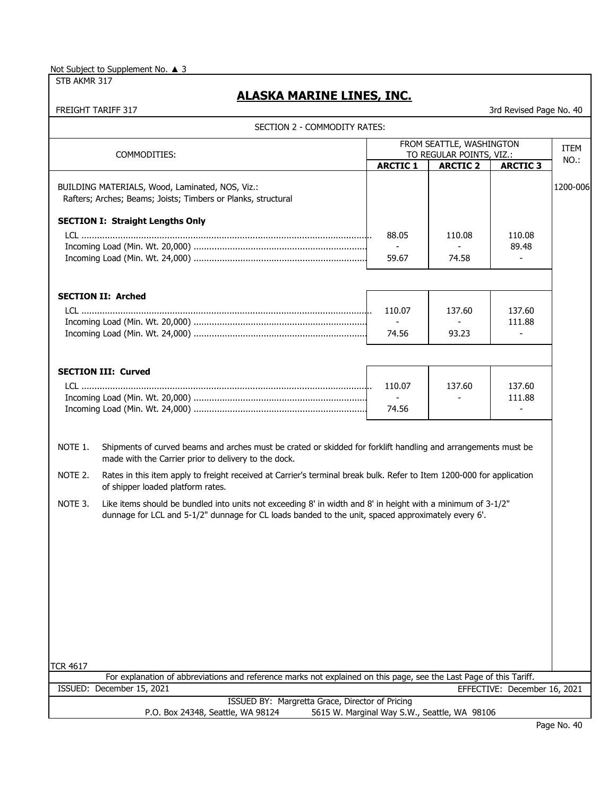STB AKMR 317

# **ALASKA MARINE LINES, INC.**

|                 | SECTION 2 - COMMODITY RATES:                                                                                                                                                                                      |                 |                                              |                              |          |
|-----------------|-------------------------------------------------------------------------------------------------------------------------------------------------------------------------------------------------------------------|-----------------|----------------------------------------------|------------------------------|----------|
|                 |                                                                                                                                                                                                                   |                 | FROM SEATTLE, WASHINGTON                     |                              | ITEM     |
|                 | COMMODITIES:                                                                                                                                                                                                      | <b>ARCTIC 1</b> | TO REGULAR POINTS, VIZ.:<br><b>ARCTIC 2</b>  | <b>ARCTIC 3</b>              | NO.:     |
|                 | BUILDING MATERIALS, Wood, Laminated, NOS, Viz.:<br>Rafters; Arches; Beams; Joists; Timbers or Planks, structural                                                                                                  |                 |                                              |                              | 1200-006 |
|                 | <b>SECTION I: Straight Lengths Only</b>                                                                                                                                                                           | 88.05           | 110.08                                       | 110.08                       |          |
|                 |                                                                                                                                                                                                                   | 59.67           | 74.58                                        | 89.48                        |          |
|                 | <b>SECTION II: Arched</b>                                                                                                                                                                                         | 110.07          | 137.60                                       | 137.60                       |          |
|                 |                                                                                                                                                                                                                   | 74.56           | 93.23                                        | 111.88                       |          |
|                 | <b>SECTION III: Curved</b>                                                                                                                                                                                        |                 |                                              |                              |          |
|                 |                                                                                                                                                                                                                   | 110.07<br>74.56 | 137.60                                       | 137.60<br>111.88             |          |
| NOTE 1.         | Shipments of curved beams and arches must be crated or skidded for forklift handling and arrangements must be<br>made with the Carrier prior to delivery to the dock.                                             |                 |                                              |                              |          |
| NOTE 2.         | Rates in this item apply to freight received at Carrier's terminal break bulk. Refer to Item 1200-000 for application<br>of shipper loaded platform rates.                                                        |                 |                                              |                              |          |
| NOTE 3.         | Like items should be bundled into units not exceeding 8' in width and 8' in height with a minimum of 3-1/2"<br>dunnage for LCL and 5-1/2" dunnage for CL loads banded to the unit, spaced approximately every 6'. |                 |                                              |                              |          |
|                 |                                                                                                                                                                                                                   |                 |                                              |                              |          |
|                 |                                                                                                                                                                                                                   |                 |                                              |                              |          |
|                 |                                                                                                                                                                                                                   |                 |                                              |                              |          |
| <b>TCR 4617</b> |                                                                                                                                                                                                                   |                 |                                              |                              |          |
|                 | For explanation of abbreviations and reference marks not explained on this page, see the Last Page of this Tariff.                                                                                                |                 |                                              |                              |          |
|                 | ISSUED: December 15, 2021                                                                                                                                                                                         |                 |                                              | EFFECTIVE: December 16, 2021 |          |
|                 | ISSUED BY: Margretta Grace, Director of Pricing<br>P.O. Box 24348, Seattle, WA 98124                                                                                                                              |                 | 5615 W. Marginal Way S.W., Seattle, WA 98106 |                              |          |
|                 |                                                                                                                                                                                                                   |                 |                                              |                              |          |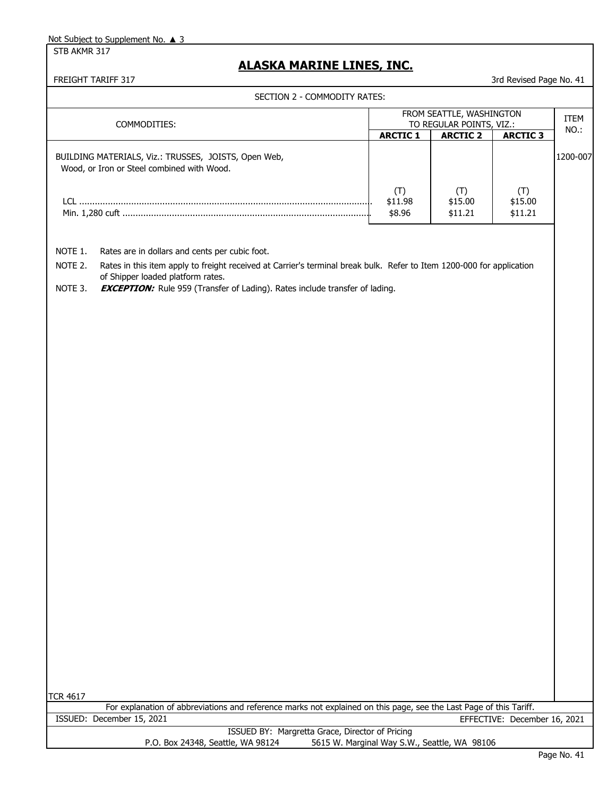STB AKMR 317

# **ALASKA MARINE LINES, INC.**

|                               | SECTION 2 - COMMODITY RATES:                                                                                                                                                                                                                                                                       |                                              |                           |                              |             |
|-------------------------------|----------------------------------------------------------------------------------------------------------------------------------------------------------------------------------------------------------------------------------------------------------------------------------------------------|----------------------------------------------|---------------------------|------------------------------|-------------|
|                               |                                                                                                                                                                                                                                                                                                    |                                              | FROM SEATTLE, WASHINGTON  |                              | <b>ITEM</b> |
|                               | COMMODITIES:                                                                                                                                                                                                                                                                                       |                                              | TO REGULAR POINTS, VIZ.:  |                              | NO.:        |
|                               |                                                                                                                                                                                                                                                                                                    | <b>ARCTIC 1</b>                              | <b>ARCTIC 2</b>           | <b>ARCTIC 3</b>              |             |
|                               | BUILDING MATERIALS, Viz.: TRUSSES, JOISTS, Open Web,<br>Wood, or Iron or Steel combined with Wood.                                                                                                                                                                                                 |                                              |                           |                              | 1200-007    |
|                               |                                                                                                                                                                                                                                                                                                    | (T)<br>\$11.98<br>\$8.96                     | (T)<br>\$15.00<br>\$11.21 | (T)<br>\$15.00<br>\$11.21    |             |
| NOTE 1.<br>NOTE 2.<br>NOTE 3. | Rates are in dollars and cents per cubic foot.<br>Rates in this item apply to freight received at Carrier's terminal break bulk. Refer to Item 1200-000 for application<br>of Shipper loaded platform rates.<br><b>EXCEPTION:</b> Rule 959 (Transfer of Lading). Rates include transfer of lading. |                                              |                           |                              |             |
|                               |                                                                                                                                                                                                                                                                                                    |                                              |                           |                              |             |
|                               |                                                                                                                                                                                                                                                                                                    |                                              |                           |                              |             |
|                               |                                                                                                                                                                                                                                                                                                    |                                              |                           |                              |             |
| <b>TCR 4617</b>               |                                                                                                                                                                                                                                                                                                    |                                              |                           |                              |             |
|                               | For explanation of abbreviations and reference marks not explained on this page, see the Last Page of this Tariff.                                                                                                                                                                                 |                                              |                           |                              |             |
|                               | ISSUED: December 15, 2021                                                                                                                                                                                                                                                                          |                                              |                           | EFFECTIVE: December 16, 2021 |             |
|                               | ISSUED BY: Margretta Grace, Director of Pricing<br>P.O. Box 24348, Seattle, WA 98124                                                                                                                                                                                                               | 5615 W. Marginal Way S.W., Seattle, WA 98106 |                           |                              |             |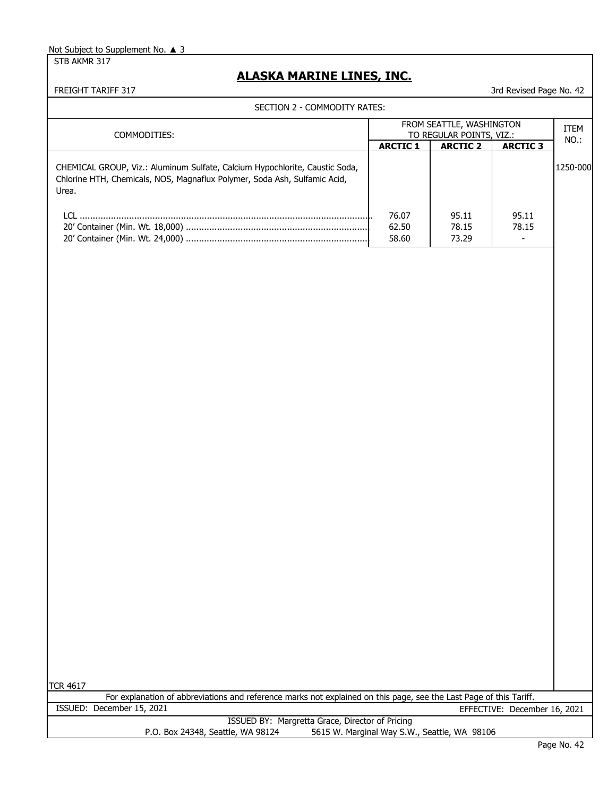STB AKMR 317

# **ALASKA MARINE LINES, INC.**

FREIGHT TARIFF 317 3rd Revised Page No. 42

SECTION 2 - COMMODITY RATES:

|                                                                                                                                                                   |                         | FROM SEATTLE, WASHINGTON                     |                                            | <b>ITEM</b> |
|-------------------------------------------------------------------------------------------------------------------------------------------------------------------|-------------------------|----------------------------------------------|--------------------------------------------|-------------|
| COMMODITIES:                                                                                                                                                      | <b>ARCTIC 1</b>         | TO REGULAR POINTS, VIZ.:<br><b>ARCTIC 2</b>  |                                            | NO.:        |
|                                                                                                                                                                   |                         |                                              | <b>ARCTIC 3</b>                            |             |
| CHEMICAL GROUP, Viz.: Aluminum Sulfate, Calcium Hypochlorite, Caustic Soda,<br>Chlorine HTH, Chemicals, NOS, Magnaflux Polymer, Soda Ash, Sulfamic Acid,<br>Urea. |                         |                                              |                                            | 1250-000    |
|                                                                                                                                                                   | 76.07<br>62.50<br>58.60 | 95.11<br>78.15<br>73.29                      | 95.11<br>78.15<br>$\overline{\phantom{a}}$ |             |
|                                                                                                                                                                   |                         |                                              |                                            |             |
|                                                                                                                                                                   |                         |                                              |                                            |             |
|                                                                                                                                                                   |                         |                                              |                                            |             |
|                                                                                                                                                                   |                         |                                              |                                            |             |
|                                                                                                                                                                   |                         |                                              |                                            |             |
|                                                                                                                                                                   |                         |                                              |                                            |             |
|                                                                                                                                                                   |                         |                                              |                                            |             |
|                                                                                                                                                                   |                         |                                              |                                            |             |
|                                                                                                                                                                   |                         |                                              |                                            |             |
|                                                                                                                                                                   |                         |                                              |                                            |             |
|                                                                                                                                                                   |                         |                                              |                                            |             |
|                                                                                                                                                                   |                         |                                              |                                            |             |
|                                                                                                                                                                   |                         |                                              |                                            |             |
|                                                                                                                                                                   |                         |                                              |                                            |             |
|                                                                                                                                                                   |                         |                                              |                                            |             |
|                                                                                                                                                                   |                         |                                              |                                            |             |
|                                                                                                                                                                   |                         |                                              |                                            |             |
|                                                                                                                                                                   |                         |                                              |                                            |             |
|                                                                                                                                                                   |                         |                                              |                                            |             |
|                                                                                                                                                                   |                         |                                              |                                            |             |
|                                                                                                                                                                   |                         |                                              |                                            |             |
| <b>TCR 4617</b><br>For explanation of abbreviations and reference marks not explained on this page, see the Last Page of this Tariff.                             |                         |                                              |                                            |             |
| ISSUED: December 15, 2021                                                                                                                                         |                         |                                              | EFFECTIVE: December 16, 2021               |             |
| ISSUED BY: Margretta Grace, Director of Pricing                                                                                                                   |                         |                                              |                                            |             |
| P.O. Box 24348, Seattle, WA 98124                                                                                                                                 |                         | 5615 W. Marginal Way S.W., Seattle, WA 98106 |                                            |             |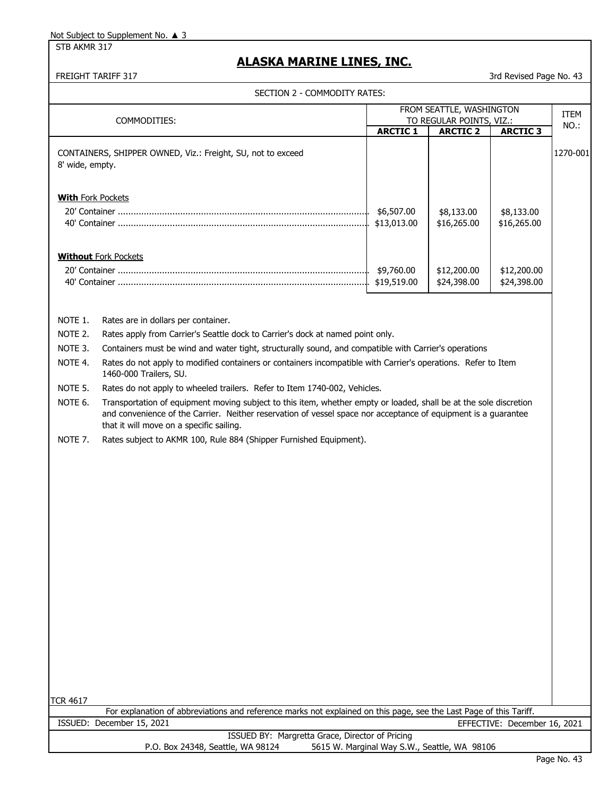STB AKMR 317

# **ALASKA MARINE LINES, INC.**

FREIGHT TARIFF 317 3rd Revised Page No. 43

SECTION 2 - COMMODITY RATES:

|                                                                |                                                                                                                                                                                                                                                                                                                                                                                                                                                                                                                                                                                                                                                                                                                                           |                                              | FROM SEATTLE, WASHINGTON                    |                              | <b>ITEM</b> |
|----------------------------------------------------------------|-------------------------------------------------------------------------------------------------------------------------------------------------------------------------------------------------------------------------------------------------------------------------------------------------------------------------------------------------------------------------------------------------------------------------------------------------------------------------------------------------------------------------------------------------------------------------------------------------------------------------------------------------------------------------------------------------------------------------------------------|----------------------------------------------|---------------------------------------------|------------------------------|-------------|
|                                                                | COMMODITIES:                                                                                                                                                                                                                                                                                                                                                                                                                                                                                                                                                                                                                                                                                                                              | <b>ARCTIC 1</b>                              | TO REGULAR POINTS, VIZ.:<br><b>ARCTIC 2</b> | <b>ARCTIC 3</b>              | NO.:        |
| 8' wide, empty.                                                | CONTAINERS, SHIPPER OWNED, Viz.: Freight, SU, not to exceed                                                                                                                                                                                                                                                                                                                                                                                                                                                                                                                                                                                                                                                                               |                                              |                                             |                              | 1270-001    |
| <b>With Fork Pockets</b>                                       |                                                                                                                                                                                                                                                                                                                                                                                                                                                                                                                                                                                                                                                                                                                                           | \$6,507.00<br>\$13,013.00                    | \$8,133.00<br>\$16,265.00                   | \$8,133.00<br>\$16,265.00    |             |
|                                                                | <b>Without Fork Pockets</b>                                                                                                                                                                                                                                                                                                                                                                                                                                                                                                                                                                                                                                                                                                               | \$9,760.00<br>\$19,519.00                    | \$12,200.00<br>\$24,398.00                  | \$12,200.00<br>\$24,398.00   |             |
| NOTE 1.<br>NOTE 2.<br>NOTE 3.<br>NOTE 4.<br>NOTE 5.<br>NOTE 6. | Rates are in dollars per container.<br>Rates apply from Carrier's Seattle dock to Carrier's dock at named point only.<br>Containers must be wind and water tight, structurally sound, and compatible with Carrier's operations<br>Rates do not apply to modified containers or containers incompatible with Carrier's operations. Refer to Item<br>1460-000 Trailers, SU.<br>Rates do not apply to wheeled trailers. Refer to Item 1740-002, Vehicles.<br>Transportation of equipment moving subject to this item, whether empty or loaded, shall be at the sole discretion<br>and convenience of the Carrier. Neither reservation of vessel space nor acceptance of equipment is a guarantee<br>that it will move on a specific sailing. |                                              |                                             |                              |             |
| NOTE 7.                                                        | Rates subject to AKMR 100, Rule 884 (Shipper Furnished Equipment).                                                                                                                                                                                                                                                                                                                                                                                                                                                                                                                                                                                                                                                                        |                                              |                                             |                              |             |
| <b>TCR 4617</b>                                                | For explanation of abbreviations and reference marks not explained on this page, see the Last Page of this Tariff.                                                                                                                                                                                                                                                                                                                                                                                                                                                                                                                                                                                                                        |                                              |                                             |                              |             |
|                                                                | ISSUED: December 15, 2021                                                                                                                                                                                                                                                                                                                                                                                                                                                                                                                                                                                                                                                                                                                 |                                              |                                             | EFFECTIVE: December 16, 2021 |             |
|                                                                | ISSUED BY: Margretta Grace, Director of Pricing<br>P.O. Box 24348, Seattle, WA 98124                                                                                                                                                                                                                                                                                                                                                                                                                                                                                                                                                                                                                                                      | 5615 W. Marginal Way S.W., Seattle, WA 98106 |                                             |                              |             |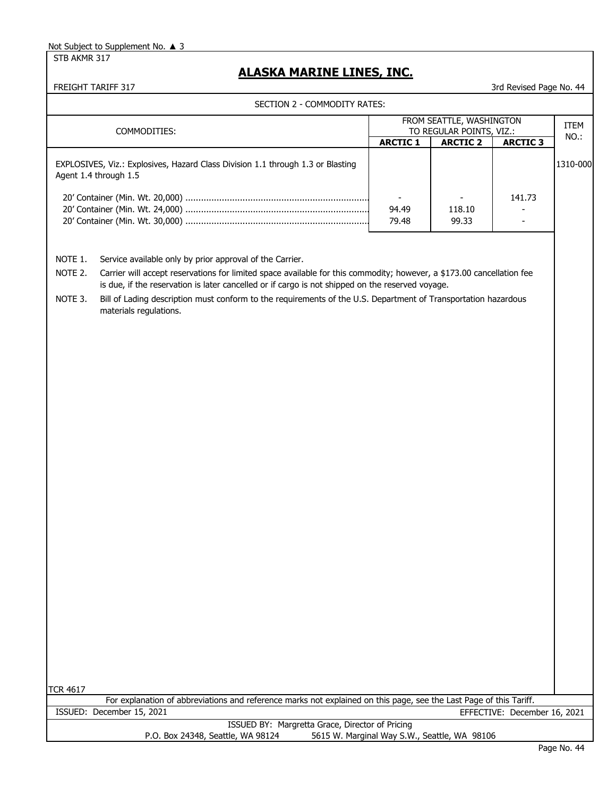STB AKMR 317

# **ALASKA MARINE LINES, INC.**

**FREIGHT TARIFF 317** 3rd Revised Page No. 44 3rd Revised Page No. 44 3rd Revised Page No. 44 3rd Revised Page No. 44 3rd Revised Page No. 44 3rd Revised Page No. 44 3rd Revised Page No. 44 3rd Revised Page No. 44 3rd Revis

|                               | COMMODITIES:                                                                                                                                                                                                                                                                                                                                                                                                                      |                 | FROM SEATTLE, WASHINGTON<br>TO REGULAR POINTS, VIZ.: |                 | <b>ITEM</b> |
|-------------------------------|-----------------------------------------------------------------------------------------------------------------------------------------------------------------------------------------------------------------------------------------------------------------------------------------------------------------------------------------------------------------------------------------------------------------------------------|-----------------|------------------------------------------------------|-----------------|-------------|
|                               |                                                                                                                                                                                                                                                                                                                                                                                                                                   | <b>ARCTIC 1</b> | <b>ARCTIC 2</b>                                      | <b>ARCTIC 3</b> | NO.:        |
|                               | EXPLOSIVES, Viz.: Explosives, Hazard Class Division 1.1 through 1.3 or Blasting<br>Agent 1.4 through 1.5                                                                                                                                                                                                                                                                                                                          | 94.49           | 118.10                                               | 141.73          | 1310-000    |
|                               |                                                                                                                                                                                                                                                                                                                                                                                                                                   | 79.48           | 99.33                                                |                 |             |
| NOTE 1.<br>NOTE 2.<br>NOTE 3. | Service available only by prior approval of the Carrier.<br>Carrier will accept reservations for limited space available for this commodity; however, a \$173.00 cancellation fee<br>is due, if the reservation is later cancelled or if cargo is not shipped on the reserved voyage.<br>Bill of Lading description must conform to the requirements of the U.S. Department of Transportation hazardous<br>materials regulations. |                 |                                                      |                 |             |
|                               |                                                                                                                                                                                                                                                                                                                                                                                                                                   |                 |                                                      |                 |             |
|                               |                                                                                                                                                                                                                                                                                                                                                                                                                                   |                 |                                                      |                 |             |
|                               |                                                                                                                                                                                                                                                                                                                                                                                                                                   |                 |                                                      |                 |             |
|                               |                                                                                                                                                                                                                                                                                                                                                                                                                                   |                 |                                                      |                 |             |
|                               |                                                                                                                                                                                                                                                                                                                                                                                                                                   |                 |                                                      |                 |             |
|                               |                                                                                                                                                                                                                                                                                                                                                                                                                                   |                 |                                                      |                 |             |
|                               |                                                                                                                                                                                                                                                                                                                                                                                                                                   |                 |                                                      |                 |             |
|                               |                                                                                                                                                                                                                                                                                                                                                                                                                                   |                 |                                                      |                 |             |
|                               |                                                                                                                                                                                                                                                                                                                                                                                                                                   |                 |                                                      |                 |             |
| <b>TCR 4617</b>               | For explanation of abbreviations and reference marks not explained on this page, see the Last Page of this Tariff.                                                                                                                                                                                                                                                                                                                |                 |                                                      |                 |             |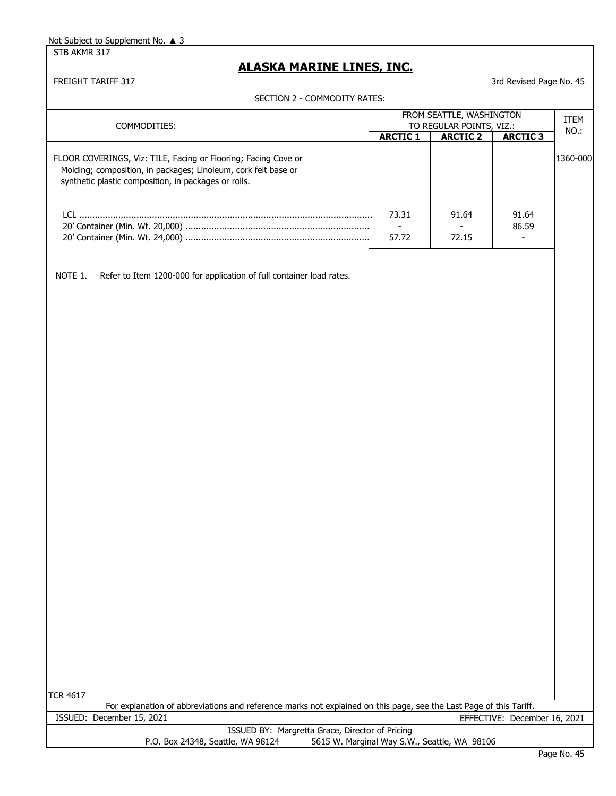STB AKMR 317

### **ALASKA MARINE LINES, INC.**

FREIGHT TARIFF 317 3rd Revised Page No. 45

| SECTION 2 - COMMODITY RATES:                                                                                                                                                             |                 |                                                      |                 |          |
|------------------------------------------------------------------------------------------------------------------------------------------------------------------------------------------|-----------------|------------------------------------------------------|-----------------|----------|
| COMMODITIES:                                                                                                                                                                             |                 | FROM SEATTLE, WASHINGTON<br>TO REGULAR POINTS, VIZ.: |                 |          |
|                                                                                                                                                                                          | <b>ARCTIC 1</b> | <b>ARCTIC 2</b>                                      | <b>ARCTIC 3</b> | NO.:     |
| FLOOR COVERINGS, Viz: TILE, Facing or Flooring; Facing Cove or<br>Molding; composition, in packages; Linoleum, cork felt base or<br>synthetic plastic composition, in packages or rolls. |                 |                                                      |                 | 1360-000 |
|                                                                                                                                                                                          | 73.31<br>57.72  | 91.64<br>72.15                                       | 91.64<br>86.59  |          |
| Refer to Item 1200-000 for application of full container load rates.<br>NOTE 1.                                                                                                          |                 |                                                      |                 |          |

TCR 4617

For explanation of abbreviations and reference marks not explained on this page, see the Last Page of this Tariff. ISSUED: December 15, 2021 EFFECTIVE: December 16, 2021

> ISSUED BY: Margretta Grace, Director of Pricing P.O. Box 24348, Seattle, WA 98124 5615 W. Marginal Way S.W., Seattle, WA 98106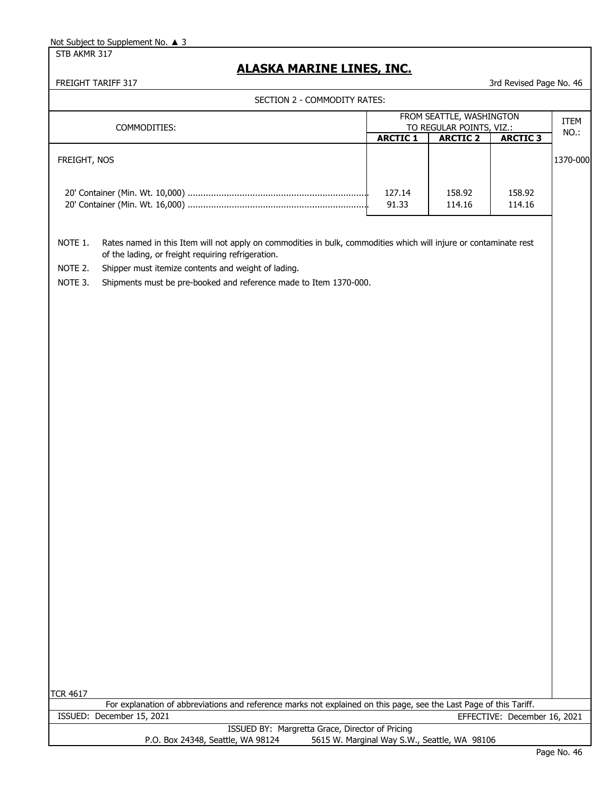STB AKMR 317

# **ALASKA MARINE LINES, INC.**

| SECTION 2 - COMMODITY RATES:                                                                                                                                                                                                                                                                                                         |                                                                      |                                              |                              |             |
|--------------------------------------------------------------------------------------------------------------------------------------------------------------------------------------------------------------------------------------------------------------------------------------------------------------------------------------|----------------------------------------------------------------------|----------------------------------------------|------------------------------|-------------|
|                                                                                                                                                                                                                                                                                                                                      | FROM SEATTLE, WASHINGTON<br>TO REGULAR POINTS, VIZ.:<br>COMMODITIES: |                                              |                              | <b>ITEM</b> |
|                                                                                                                                                                                                                                                                                                                                      | <b>ARCTIC 1</b>                                                      | <b>ARCTIC 2</b>                              | <b>ARCTIC 3</b>              | NO.:        |
| FREIGHT, NOS                                                                                                                                                                                                                                                                                                                         |                                                                      |                                              |                              | 1370-000    |
|                                                                                                                                                                                                                                                                                                                                      | 127.14<br>91.33                                                      | 158.92<br>114.16                             | 158.92<br>114.16             |             |
| NOTE 1.<br>Rates named in this Item will not apply on commodities in bulk, commodities which will injure or contaminate rest<br>of the lading, or freight requiring refrigeration.<br>NOTE 2.<br>Shipper must itemize contents and weight of lading.<br>NOTE 3.<br>Shipments must be pre-booked and reference made to Item 1370-000. |                                                                      |                                              |                              |             |
|                                                                                                                                                                                                                                                                                                                                      |                                                                      |                                              |                              |             |
|                                                                                                                                                                                                                                                                                                                                      |                                                                      |                                              |                              |             |
|                                                                                                                                                                                                                                                                                                                                      |                                                                      |                                              |                              |             |
|                                                                                                                                                                                                                                                                                                                                      |                                                                      |                                              |                              |             |
|                                                                                                                                                                                                                                                                                                                                      |                                                                      |                                              |                              |             |
| <b>TCR 4617</b><br>For explanation of abbreviations and reference marks not explained on this page, see the Last Page of this Tariff.                                                                                                                                                                                                |                                                                      |                                              |                              |             |
| ISSUED: December 15, 2021                                                                                                                                                                                                                                                                                                            |                                                                      |                                              | EFFECTIVE: December 16, 2021 |             |
| ISSUED BY: Margretta Grace, Director of Pricing<br>P.O. Box 24348, Seattle, WA 98124                                                                                                                                                                                                                                                 |                                                                      | 5615 W. Marginal Way S.W., Seattle, WA 98106 |                              |             |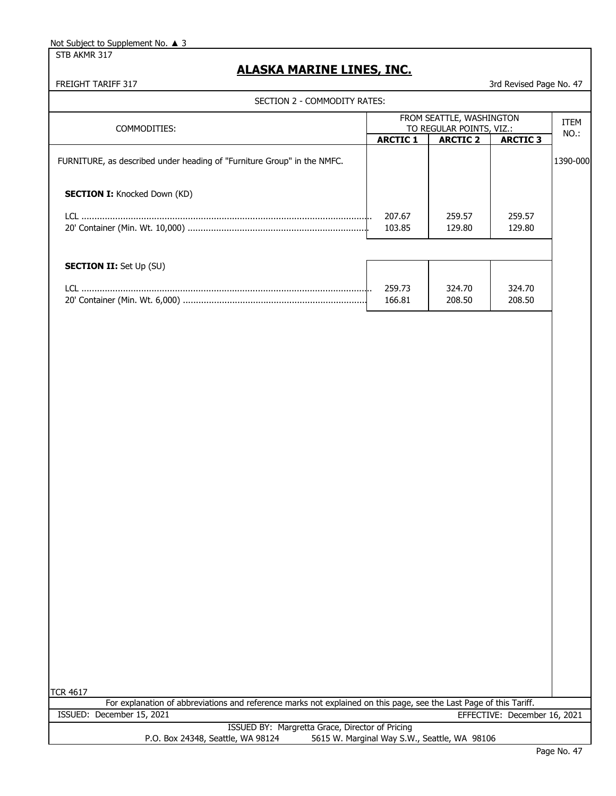STB AKMR 317

## **ALASKA MARINE LINES, INC.**

FREIGHT TARIFF 317 3rd Revised Page No. 47

| SECTION 2 - COMMODITY RATES:                                            |                                                      |                  |                  |                     |
|-------------------------------------------------------------------------|------------------------------------------------------|------------------|------------------|---------------------|
| COMMODITIES:                                                            | FROM SEATTLE, WASHINGTON<br>TO REGULAR POINTS, VIZ.: |                  |                  | <b>ITEM</b><br>NO.: |
|                                                                         | <b>ARCTIC 1</b>                                      | <b>ARCTIC 2</b>  | <b>ARCTIC 3</b>  |                     |
| FURNITURE, as described under heading of "Furniture Group" in the NMFC. |                                                      |                  |                  | 1390-000            |
| <b>SECTION I:</b> Knocked Down (KD)                                     |                                                      |                  |                  |                     |
| LCL.                                                                    | 207.67                                               | 259.57           | 259.57           |                     |
|                                                                         | 103.85                                               | 129.80           | 129.80           |                     |
| <b>SECTION II:</b> Set Up (SU)                                          |                                                      |                  |                  |                     |
| LCL                                                                     | 259.73<br>166.81                                     | 324.70<br>208.50 | 324.70<br>208.50 |                     |

TCR 4617

|                           | For explanation of abbreviations and reference marks not explained on this page, see the Last Page of this Tariff. |                              |
|---------------------------|--------------------------------------------------------------------------------------------------------------------|------------------------------|
| ISSUED: December 15, 2021 |                                                                                                                    | EFFECTIVE: December 16, 2021 |
|                           | ISSUED BY: Margretta Grace, Director of Pricing                                                                    |                              |

P.O. Box 24348, Seattle, WA 98124 5615 W. Marginal Way S.W., Seattle, WA 98106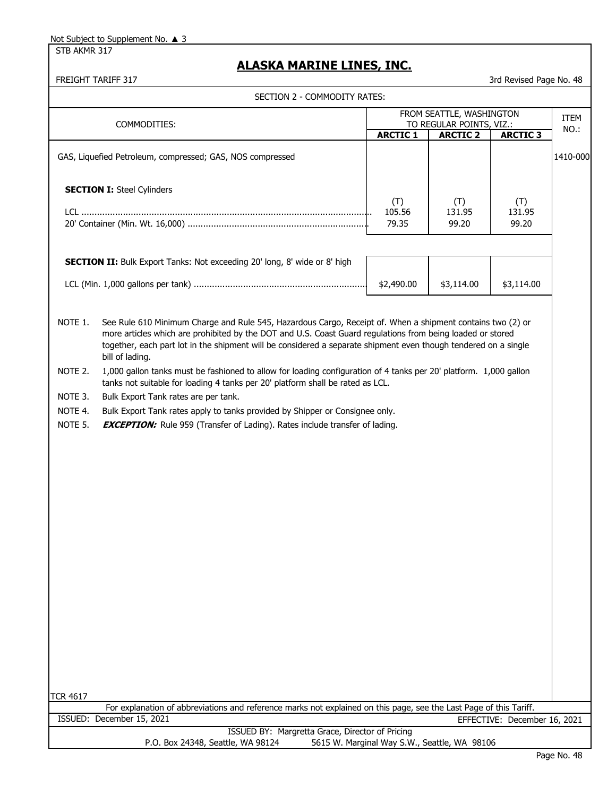STB AKMR 317

### **ALASKA MARINE LINES, INC.**

FREIGHT TARIFF 317 3rd Revised Page No. 48

GAS, Liquefied Petroleum, compressed; GAS, NOS compressed 1410-000 and 1410-000 **SECTION I:** Steel Cylinders **SECTION II:** Bulk Export Tanks: Not exceeding 20' long, 8' wide or 8' high NOTE 1. See Rule 610 Minimum Charge and Rule 545, Hazardous Cargo, Receipt of. When a shipment contains two (2) or more articles which are prohibited by the DOT and U.S. Coast Guard regulations from being loaded or stored together, each part lot in the shipment will be considered a separate shipment even though tendered on a single bill of lading. NOTE 2. 1,000 gallon tanks must be fashioned to allow for loading configuration of 4 tanks per 20' platform. 1,000 gallon tanks not suitable for loading 4 tanks per 20' platform shall be rated as LCL. NOTE 3. Bulk Export Tank rates are per tank. NOTE 4. Bulk Export Tank rates apply to tanks provided by Shipper or Consignee only. NOTE 5. **EXCEPTION:** Rule 959 (Transfer of Lading). Rates include transfer of lading. TCR 4617 **ARCTIC 1** COMMODITIES: **ARCTIC 3** ITEM TO REGULAR POINTS, VIZ.: NO.: NO.: FROM SEATTLE, WASHINGTON SECTION 2 - COMMODITY RATES: **ARCTIC 2** LCL ................................................................................................................ 20' Container (Min. Wt. 16,000) ...................................................................... LCL (Min. 1,000 gallons per tank) ................................................................... For explanation of abbreviations and reference marks not explained on this page, see the Last Page of this Tariff. ISSUED BY: Margretta Grace, Director of Pricing P.O. Box 24348, Seattle, WA 98124 5615 W. Marginal Way S.W., Seattle, WA 98106 ISSUED: December 15, 2021 EFFECTIVE: December 16, 2021 (T) (T) (T)  $$2,490.00$   $$3,114.00$   $$3,114.00$ 99.20 131.95 99.20 131.95 79.35 105.56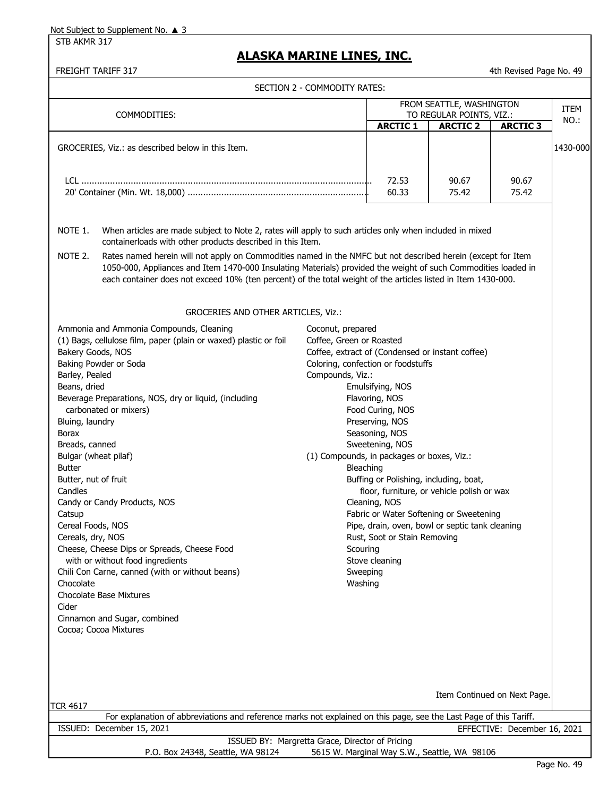STB AKMR 317

# **ALASKA MARINE LINES, INC.**

| FREIGHT TARIFF 317                                                                                                                                                                                                                                                                                                                                                                                                                                                                                                                                                                                                                                                                                                                                 |                                                                                                                                                                                                                                                           |                                                                                                                                                                                                                             |                                                                                                                                          | 4th Revised Page No. 49      |          |
|----------------------------------------------------------------------------------------------------------------------------------------------------------------------------------------------------------------------------------------------------------------------------------------------------------------------------------------------------------------------------------------------------------------------------------------------------------------------------------------------------------------------------------------------------------------------------------------------------------------------------------------------------------------------------------------------------------------------------------------------------|-----------------------------------------------------------------------------------------------------------------------------------------------------------------------------------------------------------------------------------------------------------|-----------------------------------------------------------------------------------------------------------------------------------------------------------------------------------------------------------------------------|------------------------------------------------------------------------------------------------------------------------------------------|------------------------------|----------|
|                                                                                                                                                                                                                                                                                                                                                                                                                                                                                                                                                                                                                                                                                                                                                    | SECTION 2 - COMMODITY RATES:                                                                                                                                                                                                                              |                                                                                                                                                                                                                             |                                                                                                                                          |                              |          |
|                                                                                                                                                                                                                                                                                                                                                                                                                                                                                                                                                                                                                                                                                                                                                    |                                                                                                                                                                                                                                                           |                                                                                                                                                                                                                             | FROM SEATTLE, WASHINGTON                                                                                                                 |                              | ITEM     |
| COMMODITIES:                                                                                                                                                                                                                                                                                                                                                                                                                                                                                                                                                                                                                                                                                                                                       |                                                                                                                                                                                                                                                           | <b>ARCTIC 1</b>                                                                                                                                                                                                             | TO REGULAR POINTS, VIZ.:<br><b>ARCTIC 2</b>                                                                                              | <b>ARCTIC 3</b>              | NO.:     |
| GROCERIES, Viz.: as described below in this Item.                                                                                                                                                                                                                                                                                                                                                                                                                                                                                                                                                                                                                                                                                                  |                                                                                                                                                                                                                                                           |                                                                                                                                                                                                                             |                                                                                                                                          |                              | 1430-000 |
|                                                                                                                                                                                                                                                                                                                                                                                                                                                                                                                                                                                                                                                                                                                                                    |                                                                                                                                                                                                                                                           | 72.53<br>60.33                                                                                                                                                                                                              | 90.67<br>75.42                                                                                                                           | 90.67<br>75.42               |          |
| NOTE 1.<br>When articles are made subject to Note 2, rates will apply to such articles only when included in mixed<br>containerloads with other products described in this Item.<br>NOTE 2.<br>Rates named herein will not apply on Commodities named in the NMFC but not described herein (except for Item<br>1050-000, Appliances and Item 1470-000 Insulating Materials) provided the weight of such Commodities loaded in<br>each container does not exceed 10% (ten percent) of the total weight of the articles listed in Item 1430-000.                                                                                                                                                                                                     |                                                                                                                                                                                                                                                           |                                                                                                                                                                                                                             |                                                                                                                                          |                              |          |
| GROCERIES AND OTHER ARTICLES, Viz.:                                                                                                                                                                                                                                                                                                                                                                                                                                                                                                                                                                                                                                                                                                                |                                                                                                                                                                                                                                                           |                                                                                                                                                                                                                             |                                                                                                                                          |                              |          |
| Ammonia and Ammonia Compounds, Cleaning<br>(1) Bags, cellulose film, paper (plain or waxed) plastic or foil<br>Bakery Goods, NOS<br>Baking Powder or Soda<br>Barley, Pealed<br>Beans, dried<br>Beverage Preparations, NOS, dry or liquid, (including<br>carbonated or mixers)<br>Bluing, laundry<br>Borax<br>Breads, canned<br>Bulgar (wheat pilaf)<br><b>Butter</b><br>Butter, nut of fruit<br>Candles<br>Candy or Candy Products, NOS<br>Catsup<br>Cereal Foods, NOS<br>Cereals, dry, NOS<br>Cheese, Cheese Dips or Spreads, Cheese Food<br>with or without food ingredients<br>Chili Con Carne, canned (with or without beans)<br>Chocolate<br><b>Chocolate Base Mixtures</b><br>Cider<br>Cinnamon and Sugar, combined<br>Cocoa; Cocoa Mixtures | Coconut, prepared<br>Coffee, Green or Roasted<br>Coffee, extract of (Condensed or instant coffee)<br>Coloring, confection or foodstuffs<br>Compounds, Viz.:<br>(1) Compounds, in packages or boxes, Viz.:<br>Bleaching<br>Scouring<br>Sweeping<br>Washing | Emulsifying, NOS<br>Flavoring, NOS<br>Food Curing, NOS<br>Preserving, NOS<br>Seasoning, NOS<br>Sweetening, NOS<br>Buffing or Polishing, including, boat,<br>Cleaning, NOS<br>Rust, Soot or Stain Removing<br>Stove cleaning | floor, furniture, or vehicle polish or wax<br>Fabric or Water Softening or Sweetening<br>Pipe, drain, oven, bowl or septic tank cleaning |                              |          |
|                                                                                                                                                                                                                                                                                                                                                                                                                                                                                                                                                                                                                                                                                                                                                    |                                                                                                                                                                                                                                                           |                                                                                                                                                                                                                             |                                                                                                                                          | Item Continued on Next Page. |          |
| <b>TCR 4617</b>                                                                                                                                                                                                                                                                                                                                                                                                                                                                                                                                                                                                                                                                                                                                    |                                                                                                                                                                                                                                                           |                                                                                                                                                                                                                             |                                                                                                                                          |                              |          |
| For explanation of abbreviations and reference marks not explained on this page, see the Last Page of this Tariff.<br>ISSUED: December 15, 2021                                                                                                                                                                                                                                                                                                                                                                                                                                                                                                                                                                                                    |                                                                                                                                                                                                                                                           |                                                                                                                                                                                                                             |                                                                                                                                          | EFFECTIVE: December 16, 2021 |          |
| ISSUED BY: Margretta Grace, Director of Pricing                                                                                                                                                                                                                                                                                                                                                                                                                                                                                                                                                                                                                                                                                                    |                                                                                                                                                                                                                                                           |                                                                                                                                                                                                                             |                                                                                                                                          |                              |          |
| P.O. Box 24348, Seattle, WA 98124                                                                                                                                                                                                                                                                                                                                                                                                                                                                                                                                                                                                                                                                                                                  |                                                                                                                                                                                                                                                           |                                                                                                                                                                                                                             | 5615 W. Marginal Way S.W., Seattle, WA 98106                                                                                             |                              |          |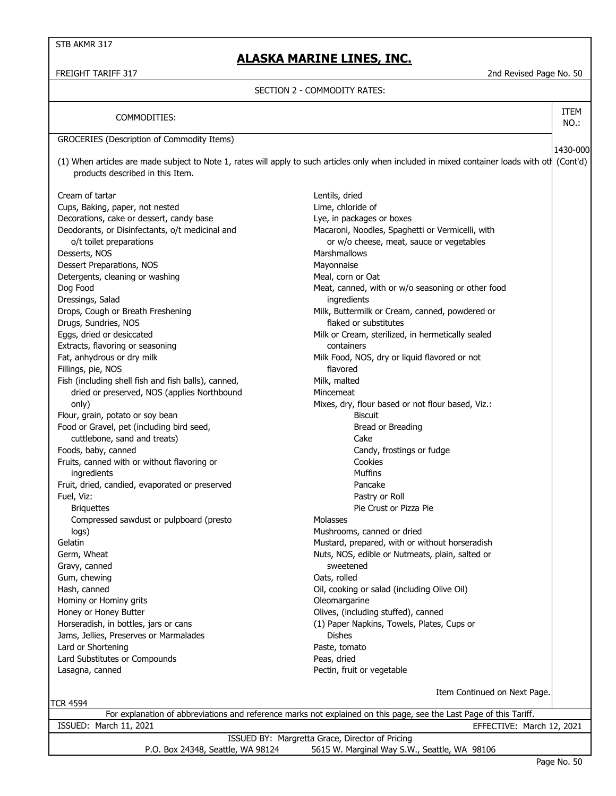### **ALASKA MARINE LINES, INC.**

FREIGHT TARIFF 317 2nd Revised Page No. 50

1430-000

ITEM NO.:

#### SECTION 2 - COMMODITY RATES:

| COMMODITIES: |
|--------------|
|--------------|

GROCERIES (Description of Commodity Items)

(1) When articles are made subject to Note 1, rates will apply to such articles only when included in mixed container loads with oth (Cont'd) products described in this Item.

Cream of tartar and the control of tartar and the cream of tartar and the cream of tartar and the cream of tartar and the cream of tartar and the cream of tartar and the cream of tartar and the cream of tartar and the crea Cups, Baking, paper, not nested Lime, chloride of Decorations, cake or dessert, candy base Lye, in packages or boxes Deodorants, or Disinfectants, o/t medicinal and Macaroni, Noodles, Spaghetti or Vermicelli, with o/t toilet preparations or w/o cheese, meat, sauce or vegetables Desserts, NOS **Marshmallows** Dessert Preparations, NOS Mayonnaise Detergents, cleaning or washing Meal, corn or Oat Dressings, Salad ingredients Drops, Cough or Breath Freshening Theorem Milk, Buttermilk or Cream, canned, powdered or Drugs, Sundries, NOS flaked or substitutes Eggs, dried or desiccated Milk or Cream, sterilized, in hermetically sealed Extracts, flavoring or seasoning containers Fat, anhydrous or dry milk Milk Food, NOS, dry or liquid flavored or not Fillings, pie, NOS flavored Fish (including shell fish and fish balls), canned, Milk, malted dried or preserved, NOS (applies Northbound Mincemeat Flour, grain, potato or soy bean Biscuit Food or Gravel, pet (including bird seed, Bread or Breading seed, Bread or Breading cuttlebone, sand and treats) Cake Foods, baby, canned **Candy, canned** Candy, frostings or fudge Fruits, canned with or without flavoring or Cookies ingredients Muffins Fruit, dried, candied, evaporated or preserved Pancake Fuel, Viz: Pastry or Roll Briquettes **Pie Crust of Pizza Pie Crust of Pizza Pie** Crust or Pizza Pie Compressed sawdust or pulpboard (presto Molasses Molasses logs) Mushrooms, canned or dried Gelatin Gelatin Mustard, prepared, with or without horseradish Germ, Wheat **Nuts**, Nos, edible or Nutmeats, plain, salted or Nutmeats, plain, salted or Gravy, canned sweetened Gum, chewing **Canadian Canadian Canadian Canadian Canadian Canadian Canadian Canadian Canadian Canadian Canadian Canadian Canadian Canadian Canadian Canadian Canadian Canadian Canadian Canadian Canadian Canadian Canadian C** Hash, canned Oil, cooking or salad (including Olive Oil) Hominy or Hominy grits **Accord 2018** Manual Muslim Cleomargarine Honey or Honey Butter **Contains a Structure Collives**, (including stuffed), canned Horseradish, in bottles, jars or cans (1) Paper Napkins, Towels, Plates, Cups or Jams, Jellies, Preserves or Marmalades Dishes Lard or Shortening **Paste, tomato** Lard Substitutes or Compounds **Peas, dried** Lasagna, canned **Pectin, fruit or vegetable** 

Dog Food **Meat, canned, with or w/o seasoning or other food** Meat, canned, with or w/o seasoning or other food only) and the matrice of the Mixes, dry, flour based or not flour based, Viz.:

TCR 4594

Item Continued on Next Page.

| ISSUED: March 11, 2021                                                            | EFFECTIVE: March 12, 2021 |
|-----------------------------------------------------------------------------------|---------------------------|
| ISSUED BY: Margretta Grace, Director of Pricing                                   |                           |
| 5615 W. Marginal Way S.W., Seattle, WA 98106<br>P.O. Box 24348, Seattle, WA 98124 |                           |

For explanation of abbreviations and reference marks not explained on this page, see the Last Page of this Tariff.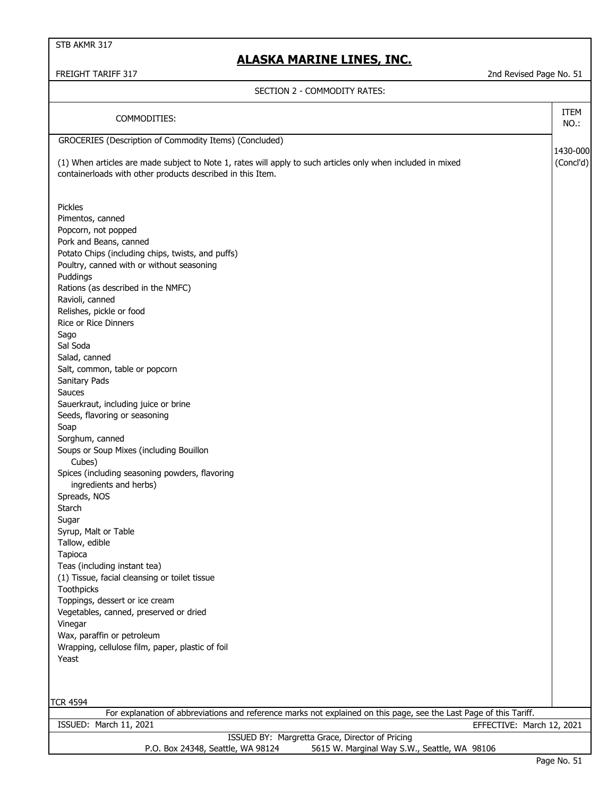STB AKMR 317

# **ALASKA MARINE LINES, INC.**

2nd Revised Page No. 51

| FREIGHT TARIFF 317 |  |  |
|--------------------|--|--|
|--------------------|--|--|

### SECTION 2 - COMMODITY RATES:

| SECTION Z = COMPODITT NATES.                                                                                                                                                                                                                                                                                                                                                                                                                                                                                                                                                                                                                                                                                                                                                                                                                                                                                                                                                                                                   |                       |
|--------------------------------------------------------------------------------------------------------------------------------------------------------------------------------------------------------------------------------------------------------------------------------------------------------------------------------------------------------------------------------------------------------------------------------------------------------------------------------------------------------------------------------------------------------------------------------------------------------------------------------------------------------------------------------------------------------------------------------------------------------------------------------------------------------------------------------------------------------------------------------------------------------------------------------------------------------------------------------------------------------------------------------|-----------------------|
| COMMODITIES:                                                                                                                                                                                                                                                                                                                                                                                                                                                                                                                                                                                                                                                                                                                                                                                                                                                                                                                                                                                                                   | ITEM<br>NO.:          |
| GROCERIES (Description of Commodity Items) (Concluded)                                                                                                                                                                                                                                                                                                                                                                                                                                                                                                                                                                                                                                                                                                                                                                                                                                                                                                                                                                         |                       |
| (1) When articles are made subject to Note 1, rates will apply to such articles only when included in mixed<br>containerloads with other products described in this Item.                                                                                                                                                                                                                                                                                                                                                                                                                                                                                                                                                                                                                                                                                                                                                                                                                                                      | 1430-000<br>(Concl'd) |
| Pickles<br>Pimentos, canned<br>Popcorn, not popped<br>Pork and Beans, canned<br>Potato Chips (including chips, twists, and puffs)<br>Poultry, canned with or without seasoning<br>Puddings<br>Rations (as described in the NMFC)<br>Ravioli, canned<br>Relishes, pickle or food<br><b>Rice or Rice Dinners</b><br>Sago<br>Sal Soda<br>Salad, canned<br>Salt, common, table or popcorn<br>Sanitary Pads<br>Sauces<br>Sauerkraut, including juice or brine<br>Seeds, flavoring or seasoning<br>Soap<br>Sorghum, canned<br>Soups or Soup Mixes (including Bouillon<br>Cubes)<br>Spices (including seasoning powders, flavoring<br>ingredients and herbs)<br>Spreads, NOS<br>Starch<br>Sugar<br>Syrup, Malt or Table<br>Tallow, edible<br>Tapioca<br>Teas (including instant tea)<br>(1) Tissue, facial cleansing or toilet tissue<br>Toothpicks<br>Toppings, dessert or ice cream<br>Vegetables, canned, preserved or dried<br>Vinegar<br>Wax, paraffin or petroleum<br>Wrapping, cellulose film, paper, plastic of foil<br>Yeast |                       |
| <b>TCR 4594</b>                                                                                                                                                                                                                                                                                                                                                                                                                                                                                                                                                                                                                                                                                                                                                                                                                                                                                                                                                                                                                |                       |
| For explanation of abbreviations and reference marks not explained on this page, see the Last Page of this Tariff.                                                                                                                                                                                                                                                                                                                                                                                                                                                                                                                                                                                                                                                                                                                                                                                                                                                                                                             |                       |
| ISSUED: March 11, 2021<br>EFFECTIVE: March 12, 2021                                                                                                                                                                                                                                                                                                                                                                                                                                                                                                                                                                                                                                                                                                                                                                                                                                                                                                                                                                            |                       |
| ISSUED BY: Margretta Grace, Director of Pricing                                                                                                                                                                                                                                                                                                                                                                                                                                                                                                                                                                                                                                                                                                                                                                                                                                                                                                                                                                                |                       |
| 5615 W. Marginal Way S.W., Seattle, WA 98106<br>P.O. Box 24348, Seattle, WA 98124                                                                                                                                                                                                                                                                                                                                                                                                                                                                                                                                                                                                                                                                                                                                                                                                                                                                                                                                              |                       |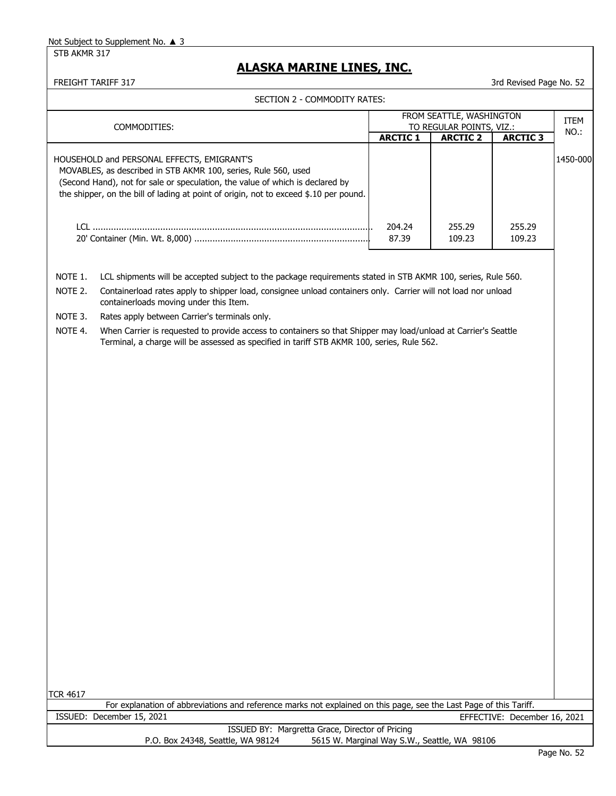STB AKMR 317

# **ALASKA MARINE LINES, INC.**

FREIGHT TARIFF 317 3rd Revised Page No. 52

| SECTION 2 - COMMODITY RATES: |                                                                                                                                                                                                                                                                                        |                                                      |                  |                  |          |
|------------------------------|----------------------------------------------------------------------------------------------------------------------------------------------------------------------------------------------------------------------------------------------------------------------------------------|------------------------------------------------------|------------------|------------------|----------|
|                              | COMMODITIES:                                                                                                                                                                                                                                                                           | FROM SEATTLE, WASHINGTON<br>TO REGULAR POINTS, VIZ.: |                  | <b>ITEM</b>      |          |
|                              |                                                                                                                                                                                                                                                                                        | <b>ARCTIC 1</b>                                      | <b>ARCTIC 2</b>  | <b>ARCTIC 3</b>  | NO.:     |
|                              | HOUSEHOLD and PERSONAL EFFECTS, EMIGRANT'S<br>MOVABLES, as described in STB AKMR 100, series, Rule 560, used<br>(Second Hand), not for sale or speculation, the value of which is declared by<br>the shipper, on the bill of lading at point of origin, not to exceed \$.10 per pound. |                                                      |                  |                  | 1450-000 |
|                              |                                                                                                                                                                                                                                                                                        | 204.24<br>87.39                                      | 255.29<br>109.23 | 255.29<br>109.23 |          |
| NOTE 1.                      | LCL shipments will be accepted subject to the package requirements stated in STB AKMR 100, series, Rule 560.                                                                                                                                                                           |                                                      |                  |                  |          |
| NOTE 2.                      | Containerload rates apply to shipper load, consignee unload containers only. Carrier will not load nor unload<br>containerloads moving under this Item.                                                                                                                                |                                                      |                  |                  |          |
| NOTE 3.                      | Rates apply between Carrier's terminals only.                                                                                                                                                                                                                                          |                                                      |                  |                  |          |
| NOTE 4.                      | When Carrier is requested to provide access to containers so that Shipper may load/unload at Carrier's Seattle<br>Terminal, a charge will be assessed as specified in tariff STB AKMR 100, series, Rule 562.                                                                           |                                                      |                  |                  |          |
|                              |                                                                                                                                                                                                                                                                                        |                                                      |                  |                  |          |

TCR 4617

| . |                                                                                                                    |                              |
|---|--------------------------------------------------------------------------------------------------------------------|------------------------------|
|   | For explanation of abbreviations and reference marks not explained on this page, see the Last Page of this Tariff. |                              |
|   | ISSUED: December 15, 2021                                                                                          | EFFECTIVE: December 16, 2021 |
|   | ISSUED BY: Margretta Grace, Director of Pricing                                                                    |                              |
|   | 5615 W. Marginal Way S.W., Seattle, WA 98106<br>P.O. Box 24348, Seattle, WA 98124                                  |                              |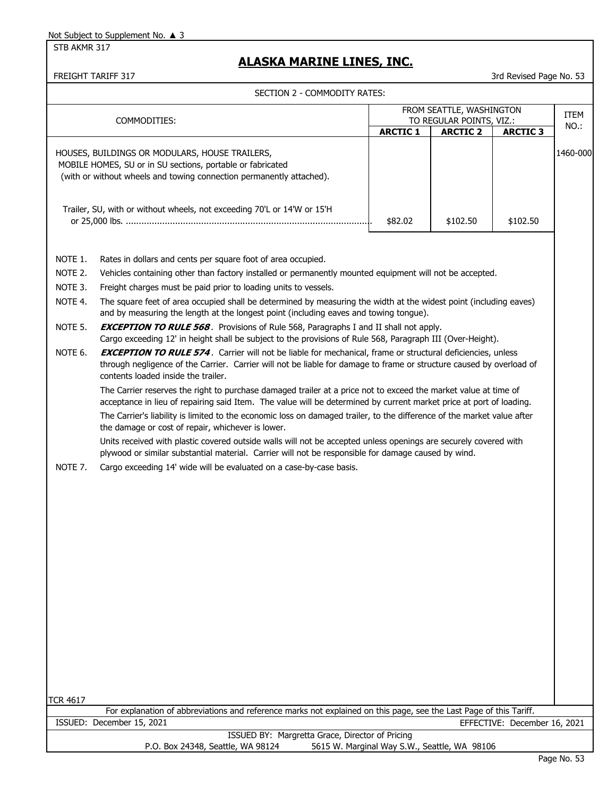STB AKMR 317

# **ALASKA MARINE LINES, INC.**

|                 | SECTION Z = COMPODIT FRATES.                                                                                                                                                                                                                                                                                                                                      |                 |                                                      |                              |             |
|-----------------|-------------------------------------------------------------------------------------------------------------------------------------------------------------------------------------------------------------------------------------------------------------------------------------------------------------------------------------------------------------------|-----------------|------------------------------------------------------|------------------------------|-------------|
|                 | COMMODITIES:                                                                                                                                                                                                                                                                                                                                                      |                 | FROM SEATTLE, WASHINGTON<br>TO REGULAR POINTS, VIZ.: |                              | <b>ITEM</b> |
|                 |                                                                                                                                                                                                                                                                                                                                                                   | <b>ARCTIC 1</b> | <b>ARCTIC 2</b>                                      | <b>ARCTIC 3</b>              | NO.:        |
|                 | HOUSES, BUILDINGS OR MODULARS, HOUSE TRAILERS,<br>MOBILE HOMES, SU or in SU sections, portable or fabricated<br>(with or without wheels and towing connection permanently attached).<br>Trailer, SU, with or without wheels, not exceeding 70'L or 14'W or 15'H                                                                                                   | \$82.02         | \$102.50                                             | \$102.50                     | 1460-000    |
|                 |                                                                                                                                                                                                                                                                                                                                                                   |                 |                                                      |                              |             |
| NOTE 1.         | Rates in dollars and cents per square foot of area occupied.                                                                                                                                                                                                                                                                                                      |                 |                                                      |                              |             |
| NOTE 2.         | Vehicles containing other than factory installed or permanently mounted equipment will not be accepted.                                                                                                                                                                                                                                                           |                 |                                                      |                              |             |
| NOTE 3.         | Freight charges must be paid prior to loading units to vessels.                                                                                                                                                                                                                                                                                                   |                 |                                                      |                              |             |
| NOTE 4.         | The square feet of area occupied shall be determined by measuring the width at the widest point (including eaves)<br>and by measuring the length at the longest point (including eaves and towing tongue).                                                                                                                                                        |                 |                                                      |                              |             |
| NOTE 5.         | <b>EXCEPTION TO RULE 568</b> . Provisions of Rule 568, Paragraphs I and II shall not apply.<br>Cargo exceeding 12' in height shall be subject to the provisions of Rule 568, Paragraph III (Over-Height).                                                                                                                                                         |                 |                                                      |                              |             |
| NOTE 6.         | <b>EXCEPTION TO RULE 574.</b> Carrier will not be liable for mechanical, frame or structural deficiencies, unless<br>through negligence of the Carrier. Carrier will not be liable for damage to frame or structure caused by overload of<br>contents loaded inside the trailer.                                                                                  |                 |                                                      |                              |             |
|                 | The Carrier reserves the right to purchase damaged trailer at a price not to exceed the market value at time of<br>acceptance in lieu of repairing said Item. The value will be determined by current market price at port of loading.<br>The Carrier's liability is limited to the economic loss on damaged trailer, to the difference of the market value after |                 |                                                      |                              |             |
|                 | the damage or cost of repair, whichever is lower.                                                                                                                                                                                                                                                                                                                 |                 |                                                      |                              |             |
|                 | Units received with plastic covered outside walls will not be accepted unless openings are securely covered with<br>plywood or similar substantial material. Carrier will not be responsible for damage caused by wind.                                                                                                                                           |                 |                                                      |                              |             |
| NOTE 7.         | Cargo exceeding 14' wide will be evaluated on a case-by-case basis.                                                                                                                                                                                                                                                                                               |                 |                                                      |                              |             |
|                 |                                                                                                                                                                                                                                                                                                                                                                   |                 |                                                      |                              |             |
|                 |                                                                                                                                                                                                                                                                                                                                                                   |                 |                                                      |                              |             |
|                 |                                                                                                                                                                                                                                                                                                                                                                   |                 |                                                      |                              |             |
|                 |                                                                                                                                                                                                                                                                                                                                                                   |                 |                                                      |                              |             |
|                 |                                                                                                                                                                                                                                                                                                                                                                   |                 |                                                      |                              |             |
|                 |                                                                                                                                                                                                                                                                                                                                                                   |                 |                                                      |                              |             |
|                 |                                                                                                                                                                                                                                                                                                                                                                   |                 |                                                      |                              |             |
|                 |                                                                                                                                                                                                                                                                                                                                                                   |                 |                                                      |                              |             |
| <b>TCR 4617</b> |                                                                                                                                                                                                                                                                                                                                                                   |                 |                                                      |                              |             |
|                 | For explanation of abbreviations and reference marks not explained on this page, see the Last Page of this Tariff.                                                                                                                                                                                                                                                |                 |                                                      |                              |             |
|                 | ISSUED: December 15, 2021                                                                                                                                                                                                                                                                                                                                         |                 |                                                      | EFFECTIVE: December 16, 2021 |             |
|                 | ISSUED BY: Margretta Grace, Director of Pricing<br>P.O. Box 24348, Seattle, WA 98124                                                                                                                                                                                                                                                                              |                 | 5615 W. Marginal Way S.W., Seattle, WA 98106         |                              |             |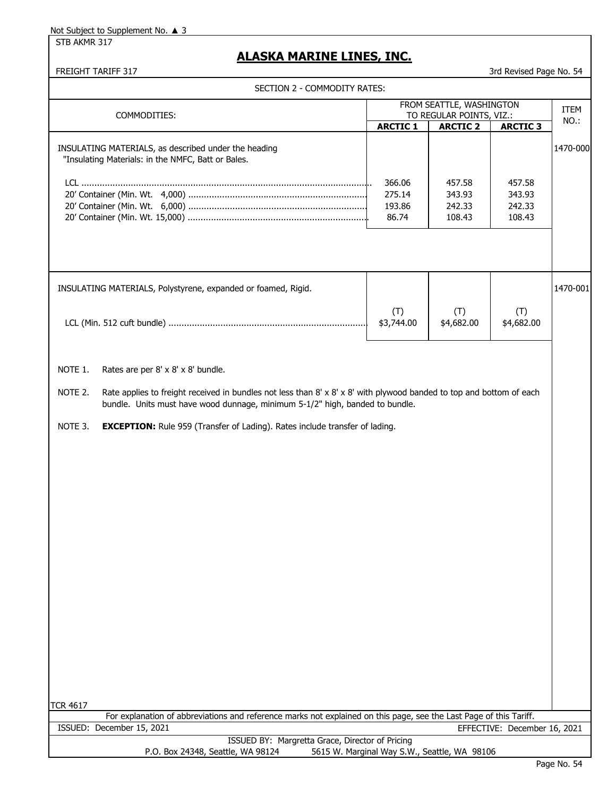STB AKMR 317

# **ALASKA MARINE LINES, INC.**

FREIGHT TARIFF 317 3rd Revised Page No. 54

| COMMODITIES:                                                                                                                                                                                                     |                   | FROM SEATTLE, WASHINGTON<br>TO REGULAR POINTS, VIZ.: |                   | <b>ITEM</b> |
|------------------------------------------------------------------------------------------------------------------------------------------------------------------------------------------------------------------|-------------------|------------------------------------------------------|-------------------|-------------|
|                                                                                                                                                                                                                  | <b>ARCTIC 1</b>   | <b>ARCTIC 2</b>                                      | <b>ARCTIC 3</b>   | NO.:        |
| INSULATING MATERIALS, as described under the heading<br>"Insulating Materials: in the NMFC, Batt or Bales.                                                                                                       |                   |                                                      |                   | 1470-000    |
|                                                                                                                                                                                                                  | 366.06            | 457.58                                               | 457.58            |             |
|                                                                                                                                                                                                                  | 275.14            | 343.93                                               | 343.93            |             |
|                                                                                                                                                                                                                  | 193.86<br>86.74   | 242.33<br>108.43                                     | 242.33<br>108.43  |             |
|                                                                                                                                                                                                                  |                   |                                                      |                   |             |
| INSULATING MATERIALS, Polystyrene, expanded or foamed, Rigid.                                                                                                                                                    |                   |                                                      |                   | 1470-001    |
|                                                                                                                                                                                                                  | (T)<br>\$3,744.00 | (T)<br>\$4,682.00                                    | (T)<br>\$4,682.00 |             |
| NOTE 1.<br>Rates are per 8' x 8' x 8' bundle.                                                                                                                                                                    |                   |                                                      |                   |             |
|                                                                                                                                                                                                                  |                   |                                                      |                   |             |
| Rate applies to freight received in bundles not less than $8' \times 8' \times 8'$ with plywood banded to top and bottom of each<br>bundle. Units must have wood dunnage, minimum 5-1/2" high, banded to bundle. |                   |                                                      |                   |             |
| NOTE 2.<br>NOTE 3.<br><b>EXCEPTION:</b> Rule 959 (Transfer of Lading). Rates include transfer of lading.                                                                                                         |                   |                                                      |                   |             |
|                                                                                                                                                                                                                  |                   |                                                      |                   |             |
|                                                                                                                                                                                                                  |                   |                                                      |                   |             |
|                                                                                                                                                                                                                  |                   |                                                      |                   |             |
|                                                                                                                                                                                                                  |                   |                                                      |                   |             |
|                                                                                                                                                                                                                  |                   |                                                      |                   |             |
|                                                                                                                                                                                                                  |                   |                                                      |                   |             |
|                                                                                                                                                                                                                  |                   |                                                      |                   |             |
|                                                                                                                                                                                                                  |                   |                                                      |                   |             |
|                                                                                                                                                                                                                  |                   |                                                      |                   |             |
|                                                                                                                                                                                                                  |                   |                                                      |                   |             |
|                                                                                                                                                                                                                  |                   |                                                      |                   |             |
|                                                                                                                                                                                                                  |                   |                                                      |                   |             |
| <b>TCR 4617</b><br>For explanation of abbreviations and reference marks not explained on this page, see the Last Page of this Tariff.                                                                            |                   |                                                      |                   |             |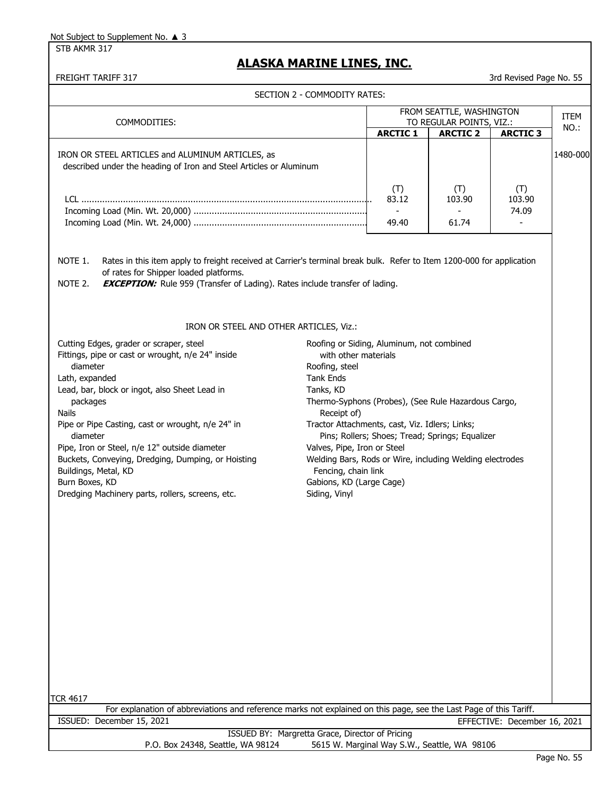STB AKMR 317

# **ALASKA MARINE LINES, INC.**

|                                                                                                                                                                                                                                                                                                                                                                                                                                                                                                  | SECTION 2 - COMMODITY RATES:                                                                                                                                                                                                                                                                                                                                                                                |                                         |                                                 |                              |          |
|--------------------------------------------------------------------------------------------------------------------------------------------------------------------------------------------------------------------------------------------------------------------------------------------------------------------------------------------------------------------------------------------------------------------------------------------------------------------------------------------------|-------------------------------------------------------------------------------------------------------------------------------------------------------------------------------------------------------------------------------------------------------------------------------------------------------------------------------------------------------------------------------------------------------------|-----------------------------------------|-------------------------------------------------|------------------------------|----------|
|                                                                                                                                                                                                                                                                                                                                                                                                                                                                                                  |                                                                                                                                                                                                                                                                                                                                                                                                             |                                         | FROM SEATTLE, WASHINGTON                        | <b>ITEM</b>                  |          |
| COMMODITIES:                                                                                                                                                                                                                                                                                                                                                                                                                                                                                     |                                                                                                                                                                                                                                                                                                                                                                                                             | <b>ARCTIC 1</b>                         | TO REGULAR POINTS, VIZ.:<br><b>ARCTIC 2</b>     | <b>ARCTIC 3</b>              | NO.:     |
| IRON OR STEEL ARTICLES and ALUMINUM ARTICLES, as<br>described under the heading of Iron and Steel Articles or Aluminum                                                                                                                                                                                                                                                                                                                                                                           |                                                                                                                                                                                                                                                                                                                                                                                                             |                                         |                                                 |                              | 1480-000 |
|                                                                                                                                                                                                                                                                                                                                                                                                                                                                                                  |                                                                                                                                                                                                                                                                                                                                                                                                             | (T)<br>83.12<br>$\blacksquare$<br>49.40 | (T)<br>103.90<br>61.74                          | (T)<br>103.90<br>74.09       |          |
| NOTE 1.<br>Rates in this item apply to freight received at Carrier's terminal break bulk. Refer to Item 1200-000 for application<br>of rates for Shipper loaded platforms.<br>NOTE 2.<br><b>EXCEPTION:</b> Rule 959 (Transfer of Lading). Rates include transfer of lading.                                                                                                                                                                                                                      |                                                                                                                                                                                                                                                                                                                                                                                                             |                                         |                                                 |                              |          |
| IRON OR STEEL AND OTHER ARTICLES, Viz.:                                                                                                                                                                                                                                                                                                                                                                                                                                                          |                                                                                                                                                                                                                                                                                                                                                                                                             |                                         |                                                 |                              |          |
| Cutting Edges, grader or scraper, steel<br>Fittings, pipe or cast or wrought, n/e 24" inside<br>diameter<br>Lath, expanded<br>Lead, bar, block or ingot, also Sheet Lead in<br>packages<br><b>Nails</b><br>Pipe or Pipe Casting, cast or wrought, n/e 24" in<br>diameter<br>Pipe, Iron or Steel, n/e 12" outside diameter<br>Buckets, Conveying, Dredging, Dumping, or Hoisting<br>Buildings, Metal, KD<br>Burn Boxes, KD<br>Dredging Machinery parts, rollers, screens, etc.<br><b>TCR 4617</b> | Roofing or Siding, Aluminum, not combined<br>with other materials<br>Roofing, steel<br><b>Tank Ends</b><br>Tanks, KD<br>Thermo-Syphons (Probes), (See Rule Hazardous Cargo,<br>Receipt of)<br>Tractor Attachments, cast, Viz. Idlers; Links;<br>Valves, Pipe, Iron or Steel<br>Welding Bars, Rods or Wire, including Welding electrodes<br>Fencing, chain link<br>Gabions, KD (Large Cage)<br>Siding, Vinyl |                                         | Pins; Rollers; Shoes; Tread; Springs; Equalizer |                              |          |
| For explanation of abbreviations and reference marks not explained on this page, see the Last Page of this Tariff.                                                                                                                                                                                                                                                                                                                                                                               |                                                                                                                                                                                                                                                                                                                                                                                                             |                                         |                                                 |                              |          |
| ISSUED: December 15, 2021                                                                                                                                                                                                                                                                                                                                                                                                                                                                        |                                                                                                                                                                                                                                                                                                                                                                                                             |                                         |                                                 | EFFECTIVE: December 16, 2021 |          |
| ISSUED BY: Margretta Grace, Director of Pricing<br>P.O. Box 24348, Seattle, WA 98124                                                                                                                                                                                                                                                                                                                                                                                                             |                                                                                                                                                                                                                                                                                                                                                                                                             |                                         | 5615 W. Marginal Way S.W., Seattle, WA 98106    |                              |          |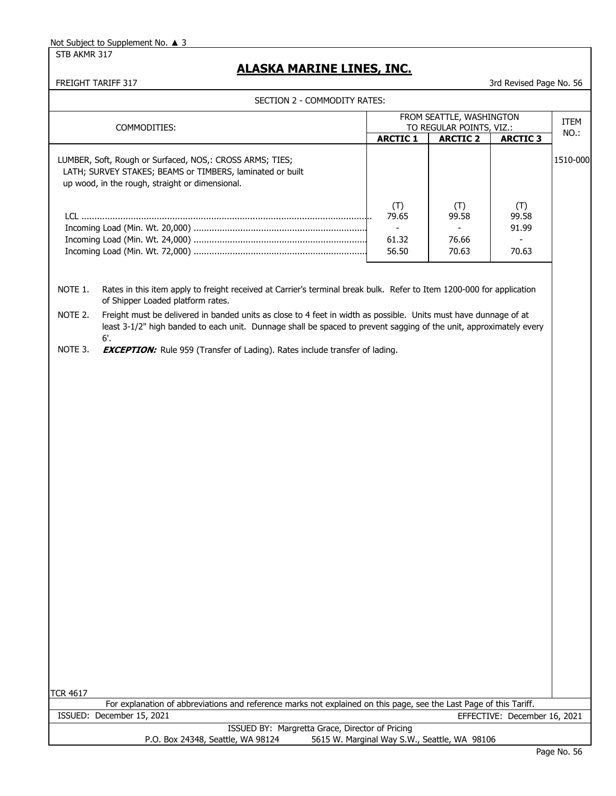STB AKMR 317

# **ALASKA MARINE LINES, INC.**

|                                                                                                                                                                                                                                                          | SECTION 2 - COMMODITY RATES:             |                                                            |                                |             |
|----------------------------------------------------------------------------------------------------------------------------------------------------------------------------------------------------------------------------------------------------------|------------------------------------------|------------------------------------------------------------|--------------------------------|-------------|
| COMMODITIES:                                                                                                                                                                                                                                             |                                          | FROM SEATTLE, WASHINGTON<br>TO REGULAR POINTS, VIZ.:       |                                | <b>ITEM</b> |
|                                                                                                                                                                                                                                                          | <b>ARCTIC 1</b>                          | <b>ARCTIC 2</b>                                            | <b>ARCTIC 3</b>                | NO.:        |
| LUMBER, Soft, Rough or Surfaced, NOS,: CROSS ARMS; TIES;<br>LATH; SURVEY STAKES; BEAMS or TIMBERS, laminated or built<br>up wood, in the rough, straight or dimensional.                                                                                 |                                          |                                                            |                                | 1510-000    |
|                                                                                                                                                                                                                                                          | (T)<br>79.65<br>$\sim$<br>61.32<br>56.50 | (T)<br>99.58<br>$\overline{\phantom{0}}$<br>76.66<br>70.63 | (T)<br>99.58<br>91.99<br>70.63 |             |
| NOTE 1.<br>Rates in this item apply to freight received at Carrier's terminal break bulk. Refer to Item 1200-000 for application<br>of Shipper Loaded platform rates.                                                                                    |                                          |                                                            |                                |             |
| Freight must be delivered in banded units as close to 4 feet in width as possible. Units must have dunnage of at<br>NOTE 2.<br>least 3-1/2" high banded to each unit. Dunnage shall be spaced to prevent sagging of the unit, approximately every<br>6'. |                                          |                                                            |                                |             |
| NOTE 3.<br><b>EXCEPTION:</b> Rule 959 (Transfer of Lading). Rates include transfer of lading.                                                                                                                                                            |                                          |                                                            |                                |             |
|                                                                                                                                                                                                                                                          |                                          |                                                            |                                |             |
|                                                                                                                                                                                                                                                          |                                          |                                                            |                                |             |
|                                                                                                                                                                                                                                                          |                                          |                                                            |                                |             |
|                                                                                                                                                                                                                                                          |                                          |                                                            |                                |             |
|                                                                                                                                                                                                                                                          |                                          |                                                            |                                |             |
|                                                                                                                                                                                                                                                          |                                          |                                                            |                                |             |
|                                                                                                                                                                                                                                                          |                                          |                                                            |                                |             |
|                                                                                                                                                                                                                                                          |                                          |                                                            |                                |             |
|                                                                                                                                                                                                                                                          |                                          |                                                            |                                |             |
|                                                                                                                                                                                                                                                          |                                          |                                                            |                                |             |
|                                                                                                                                                                                                                                                          |                                          |                                                            |                                |             |
| TCR 4617                                                                                                                                                                                                                                                 |                                          |                                                            |                                |             |
| For explanation of abbreviations and reference marks not explained on this page, see the Last Page of this Tariff.<br>ISSUED: December 15, 2021                                                                                                          |                                          |                                                            | EFFECTIVE: December 16, 2021   |             |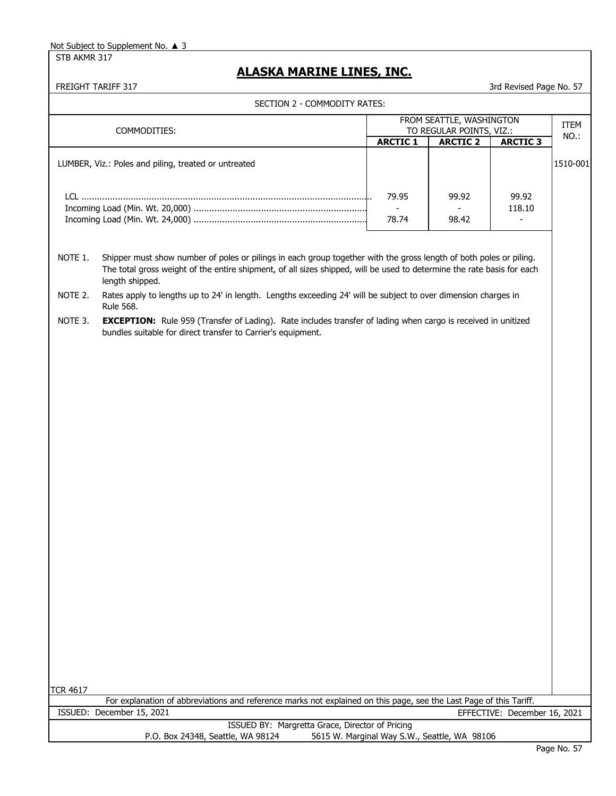STB AKMR 317

# **ALASKA MARINE LINES, INC.**

|                 | SECTION 2 - COMMODITY RATES:                                                                                                                                                                                                                                    |                                              |                                                      |                                    |          |
|-----------------|-----------------------------------------------------------------------------------------------------------------------------------------------------------------------------------------------------------------------------------------------------------------|----------------------------------------------|------------------------------------------------------|------------------------------------|----------|
|                 | COMMODITIES:                                                                                                                                                                                                                                                    |                                              | FROM SEATTLE, WASHINGTON<br>TO REGULAR POINTS, VIZ.: |                                    | ITEM     |
|                 |                                                                                                                                                                                                                                                                 | <b>ARCTIC 1</b>                              | <b>ARCTIC 2</b>                                      | <b>ARCTIC 3</b>                    | NO.:     |
|                 | LUMBER, Viz.: Poles and piling, treated or untreated                                                                                                                                                                                                            |                                              |                                                      |                                    | 1510-001 |
|                 |                                                                                                                                                                                                                                                                 | 79.95                                        | 99.92                                                | 99.92                              |          |
|                 |                                                                                                                                                                                                                                                                 | 78.74                                        | 98.42                                                | 118.10<br>$\overline{\phantom{a}}$ |          |
| NOTE 1.         | Shipper must show number of poles or pilings in each group together with the gross length of both poles or piling.<br>The total gross weight of the entire shipment, of all sizes shipped, will be used to determine the rate basis for each<br>length shipped. |                                              |                                                      |                                    |          |
| NOTE 2.         | Rates apply to lengths up to 24' in length. Lengths exceeding 24' will be subject to over dimension charges in<br><b>Rule 568.</b>                                                                                                                              |                                              |                                                      |                                    |          |
| NOTE 3.         | <b>EXCEPTION:</b> Rule 959 (Transfer of Lading). Rate includes transfer of lading when cargo is received in unitized<br>bundles suitable for direct transfer to Carrier's equipment.                                                                            |                                              |                                                      |                                    |          |
|                 |                                                                                                                                                                                                                                                                 |                                              |                                                      |                                    |          |
|                 |                                                                                                                                                                                                                                                                 |                                              |                                                      |                                    |          |
|                 |                                                                                                                                                                                                                                                                 |                                              |                                                      |                                    |          |
|                 |                                                                                                                                                                                                                                                                 |                                              |                                                      |                                    |          |
|                 |                                                                                                                                                                                                                                                                 |                                              |                                                      |                                    |          |
|                 |                                                                                                                                                                                                                                                                 |                                              |                                                      |                                    |          |
|                 |                                                                                                                                                                                                                                                                 |                                              |                                                      |                                    |          |
|                 |                                                                                                                                                                                                                                                                 |                                              |                                                      |                                    |          |
|                 |                                                                                                                                                                                                                                                                 |                                              |                                                      |                                    |          |
|                 |                                                                                                                                                                                                                                                                 |                                              |                                                      |                                    |          |
|                 |                                                                                                                                                                                                                                                                 |                                              |                                                      |                                    |          |
|                 |                                                                                                                                                                                                                                                                 |                                              |                                                      |                                    |          |
|                 |                                                                                                                                                                                                                                                                 |                                              |                                                      |                                    |          |
|                 |                                                                                                                                                                                                                                                                 |                                              |                                                      |                                    |          |
| <b>TCR 4617</b> |                                                                                                                                                                                                                                                                 |                                              |                                                      |                                    |          |
|                 | For explanation of abbreviations and reference marks not explained on this page, see the Last Page of this Tariff.                                                                                                                                              |                                              |                                                      |                                    |          |
|                 | ISSUED: December 15, 2021                                                                                                                                                                                                                                       |                                              |                                                      | EFFECTIVE: December 16, 2021       |          |
|                 | ISSUED BY: Margretta Grace, Director of Pricing<br>P.O. Box 24348, Seattle, WA 98124                                                                                                                                                                            | 5615 W. Marginal Way S.W., Seattle, WA 98106 |                                                      |                                    |          |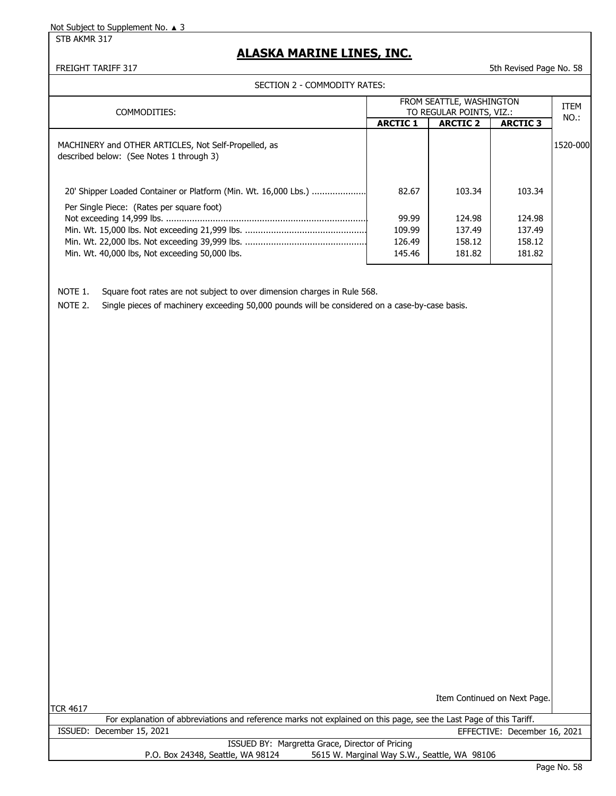STB AKMR 317

# **ALASKA MARINE LINES, INC.**

FREIGHT TARIFF 317 5th Revised Page No. 58

#### SECTION 2 - COMMODITY RATES:

| COMMODITIES:                                                                                                 |                 | FROM SEATTLE, WASHINGTON<br>TO REGULAR POINTS, VIZ.: |                 | <b>ITEM</b> |
|--------------------------------------------------------------------------------------------------------------|-----------------|------------------------------------------------------|-----------------|-------------|
|                                                                                                              | <b>ARCTIC 1</b> | <b>ARCTIC 2</b>                                      | <b>ARCTIC 3</b> | NO.:        |
| MACHINERY and OTHER ARTICLES, Not Self-Propelled, as<br>described below: (See Notes 1 through 3)             |                 |                                                      |                 | 1520-000    |
| 20' Shipper Loaded Container or Platform (Min. Wt. 16,000 Lbs.)<br>Per Single Piece: (Rates per square foot) | 82.67           | 103.34                                               | 103.34          |             |
|                                                                                                              | 99.99           | 124.98                                               | 124.98          |             |
|                                                                                                              | 109.99          | 137.49                                               | 137.49          |             |
|                                                                                                              | 126.49          | 158.12                                               | 158.12          |             |
| Min. Wt. 40,000 lbs, Not exceeding 50,000 lbs.                                                               | 145.46          | 181.82                                               | 181.82          |             |

NOTE 1. Square foot rates are not subject to over dimension charges in Rule 568.

NOTE 2. Single pieces of machinery exceeding 50,000 pounds will be considered on a case-by-case basis.

TCR 4617

Item Continued on Next Page.

|                                   | For explanation of abbreviations and reference marks not explained on this page, see the Last Page of this Tariff. |
|-----------------------------------|--------------------------------------------------------------------------------------------------------------------|
| ISSUED: December 15, 2021         | EFFECTIVE: December 16, 2021                                                                                       |
|                                   | ISSUED BY: Margretta Grace, Director of Pricing                                                                    |
| P.O. Box 24348, Seattle, WA 98124 | 5615 W. Marginal Way S.W., Seattle, WA 98106                                                                       |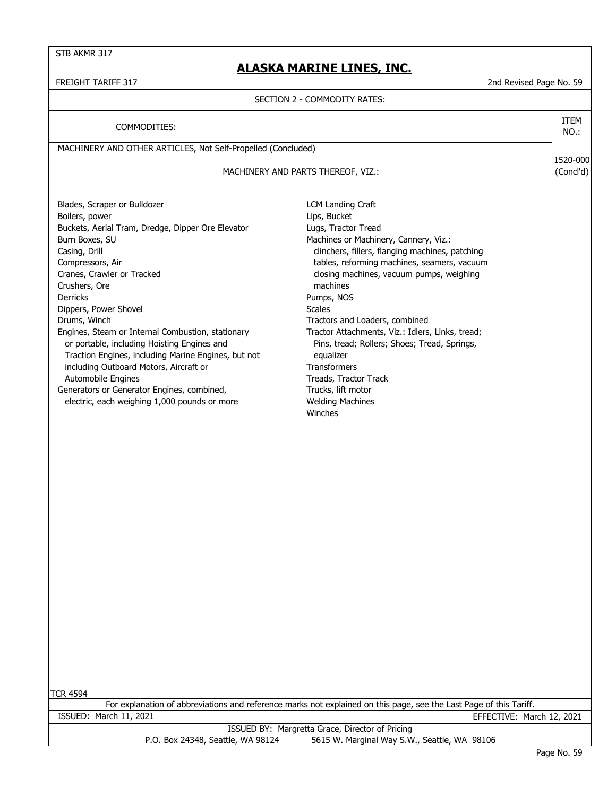STB AKMR 317

### **ALASKA MARINE LINES, INC.**

#### FREIGHT TARIFF 317 2nd Revised Page No. 59

#### SECTION 2 - COMMODITY RATES:

MACHINERY AND OTHER ARTICLES, Not Self-Propelled (Concluded) 1520-000 (Concl'd) Blades, Scraper or Bulldozer **LCM** Landing Craft Boilers, power and the control of the control of the control of the control of the control of the control of the control of the control of the control of the control of the control of the control of the control of the cont Buckets, Aerial Tram, Dredge, Dipper Ore Elevator Lugs, Tractor Tread Burn Boxes, SU **Burn Boxes, SU** Annual Machines or Machinery, Cannery, Viz.: Casing, Drill clinchers, fillers, flanging machines, patching Compressors, Air tables, reforming machines, seamers, vacuum Cranes, Crawler or Tracked closing machines, vacuum pumps, weighing Crushers, Ore machines Derricks Pumps, NOS Dippers, Power Shovel **Scales** Scales Drums, Winch Tractors and Loaders, combined Engines, Steam or Internal Combustion, stationary Tractor Attachments, Viz.: Idlers, Links, tread; or portable, including Hoisting Engines and Pins, tread; Rollers; Shoes; Tread, Springs, Traction Engines, including Marine Engines, but not equalizer including Outboard Motors, Aircraft or Transformers Automobile Engines **Track** Track Track Track Generators or Generator Engines, combined, Trucks, lift motor electric, each weighing 1,000 pounds or more Welding Machines Winches COMMODITIES: MACHINERY AND PARTS THEREOF, VIZ.: ITEM NO.:

TCR 4594

For explanation of abbreviations and reference marks not explained on this page, see the Last Page of this Tariff. ISSUED: March 11, 2021 EFFECTIVE: March 12, 2021

> ISSUED BY: Margretta Grace, Director of Pricing P.O. Box 24348, Seattle, WA 98124 5615 W. Marginal Way S.W., Seattle, WA 98106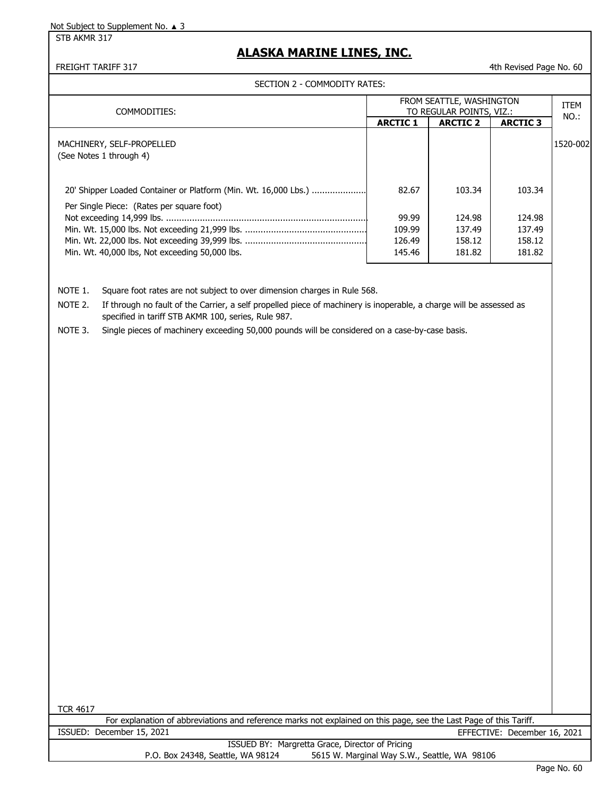STB AKMR 317

# **ALASKA MARINE LINES, INC.**

FREIGHT TARIFF 317 **All and Struck and Struck and Struck and Struck and Struck and Struck and All and Struck and All and Struck and All and Struck and All and Struck and All and Struck and All and Struck and All and Struck** 

#### SECTION 2 - COMMODITY RATES:

| COMMODITIES:                                                                                                 |                 | FROM SEATTLE, WASHINGTON<br>TO REGULAR POINTS, VIZ.: |                 | ITEM     |
|--------------------------------------------------------------------------------------------------------------|-----------------|------------------------------------------------------|-----------------|----------|
|                                                                                                              | <b>ARCTIC 1</b> | <b>ARCTIC 2</b>                                      | <b>ARCTIC 3</b> | NO.:     |
| MACHINERY, SELF-PROPELLED<br>(See Notes 1 through 4)                                                         |                 |                                                      |                 | 1520-002 |
| 20' Shipper Loaded Container or Platform (Min. Wt. 16,000 Lbs.)<br>Per Single Piece: (Rates per square foot) | 82.67           | 103.34                                               | 103.34          |          |
|                                                                                                              | 99.99           | 124.98                                               | 124.98          |          |
|                                                                                                              | 109.99          | 137.49                                               | 137.49          |          |
|                                                                                                              | 126.49          | 158.12                                               | 158.12          |          |
| Min. Wt. 40,000 lbs, Not exceeding 50,000 lbs.                                                               | 145.46          | 181.82                                               | 181.82          |          |

NOTE 1. Square foot rates are not subject to over dimension charges in Rule 568.

NOTE 2. If through no fault of the Carrier, a self propelled piece of machinery is inoperable, a charge will be assessed as specified in tariff STB AKMR 100, series, Rule 987.

NOTE 3. Single pieces of machinery exceeding 50,000 pounds will be considered on a case-by-case basis.

TCR 4617

For explanation of abbreviations and reference marks not explained on this page, see the Last Page of this Tariff. ISSUED: December 15, 2021 EFFECTIVE: December 16, 2021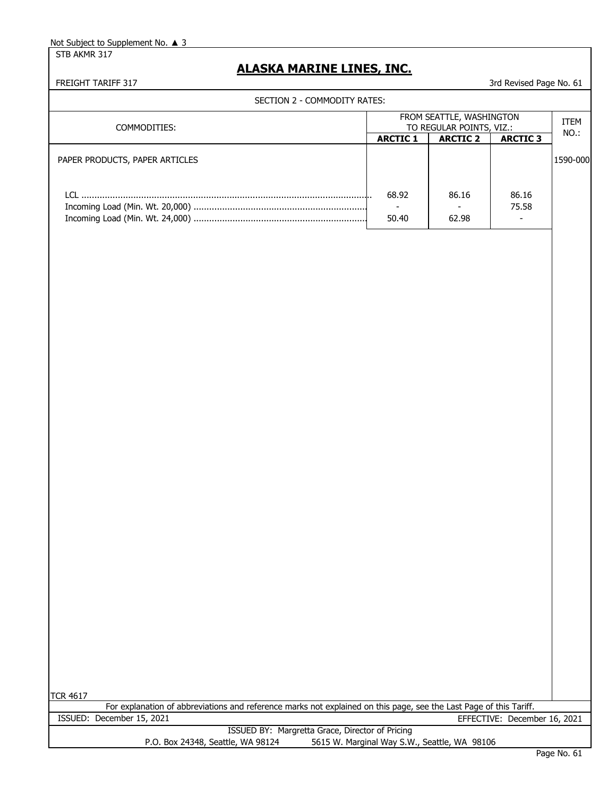STB AKMR 317

# **ALASKA MARINE LINES, INC.**

FREIGHT TARIFF 317 3rd Revised Page No. 61

### SECTION 2 - COMMODITY RATES:

|                 |                 |                 | <b>ITEM</b>                                          |
|-----------------|-----------------|-----------------|------------------------------------------------------|
|                 |                 |                 | NO.:                                                 |
| <b>ARCTIC 1</b> | <b>ARCTIC 2</b> | <b>ARCTIC 3</b> |                                                      |
|                 |                 |                 | 1590-000                                             |
| 68.92<br>50.40  | 86.16<br>62.98  | 86.16<br>75.58  |                                                      |
|                 |                 |                 | FROM SEATTLE, WASHINGTON<br>TO REGULAR POINTS, VIZ.: |

TCR 4617

|                                   | For explanation of abbreviations and reference marks not explained on this page, see the Last Page of this Tariff. |
|-----------------------------------|--------------------------------------------------------------------------------------------------------------------|
| ISSUED: December 15, 2021         | EFFECTIVE: December 16, 2021                                                                                       |
|                                   | ISSUED BY: Margretta Grace, Director of Pricing                                                                    |
| P.O. Box 24348, Seattle, WA 98124 | 5615 W. Marginal Way S.W., Seattle, WA 98106                                                                       |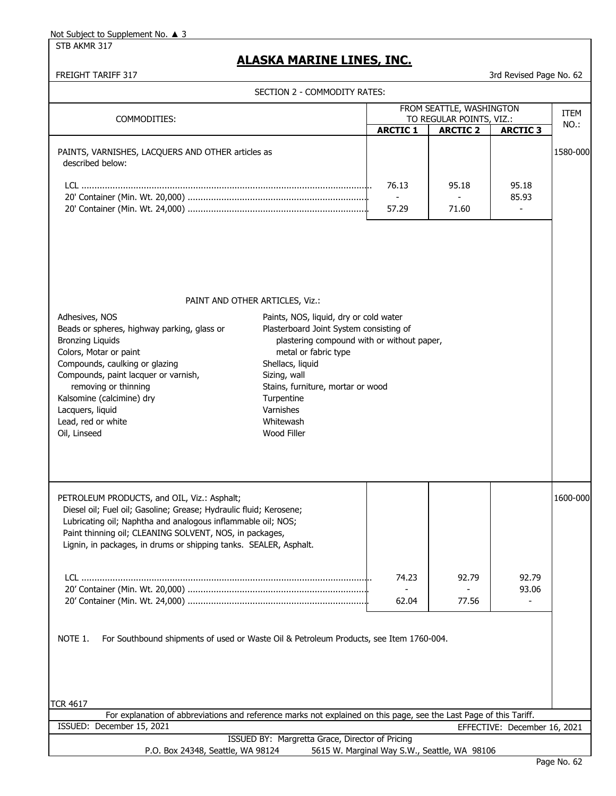STB AKMR 317

# **ALASKA MARINE LINES, INC.**

FREIGHT TARIFF 317 3rd Revised Page No. 62

|                                                                                                                                                                                                                                                                                                                  | SECTION 2 - COMMODITY RATES:                                                                                                                                                                                                                                |                 |                          |                                   |             |
|------------------------------------------------------------------------------------------------------------------------------------------------------------------------------------------------------------------------------------------------------------------------------------------------------------------|-------------------------------------------------------------------------------------------------------------------------------------------------------------------------------------------------------------------------------------------------------------|-----------------|--------------------------|-----------------------------------|-------------|
|                                                                                                                                                                                                                                                                                                                  |                                                                                                                                                                                                                                                             |                 | FROM SEATTLE, WASHINGTON |                                   | <b>ITEM</b> |
| COMMODITIES:                                                                                                                                                                                                                                                                                                     |                                                                                                                                                                                                                                                             | <b>ARCTIC 1</b> | TO REGULAR POINTS, VIZ.: |                                   | NO.:        |
| PAINTS, VARNISHES, LACQUERS AND OTHER articles as<br>described below:                                                                                                                                                                                                                                            |                                                                                                                                                                                                                                                             | 76.13           | <b>ARCTIC 2</b><br>95.18 | <b>ARCTIC 3</b><br>95.18<br>85.93 | 1580-000    |
|                                                                                                                                                                                                                                                                                                                  |                                                                                                                                                                                                                                                             | 57.29           | 71.60                    |                                   |             |
| PAINT AND OTHER ARTICLES, Viz.:                                                                                                                                                                                                                                                                                  |                                                                                                                                                                                                                                                             |                 |                          |                                   |             |
| Adhesives, NOS<br>Beads or spheres, highway parking, glass or<br><b>Bronzing Liquids</b><br>Colors, Motar or paint<br>Compounds, caulking or glazing<br>Compounds, paint lacquer or varnish,<br>removing or thinning<br>Kalsomine (calcimine) dry<br>Lacquers, liquid                                            | Paints, NOS, liquid, dry or cold water<br>Plasterboard Joint System consisting of<br>plastering compound with or without paper,<br>metal or fabric type<br>Shellacs, liquid<br>Sizing, wall<br>Stains, furniture, mortar or wood<br>Turpentine<br>Varnishes |                 |                          |                                   |             |
| Lead, red or white<br>Oil, Linseed                                                                                                                                                                                                                                                                               | Whitewash<br>Wood Filler                                                                                                                                                                                                                                    |                 |                          |                                   |             |
| PETROLEUM PRODUCTS, and OIL, Viz.: Asphalt;<br>Diesel oil; Fuel oil; Gasoline; Grease; Hydraulic fluid; Kerosene;<br>Lubricating oil; Naphtha and analogous inflammable oil; NOS;<br>Paint thinning oil; CLEANING SOLVENT, NOS, in packages<br>Lignin, in packages, in drums or shipping tanks. SEALER, Asphalt. |                                                                                                                                                                                                                                                             |                 |                          |                                   | 1600-000    |
|                                                                                                                                                                                                                                                                                                                  |                                                                                                                                                                                                                                                             | 74.23           | 92.79                    | 92.79                             |             |
|                                                                                                                                                                                                                                                                                                                  |                                                                                                                                                                                                                                                             |                 |                          | 93.06                             |             |
|                                                                                                                                                                                                                                                                                                                  |                                                                                                                                                                                                                                                             | 62.04           | 77.56                    |                                   |             |
| For Southbound shipments of used or Waste Oil & Petroleum Products, see Item 1760-004.<br>NOTE 1.<br><b>TCR 4617</b>                                                                                                                                                                                             |                                                                                                                                                                                                                                                             |                 |                          |                                   |             |
| For explanation of abbreviations and reference marks not explained on this page, see the Last Page of this Tariff.                                                                                                                                                                                               |                                                                                                                                                                                                                                                             |                 |                          |                                   |             |
| ISSUED: December 15, 2021                                                                                                                                                                                                                                                                                        | ISSUED BY: Margretta Grace, Director of Pricing                                                                                                                                                                                                             |                 |                          | EFFECTIVE: December 16, 2021      |             |

P.O. Box 24348, Seattle, WA 98124 5615 W. Marginal Way S.W., Seattle, WA 98106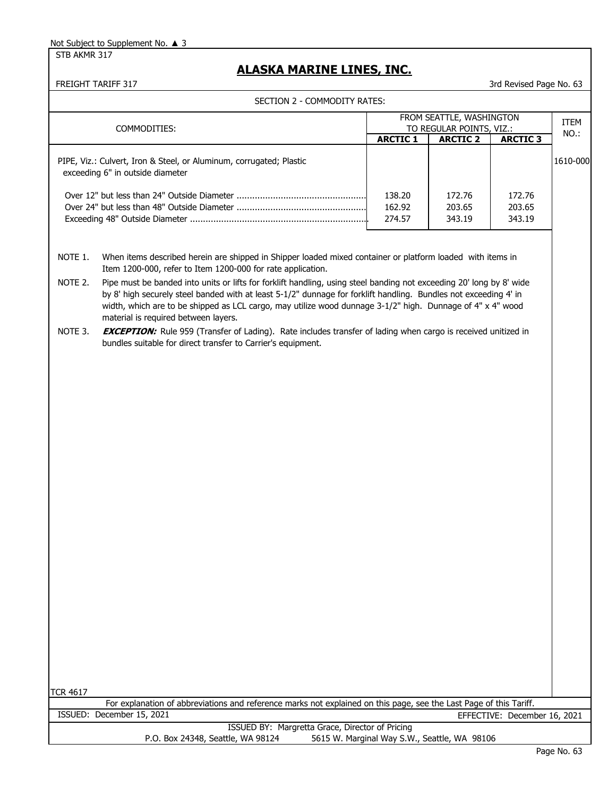STB AKMR 317

# **ALASKA MARINE LINES, INC.**

|                 | SECTION 2 - COMMODITY RATES:                                                                                                                                                                                                                                                                                                                                                                   |                            |                                                      |                              |          |
|-----------------|------------------------------------------------------------------------------------------------------------------------------------------------------------------------------------------------------------------------------------------------------------------------------------------------------------------------------------------------------------------------------------------------|----------------------------|------------------------------------------------------|------------------------------|----------|
|                 | COMMODITIES:                                                                                                                                                                                                                                                                                                                                                                                   |                            | FROM SEATTLE, WASHINGTON<br>TO REGULAR POINTS, VIZ.: |                              | ITEM     |
|                 |                                                                                                                                                                                                                                                                                                                                                                                                | <b>ARCTIC 1</b>            | <b>ARCTIC 2</b>                                      | <b>ARCTIC 3</b>              | NO.:     |
|                 | PIPE, Viz.: Culvert, Iron & Steel, or Aluminum, corrugated; Plastic<br>exceeding 6" in outside diameter                                                                                                                                                                                                                                                                                        |                            |                                                      |                              | 1610-000 |
|                 |                                                                                                                                                                                                                                                                                                                                                                                                | 138.20<br>162.92<br>274.57 | 172.76<br>203.65<br>343.19                           | 172.76<br>203.65<br>343.19   |          |
|                 |                                                                                                                                                                                                                                                                                                                                                                                                |                            |                                                      |                              |          |
| NOTE 1.         | When items described herein are shipped in Shipper loaded mixed container or platform loaded with items in<br>Item 1200-000, refer to Item 1200-000 for rate application.                                                                                                                                                                                                                      |                            |                                                      |                              |          |
| NOTE 2.         | Pipe must be banded into units or lifts for forklift handling, using steel banding not exceeding 20' long by 8' wide<br>by 8' high securely steel banded with at least 5-1/2" dunnage for forklift handling. Bundles not exceeding 4' in<br>width, which are to be shipped as LCL cargo, may utilize wood dunnage 3-1/2" high. Dunnage of 4" x 4" wood<br>material is required between layers. |                            |                                                      |                              |          |
| NOTE 3.         | <b>EXCEPTION:</b> Rule 959 (Transfer of Lading). Rate includes transfer of lading when cargo is received unitized in<br>bundles suitable for direct transfer to Carrier's equipment.                                                                                                                                                                                                           |                            |                                                      |                              |          |
|                 |                                                                                                                                                                                                                                                                                                                                                                                                |                            |                                                      |                              |          |
|                 |                                                                                                                                                                                                                                                                                                                                                                                                |                            |                                                      |                              |          |
|                 |                                                                                                                                                                                                                                                                                                                                                                                                |                            |                                                      |                              |          |
|                 |                                                                                                                                                                                                                                                                                                                                                                                                |                            |                                                      |                              |          |
|                 |                                                                                                                                                                                                                                                                                                                                                                                                |                            |                                                      |                              |          |
|                 |                                                                                                                                                                                                                                                                                                                                                                                                |                            |                                                      |                              |          |
|                 |                                                                                                                                                                                                                                                                                                                                                                                                |                            |                                                      |                              |          |
|                 |                                                                                                                                                                                                                                                                                                                                                                                                |                            |                                                      |                              |          |
|                 |                                                                                                                                                                                                                                                                                                                                                                                                |                            |                                                      |                              |          |
|                 |                                                                                                                                                                                                                                                                                                                                                                                                |                            |                                                      |                              |          |
|                 |                                                                                                                                                                                                                                                                                                                                                                                                |                            |                                                      |                              |          |
|                 |                                                                                                                                                                                                                                                                                                                                                                                                |                            |                                                      |                              |          |
|                 |                                                                                                                                                                                                                                                                                                                                                                                                |                            |                                                      |                              |          |
|                 |                                                                                                                                                                                                                                                                                                                                                                                                |                            |                                                      |                              |          |
|                 |                                                                                                                                                                                                                                                                                                                                                                                                |                            |                                                      |                              |          |
| <b>TCR 4617</b> |                                                                                                                                                                                                                                                                                                                                                                                                |                            |                                                      |                              |          |
|                 | For explanation of abbreviations and reference marks not explained on this page, see the Last Page of this Tariff.                                                                                                                                                                                                                                                                             |                            |                                                      |                              |          |
|                 | ISSUED: December 15, 2021                                                                                                                                                                                                                                                                                                                                                                      |                            |                                                      | EFFECTIVE: December 16, 2021 |          |
|                 | ISSUED BY: Margretta Grace, Director of Pricing<br>P.O. Box 24348, Seattle, WA 98124                                                                                                                                                                                                                                                                                                           |                            | 5615 W. Marginal Way S.W., Seattle, WA 98106         |                              |          |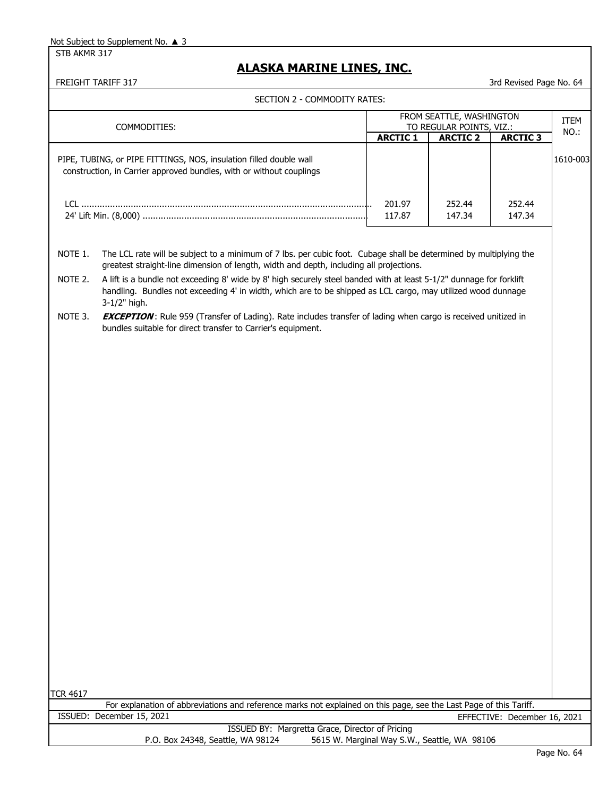STB AKMR 317

# **ALASKA MARINE LINES, INC.**

|                    | FREIGHT TARIFF 317                                                                                                                                                                                                                                                                                                                  |                                              |                          | 3rd Revised Page No. 64      |             |
|--------------------|-------------------------------------------------------------------------------------------------------------------------------------------------------------------------------------------------------------------------------------------------------------------------------------------------------------------------------------|----------------------------------------------|--------------------------|------------------------------|-------------|
|                    | SECTION 2 - COMMODITY RATES:                                                                                                                                                                                                                                                                                                        |                                              |                          |                              |             |
|                    |                                                                                                                                                                                                                                                                                                                                     |                                              | FROM SEATTLE, WASHINGTON |                              | <b>ITEM</b> |
|                    | COMMODITIES:                                                                                                                                                                                                                                                                                                                        | <b>ARCTIC 1</b>                              | TO REGULAR POINTS, VIZ.: |                              | NO.:        |
|                    |                                                                                                                                                                                                                                                                                                                                     |                                              | <b>ARCTIC 2</b>          | <b>ARCTIC 3</b>              |             |
|                    | PIPE, TUBING, or PIPE FITTINGS, NOS, insulation filled double wall                                                                                                                                                                                                                                                                  |                                              |                          |                              | 1610-003    |
|                    | construction, in Carrier approved bundles, with or without couplings                                                                                                                                                                                                                                                                |                                              |                          |                              |             |
|                    |                                                                                                                                                                                                                                                                                                                                     |                                              |                          |                              |             |
|                    |                                                                                                                                                                                                                                                                                                                                     |                                              |                          |                              |             |
|                    |                                                                                                                                                                                                                                                                                                                                     | 201.97<br>117.87                             | 252.44<br>147.34         | 252.44<br>147.34             |             |
|                    |                                                                                                                                                                                                                                                                                                                                     |                                              |                          |                              |             |
| NOTE 1.<br>NOTE 2. | The LCL rate will be subject to a minimum of 7 lbs. per cubic foot. Cubage shall be determined by multiplying the<br>greatest straight-line dimension of length, width and depth, including all projections.<br>A lift is a bundle not exceeding 8' wide by 8' high securely steel banded with at least 5-1/2" dunnage for forklift |                                              |                          |                              |             |
|                    | handling. Bundles not exceeding 4' in width, which are to be shipped as LCL cargo, may utilized wood dunnage                                                                                                                                                                                                                        |                                              |                          |                              |             |
| NOTE 3.            | 3-1/2" high.<br><b>EXCEPTION:</b> Rule 959 (Transfer of Lading). Rate includes transfer of lading when cargo is received unitized in<br>bundles suitable for direct transfer to Carrier's equipment.                                                                                                                                |                                              |                          |                              |             |
|                    |                                                                                                                                                                                                                                                                                                                                     |                                              |                          |                              |             |
|                    |                                                                                                                                                                                                                                                                                                                                     |                                              |                          |                              |             |
|                    |                                                                                                                                                                                                                                                                                                                                     |                                              |                          |                              |             |
|                    |                                                                                                                                                                                                                                                                                                                                     |                                              |                          |                              |             |
|                    |                                                                                                                                                                                                                                                                                                                                     |                                              |                          |                              |             |
|                    |                                                                                                                                                                                                                                                                                                                                     |                                              |                          |                              |             |
|                    |                                                                                                                                                                                                                                                                                                                                     |                                              |                          |                              |             |
|                    |                                                                                                                                                                                                                                                                                                                                     |                                              |                          |                              |             |
|                    |                                                                                                                                                                                                                                                                                                                                     |                                              |                          |                              |             |
|                    |                                                                                                                                                                                                                                                                                                                                     |                                              |                          |                              |             |
|                    |                                                                                                                                                                                                                                                                                                                                     |                                              |                          |                              |             |
|                    |                                                                                                                                                                                                                                                                                                                                     |                                              |                          |                              |             |
|                    |                                                                                                                                                                                                                                                                                                                                     |                                              |                          |                              |             |
|                    |                                                                                                                                                                                                                                                                                                                                     |                                              |                          |                              |             |
|                    |                                                                                                                                                                                                                                                                                                                                     |                                              |                          |                              |             |
|                    |                                                                                                                                                                                                                                                                                                                                     |                                              |                          |                              |             |
|                    |                                                                                                                                                                                                                                                                                                                                     |                                              |                          |                              |             |
|                    |                                                                                                                                                                                                                                                                                                                                     |                                              |                          |                              |             |
|                    |                                                                                                                                                                                                                                                                                                                                     |                                              |                          |                              |             |
|                    |                                                                                                                                                                                                                                                                                                                                     |                                              |                          |                              |             |
|                    |                                                                                                                                                                                                                                                                                                                                     |                                              |                          |                              |             |
|                    |                                                                                                                                                                                                                                                                                                                                     |                                              |                          |                              |             |
|                    |                                                                                                                                                                                                                                                                                                                                     |                                              |                          |                              |             |
|                    |                                                                                                                                                                                                                                                                                                                                     |                                              |                          |                              |             |
|                    |                                                                                                                                                                                                                                                                                                                                     |                                              |                          |                              |             |
|                    |                                                                                                                                                                                                                                                                                                                                     |                                              |                          |                              |             |
|                    |                                                                                                                                                                                                                                                                                                                                     |                                              |                          |                              |             |
| <b>TCR 4617</b>    | For explanation of abbreviations and reference marks not explained on this page, see the Last Page of this Tariff.                                                                                                                                                                                                                  |                                              |                          |                              |             |
|                    | ISSUED: December 15, 2021                                                                                                                                                                                                                                                                                                           |                                              |                          | EFFECTIVE: December 16, 2021 |             |
|                    | ISSUED BY: Margretta Grace, Director of Pricing                                                                                                                                                                                                                                                                                     |                                              |                          |                              |             |
|                    | P.O. Box 24348, Seattle, WA 98124                                                                                                                                                                                                                                                                                                   | 5615 W. Marginal Way S.W., Seattle, WA 98106 |                          |                              |             |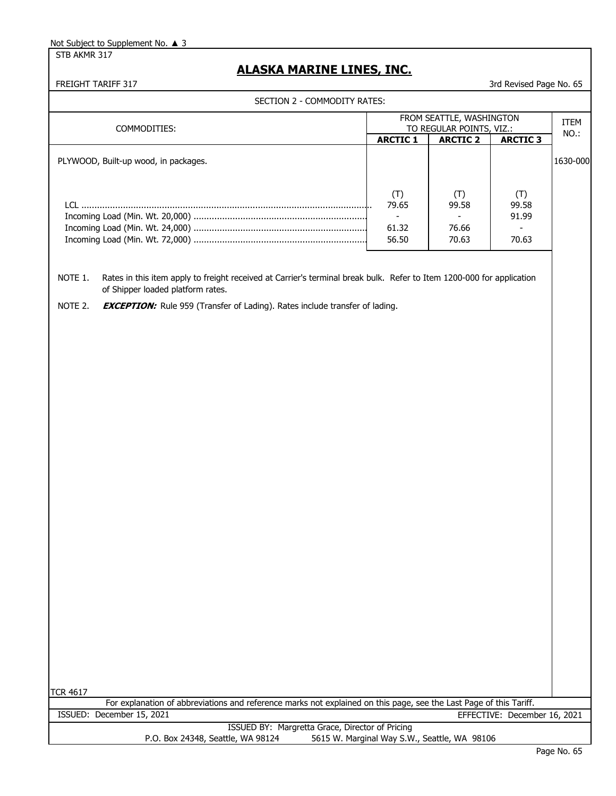STB AKMR 317

# **ALASKA MARINE LINES, INC.**

| SECTION 2 - COMMODITY RATES:                                                                                                                                          |                                                            |                                                            |                                |              |
|-----------------------------------------------------------------------------------------------------------------------------------------------------------------------|------------------------------------------------------------|------------------------------------------------------------|--------------------------------|--------------|
| COMMODITIES:                                                                                                                                                          |                                                            | FROM SEATTLE, WASHINGTON<br>TO REGULAR POINTS, VIZ.:       |                                | ITEM<br>NO.: |
|                                                                                                                                                                       | <b>ARCTIC 1</b>                                            | <b>ARCTIC 2</b>                                            | <b>ARCTIC 3</b>                |              |
| PLYWOOD, Built-up wood, in packages.                                                                                                                                  |                                                            |                                                            |                                | 1630-000     |
|                                                                                                                                                                       | (T)<br>79.65<br>$\overline{\phantom{a}}$<br>61.32<br>56.50 | (T)<br>99.58<br>$\overline{\phantom{a}}$<br>76.66<br>70.63 | (T)<br>99.58<br>91.99<br>70.63 |              |
| NOTE 1.<br>Rates in this item apply to freight received at Carrier's terminal break bulk. Refer to Item 1200-000 for application<br>of Shipper loaded platform rates. |                                                            |                                                            |                                |              |
| NOTE 2.<br><b>EXCEPTION:</b> Rule 959 (Transfer of Lading). Rates include transfer of lading.                                                                         |                                                            |                                                            |                                |              |
|                                                                                                                                                                       |                                                            |                                                            |                                |              |
| <b>TCR 4617</b><br>For explanation of abbreviations and reference marks not explained on this page, see the Last Page of this Tariff.                                 |                                                            |                                                            |                                |              |
| ISSUED: December 15, 2021                                                                                                                                             |                                                            |                                                            | EFFECTIVE: December 16, 2021   |              |
| ISSUED BY: Margretta Grace, Director of Pricing<br>P.O. Box 24348, Seattle, WA 98124                                                                                  |                                                            | 5615 W. Marginal Way S.W., Seattle, WA 98106               |                                |              |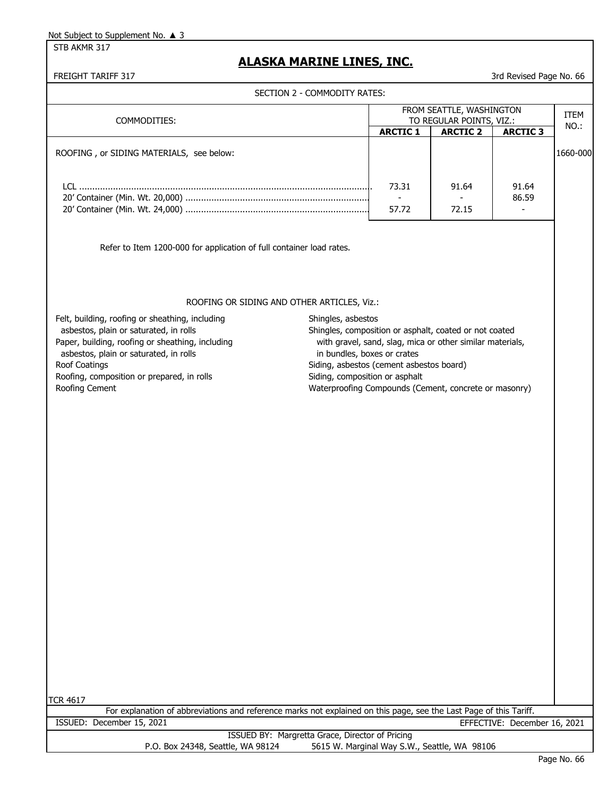STB AKMR 317

# **ALASKA MARINE LINES, INC.**

FREIGHT TARIFF 317 3rd Revised Page No. 66

| SECTION 2 - COMMODITY RATES:<br>FROM SEATTLE, WASHINGTON<br>ITEM<br>TO REGULAR POINTS, VIZ.:<br>COMMODITIES:<br>NO.:<br><b>ARCTIC 1</b><br><b>ARCTIC 2</b><br><b>ARCTIC 3</b><br>1660-000<br>ROOFING, or SIDING MATERIALS, see below:<br>73.31<br>91.64<br>91.64<br>86.59<br>$\overline{\phantom{a}}$<br>57.72<br>72.15<br>Refer to Item 1200-000 for application of full container load rates.<br>ROOFING OR SIDING AND OTHER ARTICLES, Viz.:<br>Felt, building, roofing or sheathing, including<br>Shingles, asbestos<br>asbestos, plain or saturated, in rolls<br>Shingles, composition or asphalt, coated or not coated<br>Paper, building, roofing or sheathing, including<br>with gravel, sand, slag, mica or other similar materials,<br>asbestos, plain or saturated, in rolls<br>in bundles, boxes or crates<br>Siding, asbestos (cement asbestos board)<br>Roof Coatings<br>Roofing, composition or prepared, in rolls<br>Siding, composition or asphalt<br>Waterproofing Compounds (Cement, concrete or masonry)<br>Roofing Cement<br><b>TCR 4617</b><br>For explanation of abbreviations and reference marks not explained on this page, see the Last Page of this Tariff.<br>ISSUED: December 15, 2021<br>EFFECTIVE: December 16, 2021<br>ISSUED BY: Margretta Grace, Director of Pricing | ידר וה <i>ח</i> טו ווחדמו |  | טט ושטנע ו שפוז טוכ |  |
|--------------------------------------------------------------------------------------------------------------------------------------------------------------------------------------------------------------------------------------------------------------------------------------------------------------------------------------------------------------------------------------------------------------------------------------------------------------------------------------------------------------------------------------------------------------------------------------------------------------------------------------------------------------------------------------------------------------------------------------------------------------------------------------------------------------------------------------------------------------------------------------------------------------------------------------------------------------------------------------------------------------------------------------------------------------------------------------------------------------------------------------------------------------------------------------------------------------------------------------------------------------------------------------------------------|---------------------------|--|---------------------|--|
|                                                                                                                                                                                                                                                                                                                                                                                                                                                                                                                                                                                                                                                                                                                                                                                                                                                                                                                                                                                                                                                                                                                                                                                                                                                                                                        |                           |  |                     |  |
|                                                                                                                                                                                                                                                                                                                                                                                                                                                                                                                                                                                                                                                                                                                                                                                                                                                                                                                                                                                                                                                                                                                                                                                                                                                                                                        |                           |  |                     |  |
|                                                                                                                                                                                                                                                                                                                                                                                                                                                                                                                                                                                                                                                                                                                                                                                                                                                                                                                                                                                                                                                                                                                                                                                                                                                                                                        |                           |  |                     |  |
|                                                                                                                                                                                                                                                                                                                                                                                                                                                                                                                                                                                                                                                                                                                                                                                                                                                                                                                                                                                                                                                                                                                                                                                                                                                                                                        |                           |  |                     |  |
|                                                                                                                                                                                                                                                                                                                                                                                                                                                                                                                                                                                                                                                                                                                                                                                                                                                                                                                                                                                                                                                                                                                                                                                                                                                                                                        |                           |  |                     |  |
|                                                                                                                                                                                                                                                                                                                                                                                                                                                                                                                                                                                                                                                                                                                                                                                                                                                                                                                                                                                                                                                                                                                                                                                                                                                                                                        |                           |  |                     |  |
|                                                                                                                                                                                                                                                                                                                                                                                                                                                                                                                                                                                                                                                                                                                                                                                                                                                                                                                                                                                                                                                                                                                                                                                                                                                                                                        |                           |  |                     |  |
|                                                                                                                                                                                                                                                                                                                                                                                                                                                                                                                                                                                                                                                                                                                                                                                                                                                                                                                                                                                                                                                                                                                                                                                                                                                                                                        |                           |  |                     |  |
|                                                                                                                                                                                                                                                                                                                                                                                                                                                                                                                                                                                                                                                                                                                                                                                                                                                                                                                                                                                                                                                                                                                                                                                                                                                                                                        |                           |  |                     |  |
|                                                                                                                                                                                                                                                                                                                                                                                                                                                                                                                                                                                                                                                                                                                                                                                                                                                                                                                                                                                                                                                                                                                                                                                                                                                                                                        |                           |  |                     |  |
|                                                                                                                                                                                                                                                                                                                                                                                                                                                                                                                                                                                                                                                                                                                                                                                                                                                                                                                                                                                                                                                                                                                                                                                                                                                                                                        |                           |  |                     |  |
|                                                                                                                                                                                                                                                                                                                                                                                                                                                                                                                                                                                                                                                                                                                                                                                                                                                                                                                                                                                                                                                                                                                                                                                                                                                                                                        |                           |  |                     |  |
|                                                                                                                                                                                                                                                                                                                                                                                                                                                                                                                                                                                                                                                                                                                                                                                                                                                                                                                                                                                                                                                                                                                                                                                                                                                                                                        |                           |  |                     |  |
|                                                                                                                                                                                                                                                                                                                                                                                                                                                                                                                                                                                                                                                                                                                                                                                                                                                                                                                                                                                                                                                                                                                                                                                                                                                                                                        |                           |  |                     |  |
|                                                                                                                                                                                                                                                                                                                                                                                                                                                                                                                                                                                                                                                                                                                                                                                                                                                                                                                                                                                                                                                                                                                                                                                                                                                                                                        |                           |  |                     |  |
|                                                                                                                                                                                                                                                                                                                                                                                                                                                                                                                                                                                                                                                                                                                                                                                                                                                                                                                                                                                                                                                                                                                                                                                                                                                                                                        |                           |  |                     |  |
|                                                                                                                                                                                                                                                                                                                                                                                                                                                                                                                                                                                                                                                                                                                                                                                                                                                                                                                                                                                                                                                                                                                                                                                                                                                                                                        |                           |  |                     |  |
|                                                                                                                                                                                                                                                                                                                                                                                                                                                                                                                                                                                                                                                                                                                                                                                                                                                                                                                                                                                                                                                                                                                                                                                                                                                                                                        |                           |  |                     |  |
|                                                                                                                                                                                                                                                                                                                                                                                                                                                                                                                                                                                                                                                                                                                                                                                                                                                                                                                                                                                                                                                                                                                                                                                                                                                                                                        |                           |  |                     |  |
|                                                                                                                                                                                                                                                                                                                                                                                                                                                                                                                                                                                                                                                                                                                                                                                                                                                                                                                                                                                                                                                                                                                                                                                                                                                                                                        |                           |  |                     |  |
|                                                                                                                                                                                                                                                                                                                                                                                                                                                                                                                                                                                                                                                                                                                                                                                                                                                                                                                                                                                                                                                                                                                                                                                                                                                                                                        |                           |  |                     |  |
|                                                                                                                                                                                                                                                                                                                                                                                                                                                                                                                                                                                                                                                                                                                                                                                                                                                                                                                                                                                                                                                                                                                                                                                                                                                                                                        |                           |  |                     |  |
|                                                                                                                                                                                                                                                                                                                                                                                                                                                                                                                                                                                                                                                                                                                                                                                                                                                                                                                                                                                                                                                                                                                                                                                                                                                                                                        |                           |  |                     |  |
|                                                                                                                                                                                                                                                                                                                                                                                                                                                                                                                                                                                                                                                                                                                                                                                                                                                                                                                                                                                                                                                                                                                                                                                                                                                                                                        |                           |  |                     |  |
|                                                                                                                                                                                                                                                                                                                                                                                                                                                                                                                                                                                                                                                                                                                                                                                                                                                                                                                                                                                                                                                                                                                                                                                                                                                                                                        |                           |  |                     |  |
|                                                                                                                                                                                                                                                                                                                                                                                                                                                                                                                                                                                                                                                                                                                                                                                                                                                                                                                                                                                                                                                                                                                                                                                                                                                                                                        |                           |  |                     |  |
|                                                                                                                                                                                                                                                                                                                                                                                                                                                                                                                                                                                                                                                                                                                                                                                                                                                                                                                                                                                                                                                                                                                                                                                                                                                                                                        |                           |  |                     |  |
|                                                                                                                                                                                                                                                                                                                                                                                                                                                                                                                                                                                                                                                                                                                                                                                                                                                                                                                                                                                                                                                                                                                                                                                                                                                                                                        |                           |  |                     |  |

P.O. Box 24348, Seattle, WA 98124 5615 W. Marginal Way S.W., Seattle, WA 98106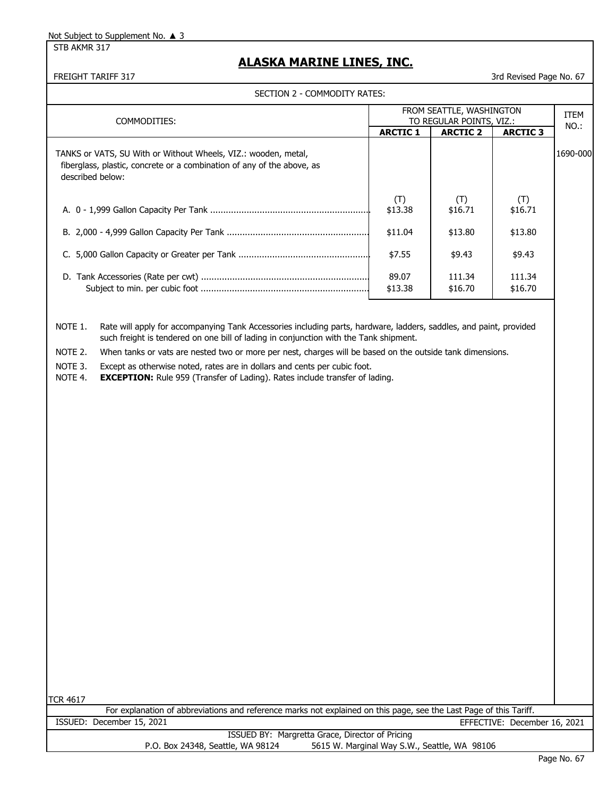STB AKMR 317

# **ALASKA MARINE LINES, INC.**

FREIGHT TARIFF 317 3rd Revised Page No. 67

SECTION 2 - COMMODITY RATES:

| COMMODITIES:                                                                                                                                                                                                                                                                                                                                                                                                                                                                                                                            |                  | FROM SEATTLE, WASHINGTON<br>TO REGULAR POINTS, VIZ.: |                              | ITEM     |
|-----------------------------------------------------------------------------------------------------------------------------------------------------------------------------------------------------------------------------------------------------------------------------------------------------------------------------------------------------------------------------------------------------------------------------------------------------------------------------------------------------------------------------------------|------------------|------------------------------------------------------|------------------------------|----------|
|                                                                                                                                                                                                                                                                                                                                                                                                                                                                                                                                         | <b>ARCTIC 1</b>  | <b>ARCTIC 2</b>                                      | <b>ARCTIC 3</b>              | $NO.$ :  |
| TANKS or VATS, SU With or Without Wheels, VIZ.: wooden, metal,<br>fiberglass, plastic, concrete or a combination of any of the above, as<br>described below:                                                                                                                                                                                                                                                                                                                                                                            |                  |                                                      |                              | 1690-000 |
|                                                                                                                                                                                                                                                                                                                                                                                                                                                                                                                                         | (T)<br>\$13.38   | (T)<br>\$16.71                                       | (T)<br>\$16.71               |          |
|                                                                                                                                                                                                                                                                                                                                                                                                                                                                                                                                         | \$11.04          | \$13.80                                              | \$13.80                      |          |
|                                                                                                                                                                                                                                                                                                                                                                                                                                                                                                                                         | \$7.55           | \$9.43                                               | \$9.43                       |          |
|                                                                                                                                                                                                                                                                                                                                                                                                                                                                                                                                         | 89.07<br>\$13.38 | 111.34<br>\$16.70                                    | 111.34<br>\$16.70            |          |
| NOTE 1.<br>Rate will apply for accompanying Tank Accessories including parts, hardware, ladders, saddles, and paint, provided<br>such freight is tendered on one bill of lading in conjunction with the Tank shipment.<br>NOTE 2.<br>When tanks or vats are nested two or more per nest, charges will be based on the outside tank dimensions.<br>NOTE 3.<br>Except as otherwise noted, rates are in dollars and cents per cubic foot.<br>NOTE 4.<br><b>EXCEPTION:</b> Rule 959 (Transfer of Lading). Rates include transfer of lading. |                  |                                                      |                              |          |
| <b>TCR 4617</b>                                                                                                                                                                                                                                                                                                                                                                                                                                                                                                                         |                  |                                                      |                              |          |
| For explanation of abbreviations and reference marks not explained on this page, see the Last Page of this Tariff.<br>ISSUED: December 15, 2021                                                                                                                                                                                                                                                                                                                                                                                         |                  |                                                      | EFFECTIVE: December 16, 2021 |          |
|                                                                                                                                                                                                                                                                                                                                                                                                                                                                                                                                         |                  |                                                      |                              |          |

ISSUED BY: Margretta Grace, Director of Pricing P.O. Box 24348, Seattle, WA 98124 5615 W. Marginal Way S.W., Seattle, WA 98106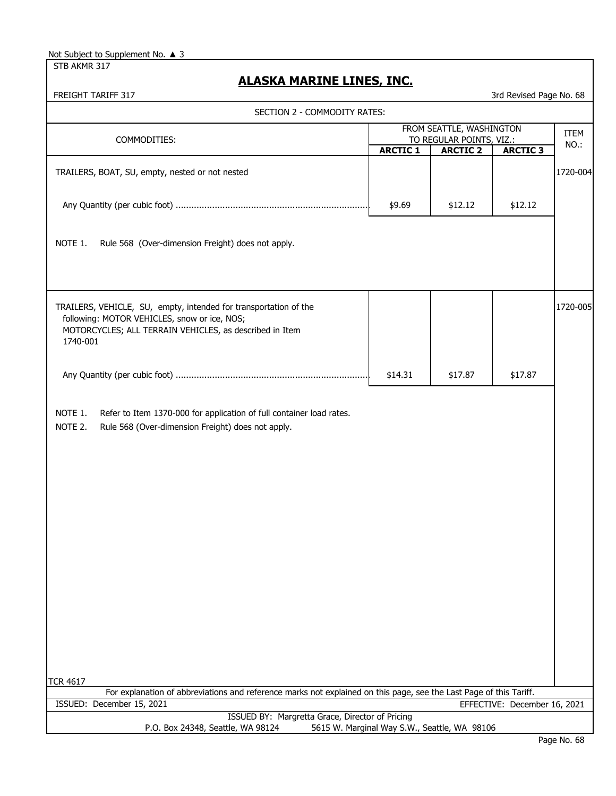| Not Subject to Supplement No. ▲ 3 |  |
|-----------------------------------|--|
|-----------------------------------|--|

STB AKMR 317

# **ALASKA MARINE LINES, INC.**

| FREIGHT TARIFF 317                                                                                                                                                                      |                                              |                                                      | 3rd Revised Page No. 68      |          |
|-----------------------------------------------------------------------------------------------------------------------------------------------------------------------------------------|----------------------------------------------|------------------------------------------------------|------------------------------|----------|
| SECTION 2 - COMMODITY RATES:                                                                                                                                                            |                                              |                                                      |                              |          |
| COMMODITIES:                                                                                                                                                                            |                                              | FROM SEATTLE, WASHINGTON<br>TO REGULAR POINTS, VIZ.: |                              | ITEM     |
|                                                                                                                                                                                         | <b>ARCTIC 1</b>                              | <b>ARCTIC 2</b>                                      | <b>ARCTIC 3</b>              | NO.:     |
| TRAILERS, BOAT, SU, empty, nested or not nested                                                                                                                                         |                                              |                                                      |                              | 1720-004 |
|                                                                                                                                                                                         | \$9.69                                       | \$12.12                                              | \$12.12                      |          |
| NOTE 1.<br>Rule 568 (Over-dimension Freight) does not apply.                                                                                                                            |                                              |                                                      |                              |          |
| TRAILERS, VEHICLE, SU, empty, intended for transportation of the<br>following: MOTOR VEHICLES, snow or ice, NOS;<br>MOTORCYCLES; ALL TERRAIN VEHICLES, as described in Item<br>1740-001 |                                              |                                                      |                              | 1720-005 |
|                                                                                                                                                                                         | \$14.31                                      | \$17.87                                              | \$17.87                      |          |
| NOTE 1.<br>Refer to Item 1370-000 for application of full container load rates.<br>NOTE 2.<br>Rule 568 (Over-dimension Freight) does not apply.<br><b>TCR 4617</b>                      |                                              |                                                      |                              |          |
| For explanation of abbreviations and reference marks not explained on this page, see the Last Page of this Tariff.                                                                      |                                              |                                                      |                              |          |
| ISSUED: December 15, 2021<br>ISSUED BY: Margretta Grace, Director of Pricing                                                                                                            |                                              |                                                      | EFFECTIVE: December 16, 2021 |          |
| P.O. Box 24348, Seattle, WA 98124                                                                                                                                                       | 5615 W. Marginal Way S.W., Seattle, WA 98106 |                                                      |                              |          |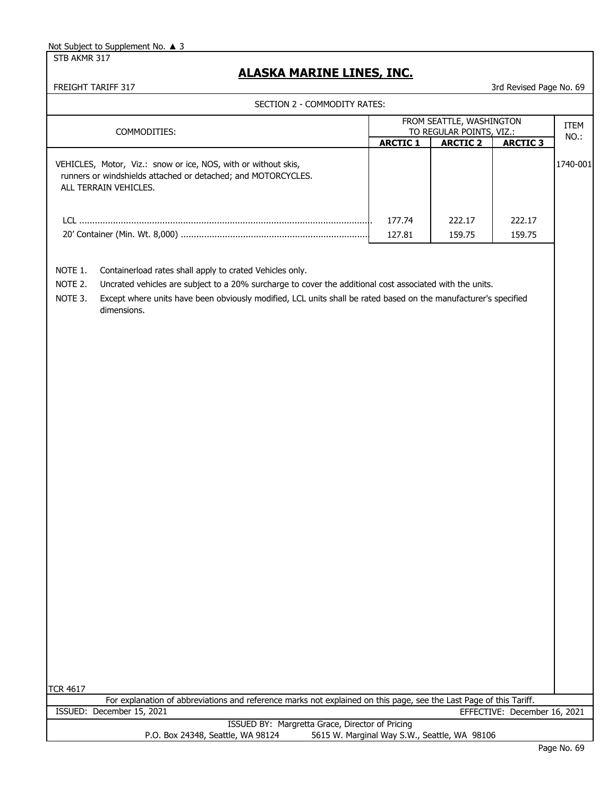STB AKMR 317

# **ALASKA MARINE LINES, INC.**

FREIGHT TARIFF 317 3rd Revised Page No. 69

|                               | COMMODITIES:                                                                                                                                                                                                                                                                                           |                 | FROM SEATTLE, WASHINGTON<br>TO REGULAR POINTS, VIZ.: |                 | <b>ITEM</b> |
|-------------------------------|--------------------------------------------------------------------------------------------------------------------------------------------------------------------------------------------------------------------------------------------------------------------------------------------------------|-----------------|------------------------------------------------------|-----------------|-------------|
|                               |                                                                                                                                                                                                                                                                                                        | <b>ARCTIC 1</b> | <b>ARCTIC 2</b>                                      | <b>ARCTIC 3</b> | NO.:        |
|                               | VEHICLES, Motor, Viz.: snow or ice, NOS, with or without skis,<br>runners or windshields attached or detached; and MOTORCYCLES.<br>ALL TERRAIN VEHICLES.                                                                                                                                               |                 |                                                      |                 | 1740-001    |
|                               |                                                                                                                                                                                                                                                                                                        | 177.74          | 222.17                                               | 222.17          |             |
|                               |                                                                                                                                                                                                                                                                                                        | 127.81          | 159.75                                               | 159.75          |             |
| NOTE 1.<br>NOTE 2.<br>NOTE 3. | Containerload rates shall apply to crated Vehicles only.<br>Uncrated vehicles are subject to a 20% surcharge to cover the additional cost associated with the units.<br>Except where units have been obviously modified, LCL units shall be rated based on the manufacturer's specified<br>dimensions. |                 |                                                      |                 |             |
|                               |                                                                                                                                                                                                                                                                                                        |                 |                                                      |                 |             |
|                               |                                                                                                                                                                                                                                                                                                        |                 |                                                      |                 |             |
|                               |                                                                                                                                                                                                                                                                                                        |                 |                                                      |                 |             |
|                               |                                                                                                                                                                                                                                                                                                        |                 |                                                      |                 |             |
|                               |                                                                                                                                                                                                                                                                                                        |                 |                                                      |                 |             |
|                               |                                                                                                                                                                                                                                                                                                        |                 |                                                      |                 |             |
|                               |                                                                                                                                                                                                                                                                                                        |                 |                                                      |                 |             |
|                               |                                                                                                                                                                                                                                                                                                        |                 |                                                      |                 |             |
|                               |                                                                                                                                                                                                                                                                                                        |                 |                                                      |                 |             |
| <b>TCR 4617</b>               | For explanation of abbreviations and reference marks not explained on this page, see the Last Page of this Tariff.                                                                                                                                                                                     |                 |                                                      |                 |             |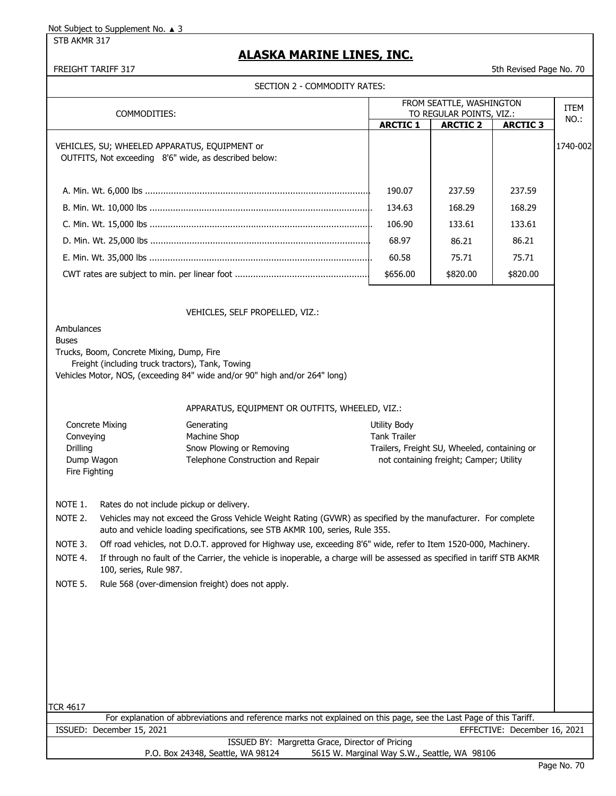STB AKMR 317

# **ALASKA MARINE LINES, INC.**

FREIGHT TARIFF 317 STATE TO A STATE THE STATE OF THE STATE OF THE STATE OF THE STATE OF THE STATE OF THE STATE OF THE STATE OF THE STATE OF THE STATE OF THE STATE OF THE STATE OF THE STATE OF THE STATE OF THE STATE OF THE

|                                                                                                                                                                               |                                                                                                                                                                                                                                           | SECTION 2 - COMMODITY RATES:                                                                                             |                                                                                         |                          |          |             |
|-------------------------------------------------------------------------------------------------------------------------------------------------------------------------------|-------------------------------------------------------------------------------------------------------------------------------------------------------------------------------------------------------------------------------------------|--------------------------------------------------------------------------------------------------------------------------|-----------------------------------------------------------------------------------------|--------------------------|----------|-------------|
|                                                                                                                                                                               |                                                                                                                                                                                                                                           |                                                                                                                          |                                                                                         | FROM SEATTLE, WASHINGTON |          | <b>ITEM</b> |
| COMMODITIES:                                                                                                                                                                  |                                                                                                                                                                                                                                           | <b>ARCTIC 1</b>                                                                                                          | TO REGULAR POINTS, VIZ.:<br><b>ARCTIC 2</b>                                             | <b>ARCTIC 3</b>          | $NO.$ :  |             |
|                                                                                                                                                                               |                                                                                                                                                                                                                                           | VEHICLES, SU; WHEELED APPARATUS, EQUIPMENT or<br>OUTFITS, Not exceeding 8'6" wide, as described below:                   |                                                                                         |                          |          | 1740-002    |
|                                                                                                                                                                               |                                                                                                                                                                                                                                           |                                                                                                                          | 190.07                                                                                  | 237.59                   | 237.59   |             |
|                                                                                                                                                                               |                                                                                                                                                                                                                                           |                                                                                                                          | 134.63                                                                                  | 168.29                   | 168.29   |             |
|                                                                                                                                                                               |                                                                                                                                                                                                                                           |                                                                                                                          | 106.90                                                                                  | 133.61                   | 133.61   |             |
|                                                                                                                                                                               |                                                                                                                                                                                                                                           |                                                                                                                          | 68.97                                                                                   | 86.21                    | 86.21    |             |
|                                                                                                                                                                               |                                                                                                                                                                                                                                           |                                                                                                                          | 60.58                                                                                   | 75.71                    | 75.71    |             |
|                                                                                                                                                                               |                                                                                                                                                                                                                                           |                                                                                                                          | \$656.00                                                                                | \$820.00                 | \$820.00 |             |
| Ambulances                                                                                                                                                                    |                                                                                                                                                                                                                                           | VEHICLES, SELF PROPELLED, VIZ.:                                                                                          |                                                                                         |                          |          |             |
| <b>Buses</b>                                                                                                                                                                  | Trucks, Boom, Concrete Mixing, Dump, Fire<br>Freight (including truck tractors), Tank, Towing                                                                                                                                             | Vehicles Motor, NOS, (exceeding 84" wide and/or 90" high and/or 264" long)                                               |                                                                                         |                          |          |             |
|                                                                                                                                                                               |                                                                                                                                                                                                                                           | APPARATUS, EQUIPMENT OR OUTFITS, WHEELED, VIZ.:                                                                          |                                                                                         |                          |          |             |
| <b>Concrete Mixing</b><br>Generating<br>Machine Shop<br>Conveying<br>Snow Plowing or Removing<br>Drilling<br>Telephone Construction and Repair<br>Dump Wagon<br>Fire Fighting |                                                                                                                                                                                                                                           | Utility Body<br><b>Tank Trailer</b>                                                                                      | Trailers, Freight SU, Wheeled, containing or<br>not containing freight; Camper; Utility |                          |          |             |
| NOTE 1.                                                                                                                                                                       |                                                                                                                                                                                                                                           |                                                                                                                          |                                                                                         |                          |          |             |
| NOTE 2.                                                                                                                                                                       | Rates do not include pickup or delivery.<br>Vehicles may not exceed the Gross Vehicle Weight Rating (GVWR) as specified by the manufacturer. For complete<br>auto and vehicle loading specifications, see STB AKMR 100, series, Rule 355. |                                                                                                                          |                                                                                         |                          |          |             |
| NOTE 3.                                                                                                                                                                       |                                                                                                                                                                                                                                           | Off road vehicles, not D.O.T. approved for Highway use, exceeding 8'6" wide, refer to Item 1520-000, Machinery.          |                                                                                         |                          |          |             |
| NOTE 4.                                                                                                                                                                       | 100, series, Rule 987.                                                                                                                                                                                                                    | If through no fault of the Carrier, the vehicle is inoperable, a charge will be assessed as specified in tariff STB AKMR |                                                                                         |                          |          |             |
| NOTE 5.                                                                                                                                                                       |                                                                                                                                                                                                                                           | Rule 568 (over-dimension freight) does not apply.                                                                        |                                                                                         |                          |          |             |
|                                                                                                                                                                               |                                                                                                                                                                                                                                           |                                                                                                                          |                                                                                         |                          |          |             |
| <b>TCR 4617</b>                                                                                                                                                               |                                                                                                                                                                                                                                           | For explanation of abbreviations and reference marks not explained on this page, see the Last Page of this Tariff.       |                                                                                         |                          |          |             |
|                                                                                                                                                                               |                                                                                                                                                                                                                                           |                                                                                                                          |                                                                                         |                          |          |             |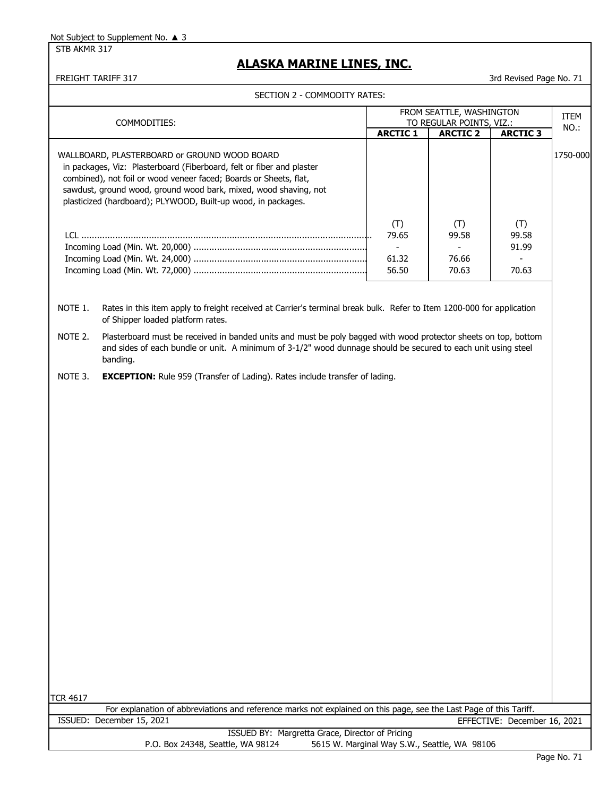STB AKMR 317

### **ALASKA MARINE LINES, INC.**

FREIGHT TARIFF 317 3rd Revised Page No. 71

| COMMODITIES:    |                                                                                                                                                                                                                                                                                                                                 | FROM SEATTLE, WASHINGTON<br>TO REGULAR POINTS, VIZ.: |                                |                                | ITEM<br>NO.: |
|-----------------|---------------------------------------------------------------------------------------------------------------------------------------------------------------------------------------------------------------------------------------------------------------------------------------------------------------------------------|------------------------------------------------------|--------------------------------|--------------------------------|--------------|
|                 |                                                                                                                                                                                                                                                                                                                                 | <b>ARCTIC 1</b>                                      | <b>ARCTIC 2</b>                | <b>ARCTIC 3</b>                |              |
|                 | WALLBOARD, PLASTERBOARD or GROUND WOOD BOARD<br>in packages, Viz: Plasterboard (Fiberboard, felt or fiber and plaster<br>combined), not foil or wood veneer faced; Boards or Sheets, flat,<br>sawdust, ground wood, ground wood bark, mixed, wood shaving, not<br>plasticized (hardboard); PLYWOOD, Built-up wood, in packages. |                                                      |                                |                                | 1750-000     |
|                 |                                                                                                                                                                                                                                                                                                                                 | (T)<br>79.65<br>$\blacksquare$<br>61.32<br>56.50     | (T)<br>99.58<br>76.66<br>70.63 | (T)<br>99.58<br>91.99<br>70.63 |              |
| NOTE 1.         | Rates in this item apply to freight received at Carrier's terminal break bulk. Refer to Item 1200-000 for application<br>of Shipper loaded platform rates.                                                                                                                                                                      |                                                      |                                |                                |              |
| NOTE 2.         | Plasterboard must be received in banded units and must be poly bagged with wood protector sheets on top, bottom<br>and sides of each bundle or unit. A minimum of 3-1/2" wood dunnage should be secured to each unit using steel<br>banding.                                                                                    |                                                      |                                |                                |              |
| NOTE 3.         | <b>EXCEPTION:</b> Rule 959 (Transfer of Lading). Rates include transfer of lading.                                                                                                                                                                                                                                              |                                                      |                                |                                |              |
|                 |                                                                                                                                                                                                                                                                                                                                 |                                                      |                                |                                |              |
| <b>TCR 4617</b> |                                                                                                                                                                                                                                                                                                                                 |                                                      |                                |                                |              |
|                 | For explanation of abbreviations and reference marks not explained on this page, see the Last Page of this Tariff.<br>ISSUED: December 15, 2021                                                                                                                                                                                 |                                                      |                                | EFFECTIVE: December 16, 2021   |              |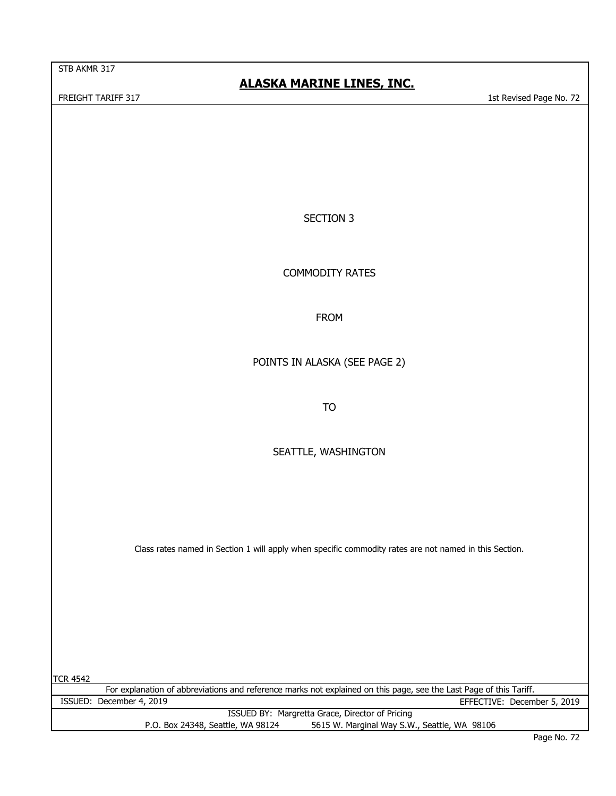STB AKMR 317

## **ALASKA MARINE LINES, INC.**

FREIGHT TARIFF 317 1st Revised Page No. 72

SECTION 3

COMMODITY RATES

FROM

POINTS IN ALASKA (SEE PAGE 2)

TO

SEATTLE, WASHINGTON

Class rates named in Section 1 will apply when specific commodity rates are not named in this Section.

TCR 4542 For explanation of abbreviations and reference marks not explained on this page, see the Last Page of this Tariff. ISSUED BY: Margretta Grace, Director of Pricing P.O. Box 24348, Seattle, WA 98124 5615 W. Marginal Way S.W., Seattle, WA 98106 ISSUED: December 4, 2019 EFFECTIVE: December 5, 2019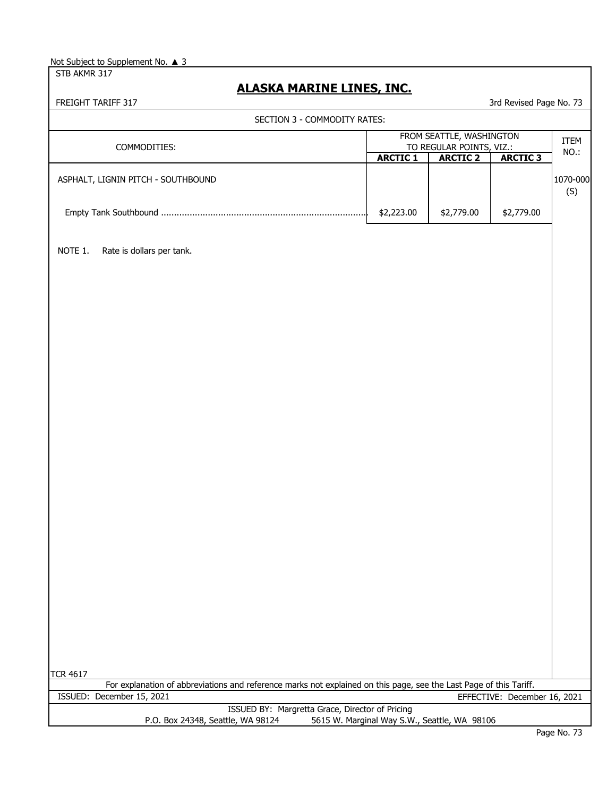STB AKMR 317

## **ALASKA MARINE LINES, INC.**

| FREIGHT TARIFF 317                                                                                                 |                                                      |                 | 3rd Revised Page No. 73      |                 |
|--------------------------------------------------------------------------------------------------------------------|------------------------------------------------------|-----------------|------------------------------|-----------------|
| SECTION 3 - COMMODITY RATES:                                                                                       |                                                      |                 |                              |                 |
| COMMODITIES:                                                                                                       | FROM SEATTLE, WASHINGTON<br>TO REGULAR POINTS, VIZ.: |                 |                              | ITEM<br>NO.:    |
|                                                                                                                    | <b>ARCTIC 1</b>                                      | <b>ARCTIC 2</b> | <b>ARCTIC 3</b>              |                 |
| ASPHALT, LIGNIN PITCH - SOUTHBOUND                                                                                 |                                                      |                 |                              | 1070-000<br>(S) |
|                                                                                                                    | \$2,223.00                                           | \$2,779.00      | \$2,779.00                   |                 |
| NOTE 1.<br>Rate is dollars per tank.                                                                               |                                                      |                 |                              |                 |
|                                                                                                                    |                                                      |                 |                              |                 |
|                                                                                                                    |                                                      |                 |                              |                 |
|                                                                                                                    |                                                      |                 |                              |                 |
|                                                                                                                    |                                                      |                 |                              |                 |
|                                                                                                                    |                                                      |                 |                              |                 |
|                                                                                                                    |                                                      |                 |                              |                 |
|                                                                                                                    |                                                      |                 |                              |                 |
|                                                                                                                    |                                                      |                 |                              |                 |
|                                                                                                                    |                                                      |                 |                              |                 |
|                                                                                                                    |                                                      |                 |                              |                 |
|                                                                                                                    |                                                      |                 |                              |                 |
| <b>TCR 4617</b>                                                                                                    |                                                      |                 |                              |                 |
| For explanation of abbreviations and reference marks not explained on this page, see the Last Page of this Tariff. |                                                      |                 |                              |                 |
| ISSUED: December 15, 2021                                                                                          |                                                      |                 | EFFECTIVE: December 16, 2021 |                 |
| ISSUED BY: Margretta Grace, Director of Pricing<br>P.O. Box 24348, Seattle, WA 98124                               | 5615 W. Marginal Way S.W., Seattle, WA 98106         |                 |                              |                 |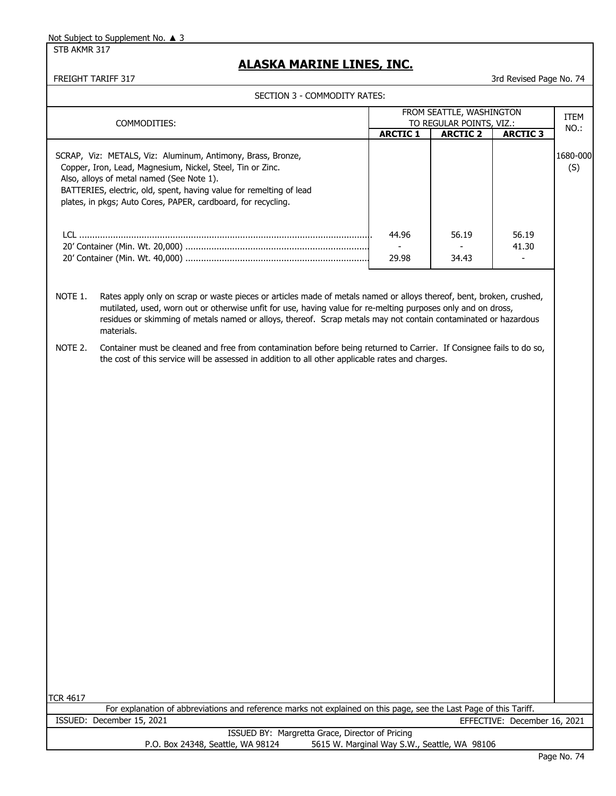STB AKMR 317

## **ALASKA MARINE LINES, INC.**

FREIGHT TARIFF 317 3rd Revised Page No. 74

|                            | SECTION 3 - COMMODITY RATES:                                                                                                                                                                                                                                                                                                                                           |                                                      |                 |                              |                 |
|----------------------------|------------------------------------------------------------------------------------------------------------------------------------------------------------------------------------------------------------------------------------------------------------------------------------------------------------------------------------------------------------------------|------------------------------------------------------|-----------------|------------------------------|-----------------|
| COMMODITIES:               |                                                                                                                                                                                                                                                                                                                                                                        | FROM SEATTLE, WASHINGTON<br>TO REGULAR POINTS, VIZ.: |                 |                              | ITEM            |
|                            |                                                                                                                                                                                                                                                                                                                                                                        | <b>ARCTIC 1</b>                                      | <b>ARCTIC 2</b> | <b>ARCTIC 3</b>              | NO.:            |
|                            | SCRAP, Viz: METALS, Viz: Aluminum, Antimony, Brass, Bronze,<br>Copper, Iron, Lead, Magnesium, Nickel, Steel, Tin or Zinc.<br>Also, alloys of metal named (See Note 1).<br>BATTERIES, electric, old, spent, having value for remelting of lead<br>plates, in pkgs; Auto Cores, PAPER, cardboard, for recycling.                                                         |                                                      |                 |                              | 1680-000<br>(S) |
|                            |                                                                                                                                                                                                                                                                                                                                                                        | 44.96<br>29.98                                       | 56.19<br>34.43  | 56.19<br>41.30               |                 |
| NOTE 1.                    | Rates apply only on scrap or waste pieces or articles made of metals named or alloys thereof, bent, broken, crushed,<br>mutilated, used, worn out or otherwise unfit for use, having value for re-melting purposes only and on dross,<br>residues or skimming of metals named or alloys, thereof. Scrap metals may not contain contaminated or hazardous<br>materials. |                                                      |                 |                              |                 |
| NOTE 2.<br><b>TCR 4617</b> | Container must be cleaned and free from contamination before being returned to Carrier. If Consignee fails to do so,<br>the cost of this service will be assessed in addition to all other applicable rates and charges.                                                                                                                                               |                                                      |                 |                              |                 |
|                            | For explanation of abbreviations and reference marks not explained on this page, see the Last Page of this Tariff.                                                                                                                                                                                                                                                     |                                                      |                 |                              |                 |
|                            | ISSUED: December 15, 2021                                                                                                                                                                                                                                                                                                                                              |                                                      |                 | EFFECTIVE: December 16, 2021 |                 |
|                            | ISSUED BY: Margretta Grace, Director of Pricing<br>P.O. Box 24348, Seattle, WA 98124                                                                                                                                                                                                                                                                                   | 5615 W. Marginal Way S.W., Seattle, WA 98106         |                 |                              |                 |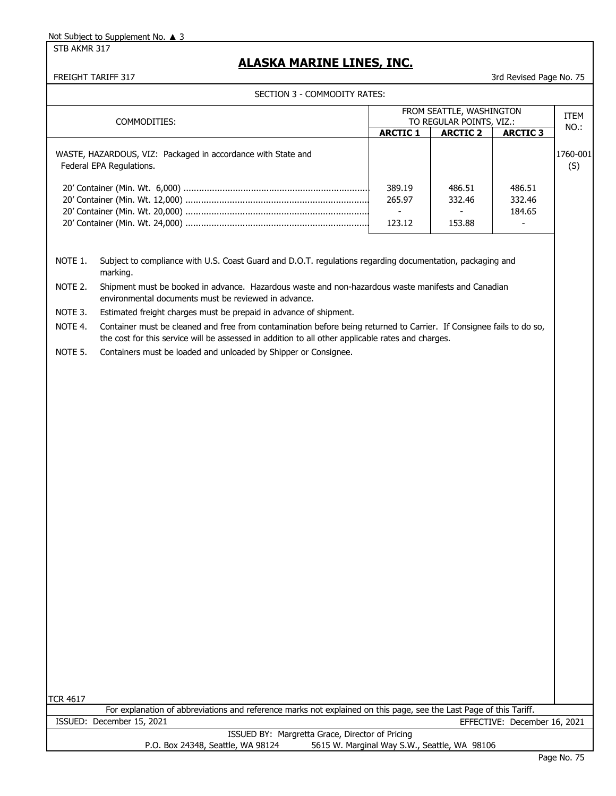STB AKMR 317

## **ALASKA MARINE LINES, INC.**

FREIGHT TARIFF 317 3rd Revised Page No. 75

|                 | SECTION 3 - COMMODITY RATES:                                                                                                                                                                                              |                                    |                                              |                              |                 |
|-----------------|---------------------------------------------------------------------------------------------------------------------------------------------------------------------------------------------------------------------------|------------------------------------|----------------------------------------------|------------------------------|-----------------|
|                 |                                                                                                                                                                                                                           |                                    | FROM SEATTLE, WASHINGTON                     |                              | ITEM            |
| COMMODITIES:    |                                                                                                                                                                                                                           |                                    | TO REGULAR POINTS, VIZ.:                     |                              | NO.:            |
|                 |                                                                                                                                                                                                                           | <b>ARCTIC 1</b>                    | <b>ARCTIC 2</b>                              | <b>ARCTIC 3</b>              |                 |
|                 | WASTE, HAZARDOUS, VIZ: Packaged in accordance with State and<br>Federal EPA Regulations.                                                                                                                                  |                                    |                                              |                              | 1760-001<br>(S) |
|                 |                                                                                                                                                                                                                           | 389.19                             | 486.51                                       | 486.51                       |                 |
|                 |                                                                                                                                                                                                                           | 265.97<br>$\overline{\phantom{a}}$ | 332.46                                       | 332.46<br>184.65             |                 |
|                 |                                                                                                                                                                                                                           | 123.12                             | 153.88                                       |                              |                 |
| NOTE 1.         | Subject to compliance with U.S. Coast Guard and D.O.T. regulations regarding documentation, packaging and<br>marking.                                                                                                     |                                    |                                              |                              |                 |
| NOTE 2.         | Shipment must be booked in advance. Hazardous waste and non-hazardous waste manifests and Canadian<br>environmental documents must be reviewed in advance.                                                                |                                    |                                              |                              |                 |
| NOTE 3.         | Estimated freight charges must be prepaid in advance of shipment.                                                                                                                                                         |                                    |                                              |                              |                 |
| NOTE 4.         | Container must be cleaned and free from contamination before being returned to Carrier. If Consignee fails to do so,<br>the cost for this service will be assessed in addition to all other applicable rates and charges. |                                    |                                              |                              |                 |
| NOTE 5.         | Containers must be loaded and unloaded by Shipper or Consignee.                                                                                                                                                           |                                    |                                              |                              |                 |
|                 |                                                                                                                                                                                                                           |                                    |                                              |                              |                 |
|                 |                                                                                                                                                                                                                           |                                    |                                              |                              |                 |
|                 |                                                                                                                                                                                                                           |                                    |                                              |                              |                 |
|                 |                                                                                                                                                                                                                           |                                    |                                              |                              |                 |
|                 |                                                                                                                                                                                                                           |                                    |                                              |                              |                 |
|                 |                                                                                                                                                                                                                           |                                    |                                              |                              |                 |
|                 |                                                                                                                                                                                                                           |                                    |                                              |                              |                 |
|                 |                                                                                                                                                                                                                           |                                    |                                              |                              |                 |
|                 |                                                                                                                                                                                                                           |                                    |                                              |                              |                 |
|                 |                                                                                                                                                                                                                           |                                    |                                              |                              |                 |
|                 |                                                                                                                                                                                                                           |                                    |                                              |                              |                 |
|                 |                                                                                                                                                                                                                           |                                    |                                              |                              |                 |
|                 |                                                                                                                                                                                                                           |                                    |                                              |                              |                 |
|                 |                                                                                                                                                                                                                           |                                    |                                              |                              |                 |
|                 |                                                                                                                                                                                                                           |                                    |                                              |                              |                 |
|                 |                                                                                                                                                                                                                           |                                    |                                              |                              |                 |
|                 |                                                                                                                                                                                                                           |                                    |                                              |                              |                 |
|                 |                                                                                                                                                                                                                           |                                    |                                              |                              |                 |
|                 |                                                                                                                                                                                                                           |                                    |                                              |                              |                 |
|                 |                                                                                                                                                                                                                           |                                    |                                              |                              |                 |
|                 |                                                                                                                                                                                                                           |                                    |                                              |                              |                 |
|                 |                                                                                                                                                                                                                           |                                    |                                              |                              |                 |
|                 |                                                                                                                                                                                                                           |                                    |                                              |                              |                 |
| <b>TCR 4617</b> |                                                                                                                                                                                                                           |                                    |                                              |                              |                 |
|                 | For explanation of abbreviations and reference marks not explained on this page, see the Last Page of this Tariff.                                                                                                        |                                    |                                              |                              |                 |
|                 | ISSUED: December 15, 2021                                                                                                                                                                                                 |                                    |                                              | EFFECTIVE: December 16, 2021 |                 |
|                 | ISSUED BY: Margretta Grace, Director of Pricing                                                                                                                                                                           |                                    |                                              |                              |                 |
|                 | P.O. Box 24348, Seattle, WA 98124                                                                                                                                                                                         |                                    | 5615 W. Marginal Way S.W., Seattle, WA 98106 |                              |                 |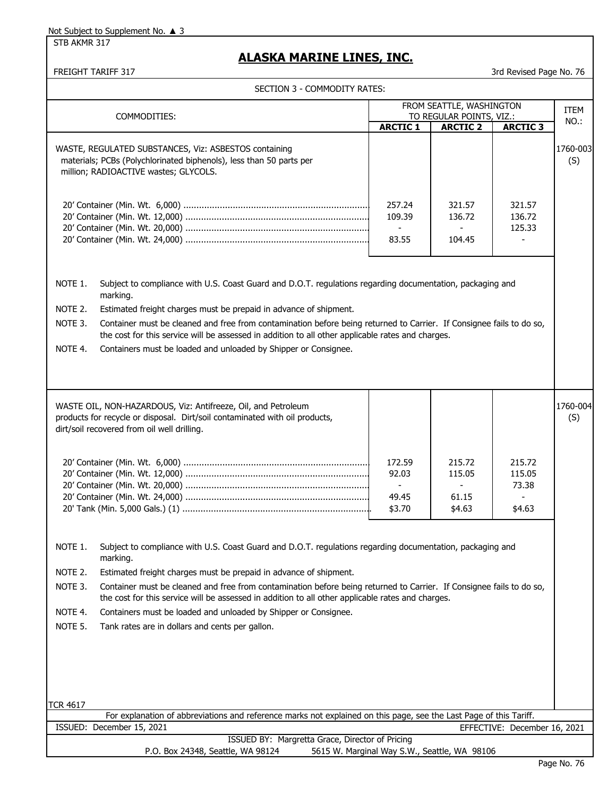STB AKMR 317

# **ALASKA MARINE LINES, INC.**

|                                                                                                                                                                       | FREIGHT TARIFF 317                                                                                                                                                                                                                                                                                                                                                                                                                                                                                                                            |                                                      |                                              | 3rd Revised Page No. 76             |                 |
|-----------------------------------------------------------------------------------------------------------------------------------------------------------------------|-----------------------------------------------------------------------------------------------------------------------------------------------------------------------------------------------------------------------------------------------------------------------------------------------------------------------------------------------------------------------------------------------------------------------------------------------------------------------------------------------------------------------------------------------|------------------------------------------------------|----------------------------------------------|-------------------------------------|-----------------|
|                                                                                                                                                                       | SECTION 3 - COMMODITY RATES:                                                                                                                                                                                                                                                                                                                                                                                                                                                                                                                  |                                                      |                                              |                                     |                 |
|                                                                                                                                                                       |                                                                                                                                                                                                                                                                                                                                                                                                                                                                                                                                               | FROM SEATTLE, WASHINGTON                             |                                              |                                     | <b>ITEM</b>     |
|                                                                                                                                                                       | COMMODITIES:                                                                                                                                                                                                                                                                                                                                                                                                                                                                                                                                  | <b>ARCTIC 1</b>                                      | TO REGULAR POINTS, VIZ.:<br><b>ARCTIC 2</b>  | <b>ARCTIC 3</b>                     | NO.:            |
| WASTE, REGULATED SUBSTANCES, Viz: ASBESTOS containing<br>materials; PCBs (Polychlorinated biphenols), less than 50 parts per<br>million; RADIOACTIVE wastes; GLYCOLS. |                                                                                                                                                                                                                                                                                                                                                                                                                                                                                                                                               |                                                      |                                              |                                     | 1760-003<br>(S) |
|                                                                                                                                                                       |                                                                                                                                                                                                                                                                                                                                                                                                                                                                                                                                               | 257.24<br>109.39<br>$\blacksquare$<br>83.55          | 321.57<br>136.72<br>104.45                   | 321.57<br>136.72<br>125.33          |                 |
| NOTE 1.<br>NOTE 2.<br>NOTE 3.<br>NOTE 4.                                                                                                                              | Subject to compliance with U.S. Coast Guard and D.O.T. regulations regarding documentation, packaging and<br>marking.<br>Estimated freight charges must be prepaid in advance of shipment.<br>Container must be cleaned and free from contamination before being returned to Carrier. If Consignee fails to do so,<br>the cost for this service will be assessed in addition to all other applicable rates and charges.<br>Containers must be loaded and unloaded by Shipper or Consignee.                                                    |                                                      |                                              |                                     |                 |
|                                                                                                                                                                       | WASTE OIL, NON-HAZARDOUS, Viz: Antifreeze, Oil, and Petroleum<br>products for recycle or disposal. Dirt/soil contaminated with oil products,<br>dirt/soil recovered from oil well drilling.                                                                                                                                                                                                                                                                                                                                                   | 172.59<br>92.03<br>$\blacksquare$<br>49.45<br>\$3.70 | 215.72<br>115.05<br>61.15<br>\$4.63          | 215.72<br>115.05<br>73.38<br>\$4.63 | 1760-004<br>(S) |
| NOTE 1.<br>NOTE 2.<br>NOTE 3.<br>NOTE 4.<br>NOTE 5.                                                                                                                   | Subject to compliance with U.S. Coast Guard and D.O.T. regulations regarding documentation, packaging and<br>marking.<br>Estimated freight charges must be prepaid in advance of shipment.<br>Container must be cleaned and free from contamination before being returned to Carrier. If Consignee fails to do so,<br>the cost for this service will be assessed in addition to all other applicable rates and charges.<br>Containers must be loaded and unloaded by Shipper or Consignee.<br>Tank rates are in dollars and cents per gallon. |                                                      |                                              |                                     |                 |
| TCR 4617                                                                                                                                                              | For explanation of abbreviations and reference marks not explained on this page, see the Last Page of this Tariff.<br>ISSUED: December 15, 2021<br>ISSUED BY: Margretta Grace, Director of Pricing                                                                                                                                                                                                                                                                                                                                            |                                                      |                                              | EFFECTIVE: December 16, 2021        |                 |
|                                                                                                                                                                       | P.O. Box 24348, Seattle, WA 98124                                                                                                                                                                                                                                                                                                                                                                                                                                                                                                             |                                                      | 5615 W. Marginal Way S.W., Seattle, WA 98106 |                                     |                 |